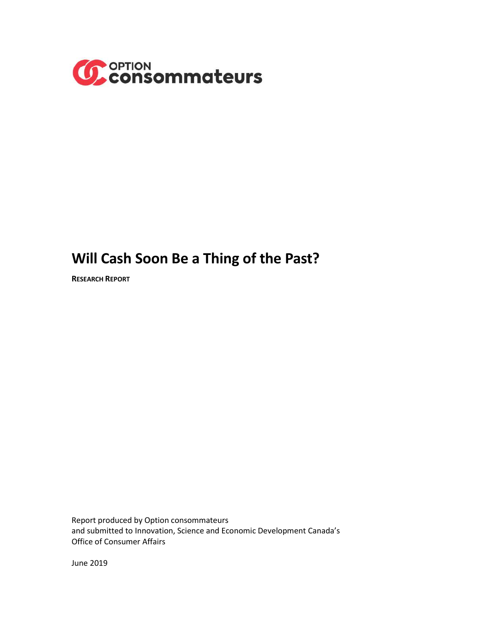

# **Will Cash Soon Be a Thing of the Past?**

**RESEARCH REPORT**

Report produced by Option consommateurs and submitted to Innovation, Science and Economic Development Canada's Office of Consumer Affairs

June 2019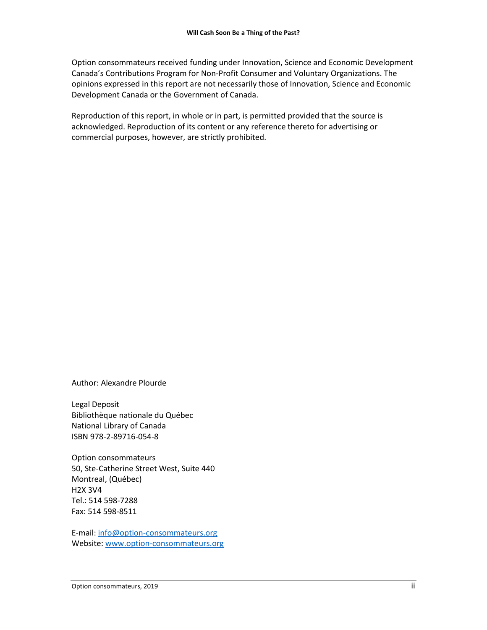Option consommateurs received funding under Innovation, Science and Economic Development Canada's Contributions Program for Non-Profit Consumer and Voluntary Organizations. The opinions expressed in this report are not necessarily those of Innovation, Science and Economic Development Canada or the Government of Canada.

Reproduction of this report, in whole or in part, is permitted provided that the source is acknowledged. Reproduction of its content or any reference thereto for advertising or commercial purposes, however, are strictly prohibited.

Author: Alexandre Plourde

Legal Deposit Bibliothèque nationale du Québec National Library of Canada ISBN 978-2-89716-054-8

Option consommateurs 50, Ste-Catherine Street West, Suite 440 Montreal, (Québec) H2X 3V4 Tel.: 514 598-7288 Fax: 514 598-8511

E-mail: [info@option-consommateurs.org](mailto:info@option-consommateurs.org) Website: [www.option-consommateurs.org](http://www.option-consommateurs.org/)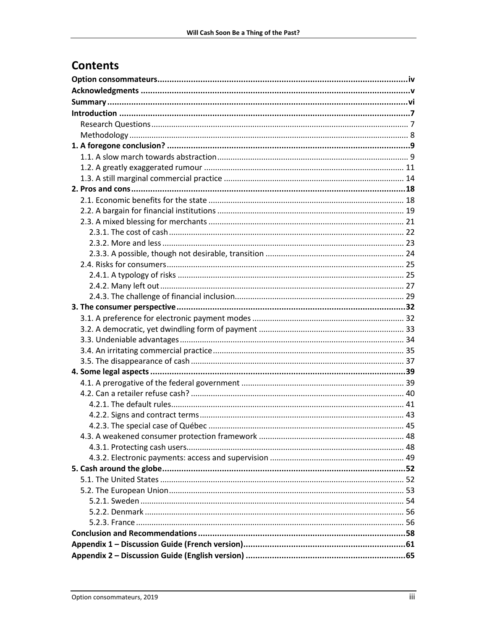## **Contents**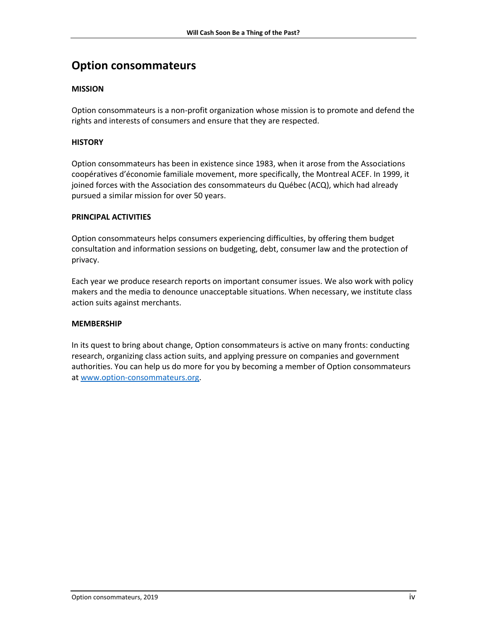## <span id="page-3-0"></span>**Option consommateurs**

### **MISSION**

Option consommateurs is a non-profit organization whose mission is to promote and defend the rights and interests of consumers and ensure that they are respected.

### **HISTORY**

Option consommateurs has been in existence since 1983, when it arose from the Associations coopératives d'économie familiale movement, more specifically, the Montreal ACEF. In 1999, it joined forces with the Association des consommateurs du Québec (ACQ), which had already pursued a similar mission for over 50 years.

### **PRINCIPAL ACTIVITIES**

Option consommateurs helps consumers experiencing difficulties, by offering them budget consultation and information sessions on budgeting, debt, consumer law and the protection of privacy.

Each year we produce research reports on important consumer issues. We also work with policy makers and the media to denounce unacceptable situations. When necessary, we institute class action suits against merchants.

### **MEMBERSHIP**

In its quest to bring about change, Option consommateurs is active on many fronts: conducting research, organizing class action suits, and applying pressure on companies and government authorities. You can help us do more for you by becoming a member of Option consommateurs at [www.option-consommateurs.org.](http://www.option-consommateurs.org/)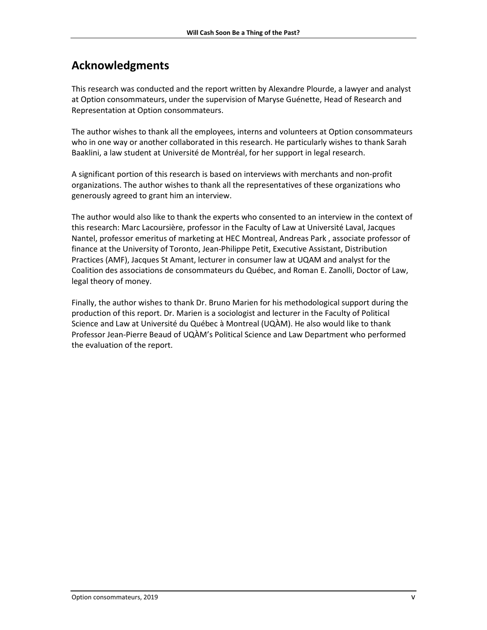## <span id="page-4-0"></span>**Acknowledgments**

This research was conducted and the report written by Alexandre Plourde, a lawyer and analyst at Option consommateurs, under the supervision of Maryse Guénette, Head of Research and Representation at Option consommateurs.

The author wishes to thank all the employees, interns and volunteers at Option consommateurs who in one way or another collaborated in this research. He particularly wishes to thank Sarah Baaklini, a law student at Université de Montréal, for her support in legal research.

A significant portion of this research is based on interviews with merchants and non-profit organizations. The author wishes to thank all the representatives of these organizations who generously agreed to grant him an interview.

The author would also like to thank the experts who consented to an interview in the context of this research: Marc Lacoursière, professor in the Faculty of Law at Université Laval, Jacques Nantel, professor emeritus of marketing at HEC Montreal, Andreas Park , associate professor of finance at the University of Toronto, Jean-Philippe Petit, Executive Assistant, Distribution Practices (AMF), Jacques St Amant, lecturer in consumer law at UQAM and analyst for the Coalition des associations de consommateurs du Québec, and Roman E. Zanolli, Doctor of Law, legal theory of money.

Finally, the author wishes to thank Dr. Bruno Marien for his methodological support during the production of this report. Dr. Marien is a sociologist and lecturer in the Faculty of Political Science and Law at Université du Québec à Montreal (UQÀM). He also would like to thank Professor Jean-Pierre Beaud of UQÀM's Political Science and Law Department who performed the evaluation of the report.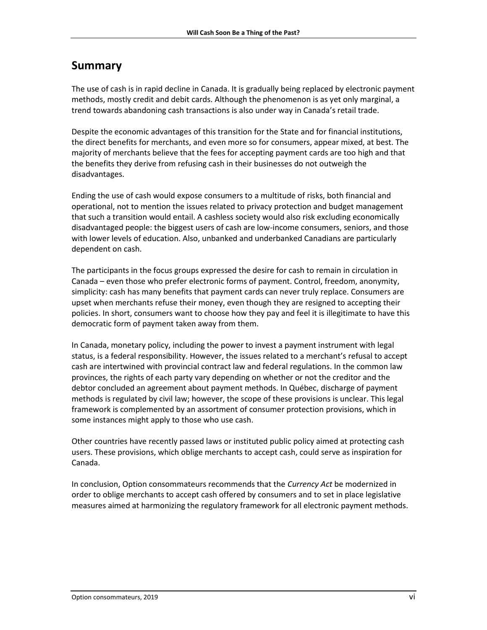## <span id="page-5-0"></span>**Summary**

The use of cash is in rapid decline in Canada. It is gradually being replaced by electronic payment methods, mostly credit and debit cards. Although the phenomenon is as yet only marginal, a trend towards abandoning cash transactions is also under way in Canada's retail trade.

Despite the economic advantages of this transition for the State and for financial institutions, the direct benefits for merchants, and even more so for consumers, appear mixed, at best. The majority of merchants believe that the fees for accepting payment cards are too high and that the benefits they derive from refusing cash in their businesses do not outweigh the disadvantages.

Ending the use of cash would expose consumers to a multitude of risks, both financial and operational, not to mention the issues related to privacy protection and budget management that such a transition would entail. A cashless society would also risk excluding economically disadvantaged people: the biggest users of cash are low-income consumers, seniors, and those with lower levels of education. Also, unbanked and underbanked Canadians are particularly dependent on cash.

The participants in the focus groups expressed the desire for cash to remain in circulation in Canada – even those who prefer electronic forms of payment. Control, freedom, anonymity, simplicity: cash has many benefits that payment cards can never truly replace. Consumers are upset when merchants refuse their money, even though they are resigned to accepting their policies. In short, consumers want to choose how they pay and feel it is illegitimate to have this democratic form of payment taken away from them.

In Canada, monetary policy, including the power to invest a payment instrument with legal status, is a federal responsibility. However, the issues related to a merchant's refusal to accept cash are intertwined with provincial contract law and federal regulations. In the common law provinces, the rights of each party vary depending on whether or not the creditor and the debtor concluded an agreement about payment methods. In Québec, discharge of payment methods is regulated by civil law; however, the scope of these provisions is unclear. This legal framework is complemented by an assortment of consumer protection provisions, which in some instances might apply to those who use cash.

Other countries have recently passed laws or instituted public policy aimed at protecting cash users. These provisions, which oblige merchants to accept cash, could serve as inspiration for Canada.

In conclusion, Option consommateurs recommends that the *Currency Act* be modernized in order to oblige merchants to accept cash offered by consumers and to set in place legislative measures aimed at harmonizing the regulatory framework for all electronic payment methods.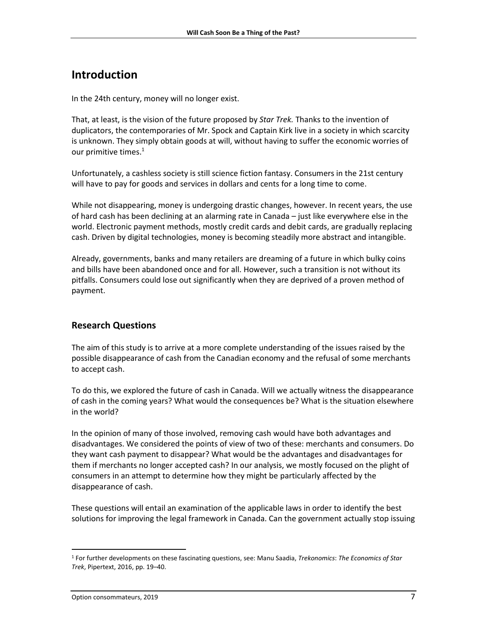## <span id="page-6-0"></span>**Introduction**

In the 24th century, money will no longer exist.

That, at least, is the vision of the future proposed by *Star Trek.* Thanks to the invention of duplicators, the contemporaries of Mr. Spock and Captain Kirk live in a society in which scarcity is unknown. They simply obtain goods at will, without having to suffer the economic worries of our primitive times. 1

Unfortunately, a cashless society is still science fiction fantasy. Consumers in the 21st century will have to pay for goods and services in dollars and cents for a long time to come.

While not disappearing, money is undergoing drastic changes, however. In recent years, the use of hard cash has been declining at an alarming rate in Canada – just like everywhere else in the world. Electronic payment methods, mostly credit cards and debit cards, are gradually replacing cash. Driven by digital technologies, money is becoming steadily more abstract and intangible.

Already, governments, banks and many retailers are dreaming of a future in which bulky coins and bills have been abandoned once and for all. However, such a transition is not without its pitfalls. Consumers could lose out significantly when they are deprived of a proven method of payment.

## <span id="page-6-1"></span>**Research Questions**

The aim of this study is to arrive at a more complete understanding of the issues raised by the possible disappearance of cash from the Canadian economy and the refusal of some merchants to accept cash.

To do this, we explored the future of cash in Canada. Will we actually witness the disappearance of cash in the coming years? What would the consequences be? What is the situation elsewhere in the world?

In the opinion of many of those involved, removing cash would have both advantages and disadvantages. We considered the points of view of two of these: merchants and consumers. Do they want cash payment to disappear? What would be the advantages and disadvantages for them if merchants no longer accepted cash? In our analysis, we mostly focused on the plight of consumers in an attempt to determine how they might be particularly affected by the disappearance of cash.

These questions will entail an examination of the applicable laws in order to identify the best solutions for improving the legal framework in Canada. Can the government actually stop issuing

l <sup>1</sup> For further developments on these fascinating questions, see: Manu Saadia, *Trekonomics*: *The Economics of Star Trek*, Pipertext, 2016, pp. 19–40.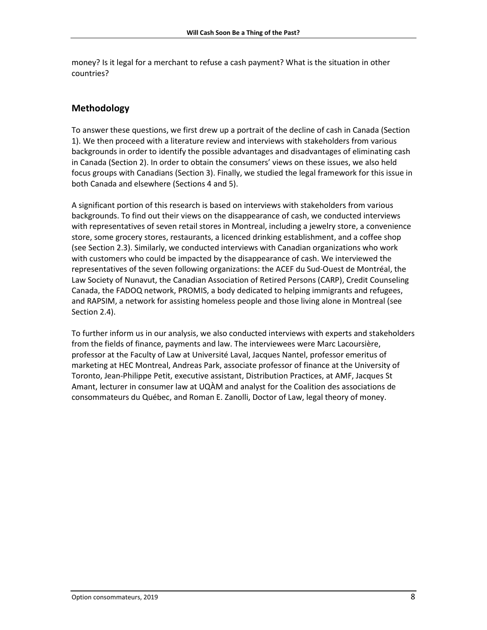money? Is it legal for a merchant to refuse a cash payment? What is the situation in other countries?

## <span id="page-7-0"></span>**Methodology**

To answer these questions, we first drew up a portrait of the decline of cash in Canada (Section 1). We then proceed with a literature review and interviews with stakeholders from various backgrounds in order to identify the possible advantages and disadvantages of eliminating cash in Canada (Section 2). In order to obtain the consumers' views on these issues, we also held focus groups with Canadians (Section 3). Finally, we studied the legal framework for this issue in both Canada and elsewhere (Sections 4 and 5).

A significant portion of this research is based on interviews with stakeholders from various backgrounds. To find out their views on the disappearance of cash, we conducted interviews with representatives of seven retail stores in Montreal, including a jewelry store, a convenience store, some grocery stores, restaurants, a licenced drinking establishment, and a coffee shop (see Section 2.3). Similarly, we conducted interviews with Canadian organizations who work with customers who could be impacted by the disappearance of cash. We interviewed the representatives of the seven following organizations: the ACEF du Sud-Ouest de Montréal, the Law Society of Nunavut, the Canadian Association of Retired Persons (CARP), Credit Counseling Canada, the FADOQ network, PROMIS, a body dedicated to helping immigrants and refugees, and RAPSIM, a network for assisting homeless people and those living alone in Montreal (see Section 2.4).

To further inform us in our analysis, we also conducted interviews with experts and stakeholders from the fields of finance, payments and law. The interviewees were Marc Lacoursière, professor at the Faculty of Law at Université Laval, Jacques Nantel, professor emeritus of marketing at HEC Montreal, Andreas Park, associate professor of finance at the University of Toronto, Jean-Philippe Petit, executive assistant, Distribution Practices, at AMF, Jacques St Amant, lecturer in consumer law at UQÀM and analyst for the Coalition des associations de consommateurs du Québec, and Roman E. Zanolli, Doctor of Law, legal theory of money.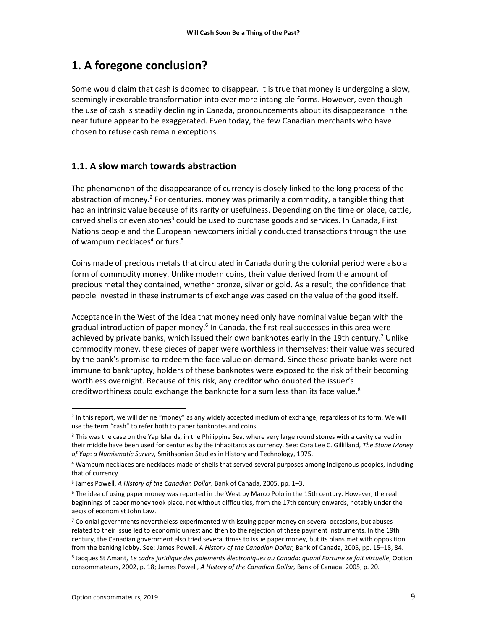## <span id="page-8-0"></span>**1. A foregone conclusion?**

Some would claim that cash is doomed to disappear. It is true that money is undergoing a slow, seemingly inexorable transformation into ever more intangible forms. However, even though the use of cash is steadily declining in Canada, pronouncements about its disappearance in the near future appear to be exaggerated. Even today, the few Canadian merchants who have chosen to refuse cash remain exceptions.

## <span id="page-8-1"></span>**1.1. A slow march towards abstraction**

The phenomenon of the disappearance of currency is closely linked to the long process of the abstraction of money.<sup>2</sup> For centuries, money was primarily a commodity, a tangible thing that had an intrinsic value because of its rarity or usefulness. Depending on the time or place, cattle, carved shells or even stones<sup>3</sup> could be used to purchase goods and services. In Canada, First Nations people and the European newcomers initially conducted transactions through the use of wampum necklaces<sup>4</sup> or furs.<sup>5</sup>

Coins made of precious metals that circulated in Canada during the colonial period were also a form of commodity money. Unlike modern coins, their value derived from the amount of precious metal they contained, whether bronze, silver or gold. As a result, the confidence that people invested in these instruments of exchange was based on the value of the good itself.

Acceptance in the West of the idea that money need only have nominal value began with the gradual introduction of paper money.<sup>6</sup> In Canada, the first real successes in this area were achieved by private banks, which issued their own banknotes early in the 19th century.<sup>7</sup> Unlike commodity money, these pieces of paper were worthless in themselves: their value was secured by the bank's promise to redeem the face value on demand. Since these private banks were not immune to bankruptcy, holders of these banknotes were exposed to the risk of their becoming worthless overnight. Because of this risk, any creditor who doubted the issuer's creditworthiness could exchange the banknote for a sum less than its face value.<sup>8</sup>

<sup>&</sup>lt;sup>2</sup> In this report, we will define "money" as any widely accepted medium of exchange, regardless of its form. We will use the term "cash" to refer both to paper banknotes and coins.

<sup>&</sup>lt;sup>3</sup> This was the case on the Yap Islands, in the Philippine Sea, where very large round stones with a cavity carved in their middle have been used for centuries by the inhabitants as currency. See: Cora Lee C. Gillilland, *The Stone Money of Yap*: *a Numismatic Survey,* Smithsonian Studies in History and Technology, 1975.

<sup>4</sup> Wampum necklaces are necklaces made of shells that served several purposes among Indigenous peoples, including that of currency.

<sup>5</sup> James Powell, *A History of the Canadian Dollar,* Bank of Canada, 2005, pp. 1–3.

<sup>6</sup> The idea of using paper money was reported in the West by Marco Polo in the 15th century. However, the real beginnings of paper money took place, not without difficulties, from the 17th century onwards, notably under the aegis of economist John Law.

<sup>7</sup> Colonial governments nevertheless experimented with issuing paper money on several occasions, but abuses related to their issue led to economic unrest and then to the rejection of these payment instruments. In the 19th century, the Canadian government also tried several times to issue paper money, but its plans met with opposition from the banking lobby. See: James Powell, *A History of the Canadian Dollar,* Bank of Canada, 2005, pp. 15–18, 84.

<sup>8</sup> Jacques St Amant, *Le cadre juridique des paiements électroniques au Canada*: *quand Fortune se fait virtuelle*, Option consommateurs, 2002, p. 18; James Powell, *A History of the Canadian Dollar,* Bank of Canada, 2005, p. 20.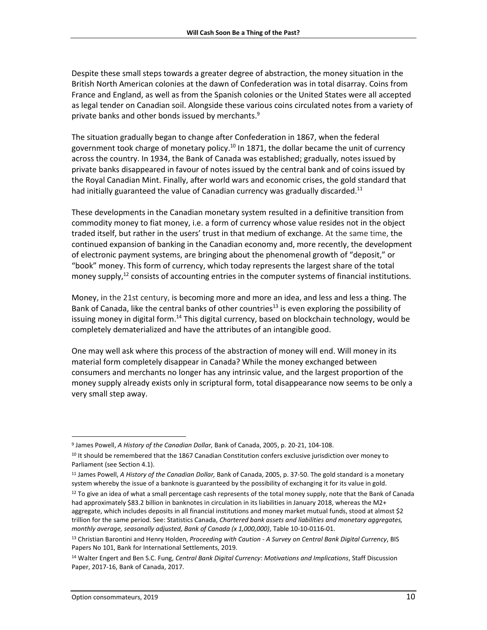Despite these small steps towards a greater degree of abstraction, the money situation in the British North American colonies at the dawn of Confederation was in total disarray. Coins from France and England, as well as from the Spanish colonies or the United States were all accepted as legal tender on Canadian soil. Alongside these various coins circulated notes from a variety of private banks and other bonds issued by merchants. 9

The situation gradually began to change after Confederation in 1867, when the federal government took charge of monetary policy.<sup>10</sup> In 1871, the dollar became the unit of currency across the country. In 1934, the Bank of Canada was established; gradually, notes issued by private banks disappeared in favour of notes issued by the central bank and of coins issued by the Royal Canadian Mint. Finally, after world wars and economic crises, the gold standard that had initially guaranteed the value of Canadian currency was gradually discarded.<sup>11</sup>

These developments in the Canadian monetary system resulted in a definitive transition from commodity money to fiat money, i.e. a form of currency whose value resides not in the object traded itself, but rather in the users' trust in that medium of exchange. At the same time, the continued expansion of banking in the Canadian economy and, more recently, the development of electronic payment systems, are bringing about the phenomenal growth of "deposit," or "book" money. This form of currency, which today represents the largest share of the total money supply,<sup>12</sup> consists of accounting entries in the computer systems of financial institutions.

Money, in the 21st century, is becoming more and more an idea, and less and less a thing. The Bank of Canada, like the central banks of other countries<sup>13</sup> is even exploring the possibility of issuing money in digital form.<sup>14</sup> This digital currency, based on blockchain technology, would be completely dematerialized and have the attributes of an intangible good.

One may well ask where this process of the abstraction of money will end. Will money in its material form completely disappear in Canada? While the money exchanged between consumers and merchants no longer has any intrinsic value, and the largest proportion of the money supply already exists only in scriptural form, total disappearance now seems to be only a very small step away.

<sup>9</sup> James Powell, *A History of the Canadian Dollar,* Bank of Canada, 2005, p. 20-21, 104-108.

<sup>10</sup> It should be remembered that the 1867 Canadian Constitution confers exclusive jurisdiction over money to Parliament (see Section 4.1).

<sup>11</sup> James Powell, *A History of the Canadian Dollar,* Bank of Canada, 2005, p. 37-50. The gold standard is a monetary system whereby the issue of a banknote is guaranteed by the possibility of exchanging it for its value in gold.

<sup>&</sup>lt;sup>12</sup> To give an idea of what a small percentage cash represents of the total money supply, note that the Bank of Canada had approximately \$83.2 billion in banknotes in circulation in its liabilities in January 2018, whereas the M2+ aggregate, which includes deposits in all financial institutions and money market mutual funds, stood at almost \$2 trillion for the same period. See: Statistics Canada, *Chartered bank assets and liabilities and monetary aggregates, monthly average, seasonally adjusted, Bank of Canada (x 1,000,000)*, Table 10-10-0116-01.

<sup>13</sup> Christian Barontini and Henry Holden, *Proceeding with Caution - A Survey on Central Bank Digital Currency*, BIS Papers No 101, Bank for International Settlements, 2019.

<sup>14</sup> Walter Engert and Ben S.C. Fung, *Central Bank Digital Currency*: *Motivations and Implications*, Staff Discussion Paper, 2017-16, Bank of Canada, 2017.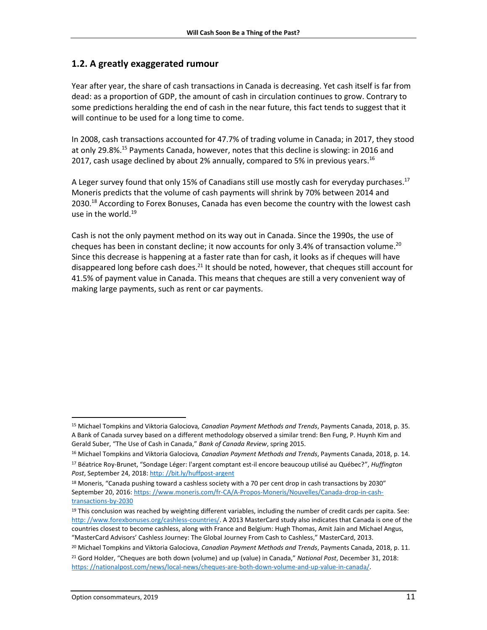### <span id="page-10-0"></span>**1.2. A greatly exaggerated rumour**

Year after year, the share of cash transactions in Canada is decreasing. Yet cash itself is far from dead: as a proportion of GDP, the amount of cash in circulation continues to grow. Contrary to some predictions heralding the end of cash in the near future, this fact tends to suggest that it will continue to be used for a long time to come.

In 2008, cash transactions accounted for 47.7% of trading volume in Canada; in 2017, they stood at only 29.8%. <sup>15</sup> Payments Canada, however, notes that this decline is slowing: in 2016 and 2017, cash usage declined by about 2% annually, compared to 5% in previous years.<sup>16</sup>

A Leger survey found that only 15% of Canadians still use mostly cash for everyday purchases.<sup>17</sup> Moneris predicts that the volume of cash payments will shrink by 70% between 2014 and 2030.<sup>18</sup> According to Forex Bonuses, Canada has even become the country with the lowest cash use in the world. 19

Cash is not the only payment method on its way out in Canada. Since the 1990s, the use of cheques has been in constant decline; it now accounts for only 3.4% of transaction volume.<sup>20</sup> Since this decrease is happening at a faster rate than for cash, it looks as if cheques will have disappeared long before cash does.<sup>21</sup> It should be noted, however, that cheques still account for 41.5% of payment value in Canada. This means that cheques are still a very convenient way of making large payments, such as rent or car payments.

l

<sup>15</sup> Michael Tompkins and Viktoria Galociova*, Canadian Payment Methods and Trends*, Payments Canada, 2018, p. 35. A Bank of Canada survey based on a different methodology observed a similar trend: Ben Fung, P. Huynh Kim and Gerald Suber, "The Use of Cash in Canada," *Bank of Canada Review*, spring 2015.

<sup>16</sup> Michael Tompkins and Viktoria Galociova*, Canadian Payment Methods and Trends*, Payments Canada, 2018, p. 14. <sup>17</sup> Béatrice Roy-Brunet, "Sondage Léger: l'argent comptant est-il encore beaucoup utilisé au Québec?", *Huffington* Post, September 24, 2018: http://bit.ly/huffpost-argent

<sup>&</sup>lt;sup>18</sup> Moneris, "Canada pushing toward a cashless society with a 70 per cent drop in cash transactions by 2030" September 20, 2016[: https: //www.moneris.com/fr-CA/A-Propos-Moneris/Nouvelles/Canada-drop-in-cash](https://www.moneris.com/fr-CA/A-Propos-Moneris/Nouvelles/Canada-drop-in-cash-transactions-by-2030)[transactions-by-2030](https://www.moneris.com/fr-CA/A-Propos-Moneris/Nouvelles/Canada-drop-in-cash-transactions-by-2030)

 $19$  This conclusion was reached by weighting different variables, including the number of credit cards per capita. See: http://www.forexbonuses.org/cashless-countries/. A 2013 MasterCard study also indicates that Canada is one of the countries closest to become cashless, along with France and Belgium: Hugh Thomas, Amit Jain and Michael Angus, "MasterCard Advisors' Cashless Journey: The Global Journey From Cash to Cashless," MasterCard, 2013.

<sup>20</sup> Michael Tompkins and Viktoria Galociova, *Canadian Payment Methods and Trends*, Payments Canada, 2018, p. 11. <sup>21</sup> Gord Holder, "Cheques are both down (volume) and up (value) in Canada," *National Post*, December 31, 2018: [https: //nationalpost.com/news/local-news/cheques-are-both-down-volume-and-up-value-in-canada/.](https://nationalpost.com/news/local-news/cheques-are-both-down-volume-and-up-value-in-canada/)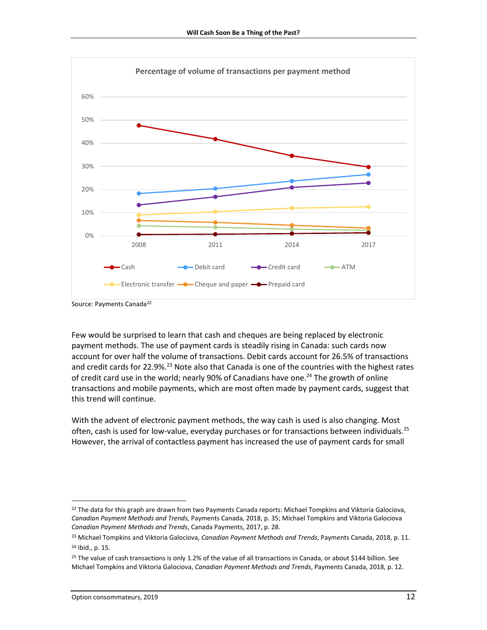

Source: Payments Canada<sup>22</sup>

Few would be surprised to learn that cash and cheques are being replaced by electronic payment methods. The use of payment cards is steadily rising in Canada: such cards now account for over half the volume of transactions. Debit cards account for 26.5% of transactions and credit cards for 22.9%.<sup>23</sup> Note also that Canada is one of the countries with the highest rates of credit card use in the world; nearly 90% of Canadians have one.<sup>24</sup> The growth of online transactions and mobile payments, which are most often made by payment cards, suggest that this trend will continue.

With the advent of electronic payment methods, the way cash is used is also changing. Most often, cash is used for low-value, everyday purchases or for transactions between individuals.<sup>25</sup> However, the arrival of contactless payment has increased the use of payment cards for small

 $\overline{a}$ 

<sup>&</sup>lt;sup>22</sup> The data for this graph are drawn from two Payments Canada reports: Michael Tompkins and Viktoria Galociova, *Canadian Payment Methods and Trends*, Payments Canada, 2018, p. 35; Michael Tompkins and Viktoria Galociova *Canadian Payment Methods and Trends*, Canada Payments, 2017, p. 28.

<sup>23</sup> Michael Tompkins and Viktoria Galociova, *Canadian Payment Methods and Trends*, Payments Canada, 2018, p. 11. <sup>24</sup> Ibid., p. 15.

 $25$  The value of cash transactions is only 1.2% of the value of all transactions in Canada, or about \$144 billion. See Michael Tompkins and Viktoria Galociova, *Canadian Payment Methods and Trends*, Payments Canada, 2018, p. 12.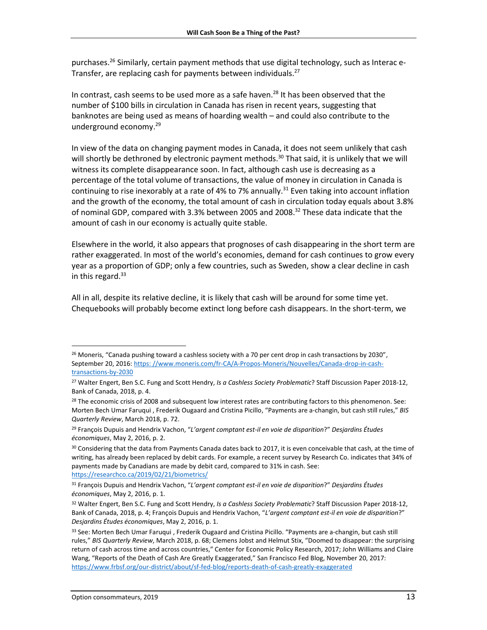purchases.<sup>26</sup> Similarly, certain payment methods that use digital technology, such as Interac e-Transfer, are replacing cash for payments between individuals.<sup>27</sup>

In contrast, cash seems to be used more as a safe haven. <sup>28</sup> It has been observed that the number of \$100 bills in circulation in Canada has risen in recent years, suggesting that banknotes are being used as means of hoarding wealth – and could also contribute to the underground economy. 29

In view of the data on changing payment modes in Canada, it does not seem unlikely that cash will shortly be dethroned by electronic payment methods.<sup>30</sup> That said, it is unlikely that we will witness its complete disappearance soon. In fact, although cash use is decreasing as a percentage of the total volume of transactions, the value of money in circulation in Canada is continuing to rise inexorably at a rate of 4% to 7% annually.<sup>31</sup> Even taking into account inflation and the growth of the economy, the total amount of cash in circulation today equals about 3.8% of nominal GDP, compared with 3.3% between 2005 and 2008. <sup>32</sup> These data indicate that the amount of cash in our economy is actually quite stable.

Elsewhere in the world, it also appears that prognoses of cash disappearing in the short term are rather exaggerated. In most of the world's economies, demand for cash continues to grow every year as a proportion of GDP; only a few countries, such as Sweden, show a clear decline in cash in this regard. 33

All in all, despite its relative decline, it is likely that cash will be around for some time yet. Chequebooks will probably become extinct long before cash disappears. In the short-term, we

 $\overline{\phantom{a}}$ <sup>26</sup> Moneris, "Canada pushing toward a cashless society with a 70 per cent drop in cash transactions by 2030", September 20, 2016[: https: //www.moneris.com/fr-CA/A-Propos-Moneris/Nouvelles/Canada-drop-in-cash](https://www.moneris.com/fr-CA/A-Propos-Moneris/Nouvelles/Canada-drop-in-cash-transactions-by-2030)[transactions-by-2030](https://www.moneris.com/fr-CA/A-Propos-Moneris/Nouvelles/Canada-drop-in-cash-transactions-by-2030)

<sup>27</sup> Walter Engert, Ben S.C. Fung and Scott Hendry, *Is a Cashless Society Problematic*? Staff Discussion Paper 2018-12, Bank of Canada, 2018, p. 4.

<sup>&</sup>lt;sup>28</sup> The economic crisis of 2008 and subsequent low interest rates are contributing factors to this phenomenon. See: Morten Bech Umar Faruqui , Frederik Ougaard and Cristina Picillo, "Payments are a-changin, but cash still rules," *BIS Quarterly Review*, March 2018, p. 72.

<sup>29</sup> François Dupuis and Hendrix Vachon, "*L'argent comptant est-il en voie de disparition*?" *Desjardins Études économiques*, May 2, 2016, p. 2.

<sup>&</sup>lt;sup>30</sup> Considering that the data from Payments Canada dates back to 2017, it is even conceivable that cash, at the time of writing, has already been replaced by debit cards. For example, a recent survey by Research Co. indicates that 34% of payments made by Canadians are made by debit card, compared to 31% in cash. See:

<https://researchco.ca/2019/02/21/biometrics/>

<sup>31</sup> François Dupuis and Hendrix Vachon, "*L'argent comptant est-il en voie de disparition*?" *Desjardins Études économiques*, May 2, 2016, p. 1.

<sup>32</sup> Walter Engert, Ben S.C. Fung and Scott Hendry, *Is a Cashless Society Problematic*? Staff Discussion Paper 2018-12, Bank of Canada, 2018, p. 4; François Dupuis and Hendrix Vachon, "*L'argent comptant est-il en voie de disparition*?" *Desjardins Études économiques*, May 2, 2016, p. 1.

<sup>33</sup> See: Morten Bech Umar Faruqui, Frederik Ougaard and Cristina Picillo. "Payments are a-changin, but cash still rules," *BIS Quarterly Review*, March 2018, p. 68; Clemens Jobst and Helmut Stix, "Doomed to disappear: the surprising return of cash across time and across countries," Center for Economic Policy Research, 2017; John Williams and Claire Wang, "Reports of the Death of Cash Are Greatly Exaggerated," San Francisco Fed Blog, November 20, 2017: <https://www.frbsf.org/our-district/about/sf-fed-blog/reports-death-of-cash-greatly-exaggerated>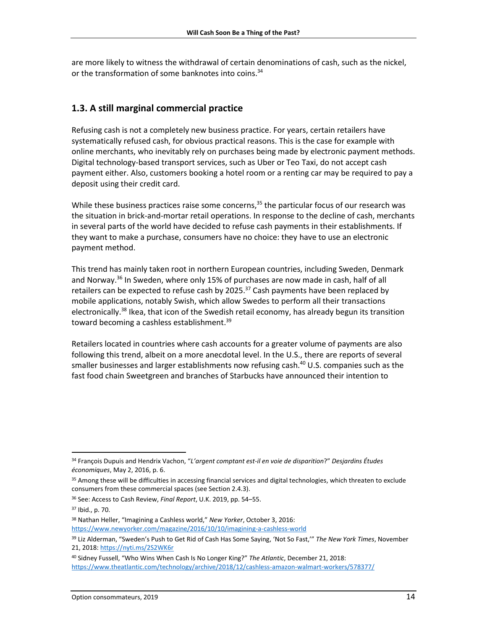are more likely to witness the withdrawal of certain denominations of cash, such as the nickel, or the transformation of some banknotes into coins.<sup>34</sup>

## <span id="page-13-0"></span>**1.3. A still marginal commercial practice**

Refusing cash is not a completely new business practice. For years, certain retailers have systematically refused cash, for obvious practical reasons. This is the case for example with online merchants, who inevitably rely on purchases being made by electronic payment methods. Digital technology-based transport services, such as Uber or Teo Taxi, do not accept cash payment either. Also, customers booking a hotel room or a renting car may be required to pay a deposit using their credit card.

While these business practices raise some concerns,<sup>35</sup> the particular focus of our research was the situation in brick-and-mortar retail operations. In response to the decline of cash, merchants in several parts of the world have decided to refuse cash payments in their establishments. If they want to make a purchase, consumers have no choice: they have to use an electronic payment method.

This trend has mainly taken root in northern European countries, including Sweden, Denmark and Norway.<sup>36</sup> In Sweden, where only 15% of purchases are now made in cash, half of all retailers can be expected to refuse cash by 2025.<sup>37</sup> Cash payments have been replaced by mobile applications, notably Swish, which allow Swedes to perform all their transactions electronically.<sup>38</sup> Ikea, that icon of the Swedish retail economy, has already begun its transition toward becoming a cashless establishment.<sup>39</sup>

Retailers located in countries where cash accounts for a greater volume of payments are also following this trend, albeit on a more anecdotal level. In the U.S., there are reports of several smaller businesses and larger establishments now refusing cash. <sup>40</sup> U.S. companies such as the fast food chain Sweetgreen and branches of Starbucks have announced their intention to

l <sup>34</sup> François Dupuis and Hendrix Vachon, "*L'argent comptant est-il en voie de disparition*?" *Desjardins Études économiques*, May 2, 2016, p. 6.

<sup>&</sup>lt;sup>35</sup> Among these will be difficulties in accessing financial services and digital technologies, which threaten to exclude consumers from these commercial spaces (see Section 2.4.3).

<sup>36</sup> See: Access to Cash Review, *Final Report*, U.K. 2019, pp. 54–55.

<sup>37</sup> Ibid., p. 70.

<sup>38</sup> Nathan Heller, "Imagining a Cashless world," *New Yorker*, October 3, 2016: <https://www.newyorker.com/magazine/2016/10/10/imagining-a-cashless-world>

<sup>39</sup> Liz Alderman, "Sweden's Push to Get Rid of Cash Has Some Saying, 'Not So Fast,'" *The New York Times*, November 21, 2018[: https://nyti.ms/2S2WK6r](https://nyti.ms/2S2WK6r)

<sup>40</sup> Sidney Fussell, "Who Wins When Cash Is No Longer King?" *The Atlantic*, December 21, 2018: <https://www.theatlantic.com/technology/archive/2018/12/cashless-amazon-walmart-workers/578377/>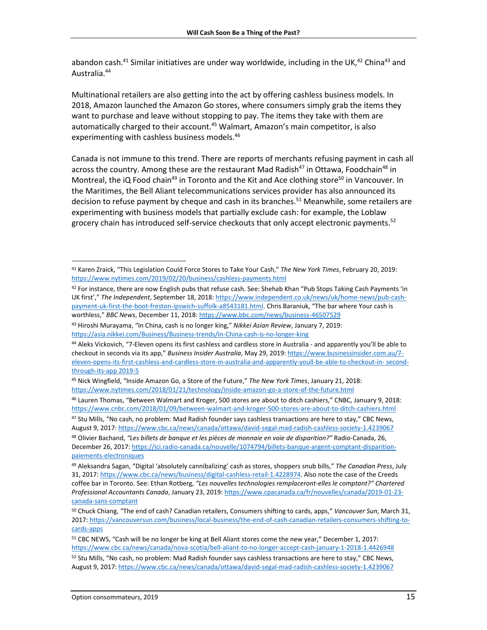abandon cash.<sup>41</sup> Similar initiatives are under way worldwide, including in the UK,<sup>42</sup> China<sup>43</sup> and Australia. 44

Multinational retailers are also getting into the act by offering cashless business models. In 2018, Amazon launched the Amazon Go stores, where consumers simply grab the items they want to purchase and leave without stopping to pay. The items they take with them are automatically charged to their account.<sup>45</sup> Walmart, Amazon's main competitor, is also experimenting with cashless business models.<sup>46</sup>

Canada is not immune to this trend. There are reports of merchants refusing payment in cash all across the country. Among these are the restaurant Mad Radish<sup>47</sup> in Ottawa, Foodchain<sup>48</sup> in Montreal, the iQ Food chain<sup>49</sup> in Toronto and the Kit and Ace clothing store<sup>50</sup> in Vancouver. In the Maritimes, the Bell Aliant telecommunications services provider has also announced its decision to refuse payment by cheque and cash in its branches.<sup>51</sup> Meanwhile, some retailers are experimenting with business models that partially exclude cash: for example, the Loblaw grocery chain has introduced self-service checkouts that only accept electronic payments.<sup>52</sup>

- 42 For instance, there are now English pubs that refuse cash. See: Shehab Khan "Pub Stops Taking Cash Payments 'in UK first'," *The Independent*, September 18, 2018[: https://www.independent.co.uk/news/uk/home-news/pub-cash](https://www.independent.co.uk/news/uk/home-news/pub-cash-payment-uk-first-the-boot-freston-ipswich-suffolk-a8543181.html)[payment-uk-first-the-boot-freston-ipswich-suffolk-a8543181.html.](https://www.independent.co.uk/news/uk/home-news/pub-cash-payment-uk-first-the-boot-freston-ipswich-suffolk-a8543181.html) Chris Baraniuk, "The bar where Your cash is worthless," *BBC News*, December 11, 2018[: https://www.bbc.com/news/business-46507529](https://www.bbc.com/news/business-46507529)
- <sup>43</sup> Hiroshi Murayama, "In China, cash is no longer king," *Nikkei Asian Review*, January 7, 2019: <https://asia.nikkei.com/Business/Business-trends/In-China-cash-is-no-longer-king>

<sup>41</sup> Karen Zraick, "This Legislation Could Force Stores to Take Your Cash," *The New York Times*, February 20, 2019: <https://www.nytimes.com/2019/02/20/business/cashless-payments.html>

<sup>44</sup> Aleks Vickovich, "7-Eleven opens its first cashless and cardless store in Australia - and apparently you'll be able to checkout in seconds via its app," *Business Insider Australia*, May 29, 2019[: https://www.businessinsider.com.au/7](https://www.businessinsider.com.au/7-eleven-opens-its-first-cashless-and-cardless-store-in-australia-and-apparently-youll-be-able-to-checkout-in-seconds-via-its-app-2019-5) [eleven-opens-its-first-cashless-and-cardless-store-in-australia-and-apparently-youll-be-able-to-checkout-in-](https://www.businessinsider.com.au/7-eleven-opens-its-first-cashless-and-cardless-store-in-australia-and-apparently-youll-be-able-to-checkout-in-seconds-via-its-app-2019-5) second[through-its-app](https://www.businessinsider.com.au/7-eleven-opens-its-first-cashless-and-cardless-store-in-australia-and-apparently-youll-be-able-to-checkout-in-seconds-via-its-app-2019-5) 2019-5

<sup>45</sup> Nick Wingfield, "Inside Amazon Go, a Store of the Future," *The New York Times*, January 21, 2018: <https://www.nytimes.com/2018/01/21/technology/inside-amazon-go-a-store-of-the-future.html>

<sup>46</sup> Lauren Thomas, "Between Walmart and Kroger, 500 stores are about to ditch cashiers," CNBC, January 9, 2018: <https://www.cnbc.com/2018/01/09/between-walmart-and-kroger-500-stores-are-about-to-ditch-cashiers.html> <sup>47</sup> Stu Mills, "No cash, no problem: Mad Radish founder says cashless transactions are here to stay," CBC News,

August 9, 2017:<https://www.cbc.ca/news/canada/ottawa/david-segal-mad-radish-cashless-society-1.4239067> <sup>48</sup> Olivier Bachand, *"Les billets de banque et les pièces de monnaie en voie de disparition?"* Radio-Canada, 26,

December 26, 2017: [https://ici.radio-canada.ca/nouvelle/1074794/billets-banque-argent-comptant-disparition](https://ici.radio-canada.ca/nouvelle/1074794/billets-banque-argent-comptant-disparition-paiements-electroniques)[paiements-electroniques](https://ici.radio-canada.ca/nouvelle/1074794/billets-banque-argent-comptant-disparition-paiements-electroniques)

<sup>49</sup> Aleksandra Sagan, "Digital 'absolutely cannibalizing' cash as stores, shoppers snub bills," *The Canadian Press*, July 31, 2017[: https://www.cbc.ca/news/business/digital-cashless-retail-1.4228974.](https://www.cbc.ca/news/business/digital-cashless-retail-1.4228974) Also note the case of the Creeds coffee bar in Toronto. See: Ethan Rotberg, *"Les nouvelles technologies remplaceront-elles le comptant?" Chartered Professional Accountants Canada*, January 23, 2019[: https://www.cpacanada.ca/fr/nouvelles/canada/2019-01-23](https://www.cpacanada.ca/fr/nouvelles/canada/2019-01-23-canada-sans-comptant) [canada-sans-comptant](https://www.cpacanada.ca/fr/nouvelles/canada/2019-01-23-canada-sans-comptant)

<sup>50</sup> Chuck Chiang, "The end of cash? Canadian retailers, Consumers shifting to cards, apps," *Vancouver Sun*, March 31, 2017[: https://vancouversun.com/business/local-business/the-end-of-cash-canadian-retailers-consumers-shifting-to](https://vancouversun.com/business/local-business/the-end-of-cash-canadian-retailers-consumers-shifting-to-cards-apps)[cards-apps](https://vancouversun.com/business/local-business/the-end-of-cash-canadian-retailers-consumers-shifting-to-cards-apps)

<sup>&</sup>lt;sup>51</sup> CBC NEWS, "Cash will be no longer be king at Bell Aliant stores come the new year," December 1, 2017: <https://www.cbc.ca/news/canada/nova-scotia/bell-aliant-to-no-longer-accept-cash-january-1-2018-1.4426948>

<sup>52</sup> Stu Mills, "No cash, no problem: Mad Radish founder says cashless transactions are here to stay," CBC News, August 9, 2017:<https://www.cbc.ca/news/canada/ottawa/david-segal-mad-radish-cashless-society-1.4239067>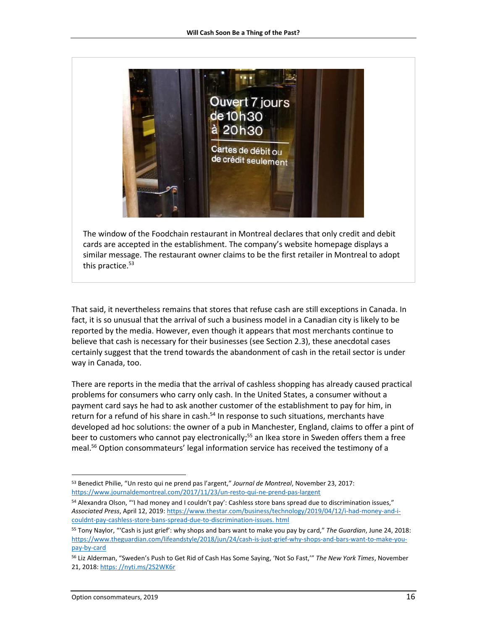

The window of the Foodchain restaurant in Montreal declares that only credit and debit cards are accepted in the establishment. The company's website homepage displays a similar message. The restaurant owner claims to be the first retailer in Montreal to adopt this practice. 53

That said, it nevertheless remains that stores that refuse cash are still exceptions in Canada. In fact, it is so unusual that the arrival of such a business model in a Canadian city is likely to be reported by the media. However, even though it appears that most merchants continue to believe that cash is necessary for their businesses (see Section 2.3), these anecdotal cases certainly suggest that the trend towards the abandonment of cash in the retail sector is under way in Canada, too.

There are reports in the media that the arrival of cashless shopping has already caused practical problems for consumers who carry only cash. In the United States, a consumer without a payment card says he had to ask another customer of the establishment to pay for him, in return for a refund of his share in cash.<sup>54</sup> In response to such situations, merchants have developed ad hoc solutions: the owner of a pub in Manchester, England, claims to offer a pint of beer to customers who cannot pay electronically;<sup>55</sup> an Ikea store in Sweden offers them a free meal. <sup>56</sup> Option consommateurs' legal information service has received the testimony of a

 $\overline{a}$ <sup>53</sup> Benedict Philie, "Un resto qui ne prend pas l'argent," *Journal de Montreal*, November 23, 2017: <https://www.journaldemontreal.com/2017/11/23/un-resto-qui-ne-prend-pas-largent>

<sup>54</sup> Alexandra Olson, "'I had money and I couldn't pay': Cashless store bans spread due to discrimination issues," *Associated Press*, April 12, 2019: [https://www.thestar.com/business/technology/2019/04/12/i-had-money-and-i](https://www.thestar.com/business/technology/2019/04/12/i-had-money-and-i-couldnt-pay-cashless-store-bans-spread-due-to-discrimination-issues.html)[couldnt-pay-cashless-store-bans-spread-due-to-discrimination-issues.](https://www.thestar.com/business/technology/2019/04/12/i-had-money-and-i-couldnt-pay-cashless-store-bans-spread-due-to-discrimination-issues.html) html

<sup>55</sup> Tony Naylor, "'Cash is just grief': why shops and bars want to make you pay by card," *The Guardian*, June 24, 2018: [https://www.theguardian.com/lifeandstyle/2018/jun/24/cash-is-just-grief-why-shops-and-bars-want-to-make-you](https://www.theguardian.com/lifeandstyle/2018/jun/24/cash-is-just-grief-why-shops-and-bars-want-to-make-you-pay-by-card)[pay-by-card](https://www.theguardian.com/lifeandstyle/2018/jun/24/cash-is-just-grief-why-shops-and-bars-want-to-make-you-pay-by-card)

<sup>56</sup> Liz Alderman, "Sweden's Push to Get Rid of Cash Has Some Saying, 'Not So Fast,'" *The New York Times*, November 21, 2018[: https: //nyti.ms/2S2WK6r](https://nyti.ms/2S2WK6r)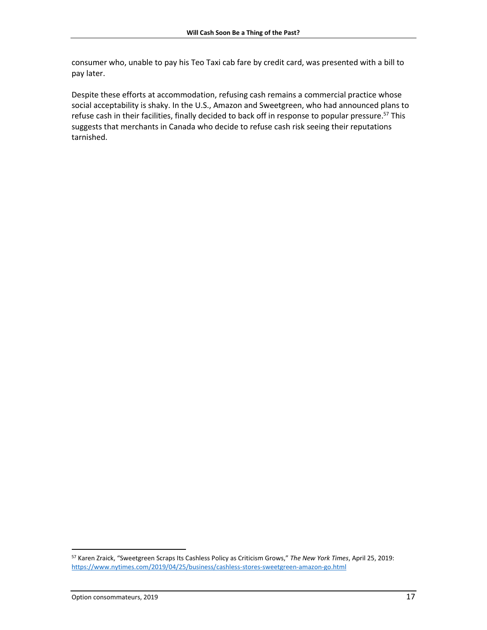consumer who, unable to pay his Teo Taxi cab fare by credit card, was presented with a bill to pay later.

Despite these efforts at accommodation, refusing cash remains a commercial practice whose social acceptability is shaky. In the U.S., Amazon and Sweetgreen, who had announced plans to refuse cash in their facilities, finally decided to back off in response to popular pressure.<sup>57</sup> This suggests that merchants in Canada who decide to refuse cash risk seeing their reputations tarnished.

l

<sup>57</sup> Karen Zraick, "Sweetgreen Scraps Its Cashless Policy as Criticism Grows," *The New York Times*, April 25, 2019: <https://www.nytimes.com/2019/04/25/business/cashless-stores-sweetgreen-amazon-go.html>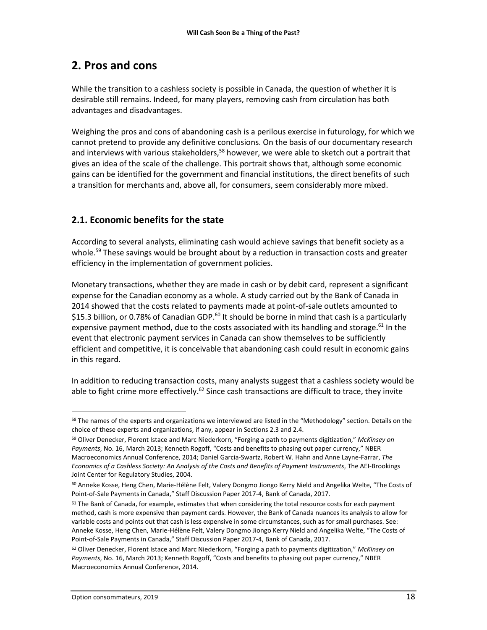## <span id="page-17-0"></span>**2. Pros and cons**

While the transition to a cashless society is possible in Canada, the question of whether it is desirable still remains. Indeed, for many players, removing cash from circulation has both advantages and disadvantages.

Weighing the pros and cons of abandoning cash is a perilous exercise in futurology, for which we cannot pretend to provide any definitive conclusions. On the basis of our documentary research and interviews with various stakeholders,<sup>58</sup> however, we were able to sketch out a portrait that gives an idea of the scale of the challenge. This portrait shows that, although some economic gains can be identified for the government and financial institutions, the direct benefits of such a transition for merchants and, above all, for consumers, seem considerably more mixed.

## <span id="page-17-1"></span>**2.1. Economic benefits for the state**

According to several analysts, eliminating cash would achieve savings that benefit society as a whole.<sup>59</sup> These savings would be brought about by a reduction in transaction costs and greater efficiency in the implementation of government policies.

Monetary transactions, whether they are made in cash or by debit card, represent a significant expense for the Canadian economy as a whole. A study carried out by the Bank of Canada in 2014 showed that the costs related to payments made at point-of-sale outlets amounted to \$15.3 billion, or 0.78% of Canadian GDP.<sup>60</sup> It should be borne in mind that cash is a particularly expensive payment method, due to the costs associated with its handling and storage.<sup>61</sup> In the event that electronic payment services in Canada can show themselves to be sufficiently efficient and competitive, it is conceivable that abandoning cash could result in economic gains in this regard.

In addition to reducing transaction costs, many analysts suggest that a cashless society would be able to fight crime more effectively.<sup>62</sup> Since cash transactions are difficult to trace, they invite

l <sup>58</sup> The names of the experts and organizations we interviewed are listed in the "Methodology" section. Details on the choice of these experts and organizations, if any, appear in Sections 2.3 and 2.4.

<sup>59</sup> Oliver Denecker, Florent Istace and Marc Niederkorn, "Forging a path to payments digitization," *McKinsey on Payments*, No. 16, March 2013; Kenneth Rogoff, "Costs and benefits to phasing out paper currency," NBER Macroeconomics Annual Conference, 2014; Daniel Garcia-Swartz, Robert W. Hahn and Anne Layne-Farrar, *The Economics of a Cashless Society: An Analysis of the Costs and Benefits of Payment Instruments*, The AEI-Brookings Joint Center for Regulatory Studies, 2004.

<sup>60</sup> Anneke Kosse, Heng Chen, Marie-Hélène Felt, Valery Dongmo Jiongo Kerry Nield and Angelika Welte, "The Costs of Point-of-Sale Payments in Canada," Staff Discussion Paper 2017-4, Bank of Canada, 2017.

 $61$  The Bank of Canada, for example, estimates that when considering the total resource costs for each payment method, cash is more expensive than payment cards. However, the Bank of Canada nuances its analysis to allow for variable costs and points out that cash is less expensive in some circumstances, such as for small purchases. See: Anneke Kosse, Heng Chen, Marie-Hélène Felt, Valery Dongmo Jiongo Kerry Nield and Angelika Welte, "The Costs of Point-of-Sale Payments in Canada," Staff Discussion Paper 2017-4, Bank of Canada, 2017.

<sup>62</sup> Oliver Denecker, Florent Istace and Marc Niederkorn, "Forging a path to payments digitization," *McKinsey on Payments*, No. 16, March 2013; Kenneth Rogoff, "Costs and benefits to phasing out paper currency," NBER Macroeconomics Annual Conference, 2014.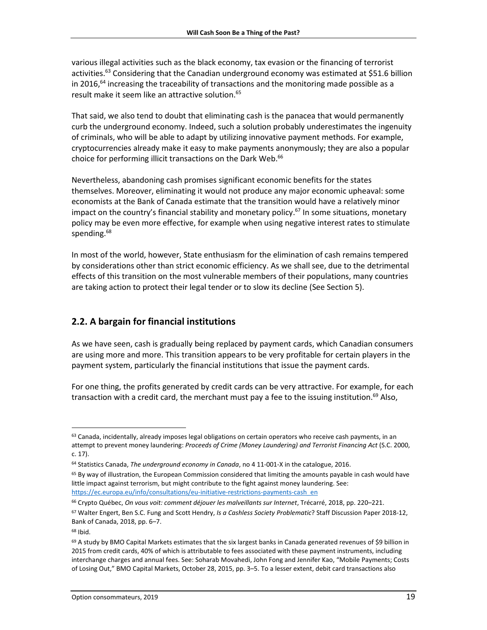various illegal activities such as the black economy, tax evasion or the financing of terrorist activities.<sup>63</sup> Considering that the Canadian underground economy was estimated at \$51.6 billion in 2016,<sup>64</sup> increasing the traceability of transactions and the monitoring made possible as a result make it seem like an attractive solution. 65

That said, we also tend to doubt that eliminating cash is the panacea that would permanently curb the underground economy. Indeed, such a solution probably underestimates the ingenuity of criminals, who will be able to adapt by utilizing innovative payment methods. For example, cryptocurrencies already make it easy to make payments anonymously; they are also a popular choice for performing illicit transactions on the Dark Web.<sup>66</sup>

Nevertheless, abandoning cash promises significant economic benefits for the states themselves. Moreover, eliminating it would not produce any major economic upheaval: some economists at the Bank of Canada estimate that the transition would have a relatively minor impact on the country's financial stability and monetary policy.<sup>67</sup> In some situations, monetary policy may be even more effective, for example when using negative interest rates to stimulate spending.<sup>68</sup>

In most of the world, however, State enthusiasm for the elimination of cash remains tempered by considerations other than strict economic efficiency. As we shall see, due to the detrimental effects of this transition on the most vulnerable members of their populations, many countries are taking action to protect their legal tender or to slow its decline (See Section 5).

## <span id="page-18-0"></span>**2.2. A bargain for financial institutions**

As we have seen, cash is gradually being replaced by payment cards, which Canadian consumers are using more and more. This transition appears to be very profitable for certain players in the payment system, particularly the financial institutions that issue the payment cards.

For one thing, the profits generated by credit cards can be very attractive. For example, for each transaction with a credit card, the merchant must pay a fee to the issuing institution.<sup>69</sup> Also,

 $63$  Canada, incidentally, already imposes legal obligations on certain operators who receive cash payments, in an attempt to prevent money laundering: *Proceeds of Crime (Money Laundering) and Terrorist Financing Act* (S.C. 2000, c. 17).

<sup>64</sup> Statistics Canada, *The underground economy in Canada*, no 4 11-001-X in the catalogue, 2016.

<sup>65</sup> By way of illustration, the European Commission considered that limiting the amounts payable in cash would have little impact against terrorism, but might contribute to the fight against money laundering. See: [https://ec.europa.eu/info/consultations/eu-initiative-restrictions-payments-cash\\_en](https://ec.europa.eu/info/consultations/eu-initiative-restrictions-payments-cash_en)

<sup>66</sup> Crypto Québec, *On vous voit: comment déjouer les malveillants sur Internet*, Trécarré, 2018, pp. 220–221.

<sup>67</sup> Walter Engert, Ben S.C. Fung and Scott Hendry, *Is a Cashless Society Problematic*? Staff Discussion Paper 2018-12, Bank of Canada, 2018, pp. 6–7.

<sup>68</sup> Ibid.

 $69$  A study by BMO Capital Markets estimates that the six largest banks in Canada generated revenues of \$9 billion in 2015 from credit cards, 40% of which is attributable to fees associated with these payment instruments, including interchange charges and annual fees. See: Soharab Movahedi, John Fong and Jennifer Kao, "Mobile Payments; Costs of Losing Out," BMO Capital Markets, October 28, 2015, pp. 3–5. To a lesser extent, debit card transactions also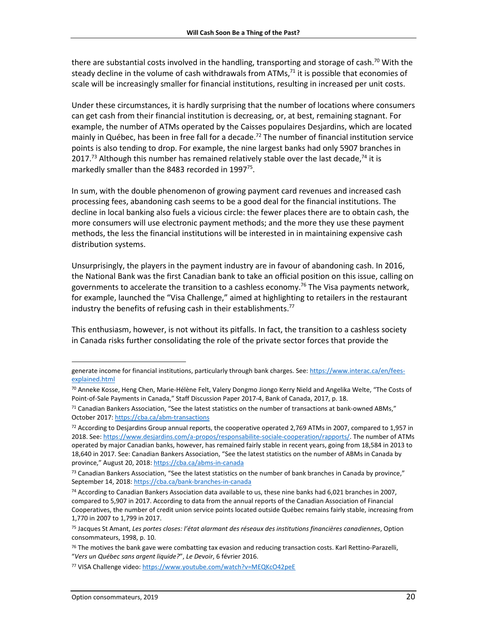there are substantial costs involved in the handling, transporting and storage of cash.<sup>70</sup> With the steady decline in the volume of cash withdrawals from ATMs,<sup>71</sup> it is possible that economies of scale will be increasingly smaller for financial institutions, resulting in increased per unit costs.

Under these circumstances, it is hardly surprising that the number of locations where consumers can get cash from their financial institution is decreasing, or, at best, remaining stagnant. For example, the number of ATMs operated by the Caisses populaires Desjardins, which are located mainly in Québec, has been in free fall for a decade.<sup>72</sup> The number of financial institution service points is also tending to drop. For example, the nine largest banks had only 5907 branches in 2017.<sup>73</sup> Although this number has remained relatively stable over the last decade,<sup>74</sup> it is markedly smaller than the 8483 recorded in 1997 $^{75}$ .

In sum, with the double phenomenon of growing payment card revenues and increased cash processing fees, abandoning cash seems to be a good deal for the financial institutions. The decline in local banking also fuels a vicious circle: the fewer places there are to obtain cash, the more consumers will use electronic payment methods; and the more they use these payment methods, the less the financial institutions will be interested in in maintaining expensive cash distribution systems.

Unsurprisingly, the players in the payment industry are in favour of abandoning cash. In 2016, the National Bank was the first Canadian bank to take an official position on this issue, calling on governments to accelerate the transition to a cashless economy. <sup>76</sup> The Visa payments network, for example, launched the "Visa Challenge," aimed at highlighting to retailers in the restaurant industry the benefits of refusing cash in their establishments.<sup>77</sup>

This enthusiasm, however, is not without its pitfalls. In fact, the transition to a cashless society in Canada risks further consolidating the role of the private sector forces that provide the

generate income for financial institutions, particularly through bank charges. See: [https://www.interac.ca/en/fees](https://www.interac.ca/en/fees-explained.html)[explained.html](https://www.interac.ca/en/fees-explained.html)

<sup>70</sup> Anneke Kosse, Heng Chen, Marie-Hélène Felt, Valery Dongmo Jiongo Kerry Nield and Angelika Welte, "The Costs of Point-of-Sale Payments in Canada," Staff Discussion Paper 2017-4, Bank of Canada, 2017, p. 18.

 $71$  Canadian Bankers Association, "See the latest statistics on the number of transactions at bank-owned ABMs," October 2017[: https://cba.ca/abm-transactions](https://cba.ca/abm-transactions)

<sup>&</sup>lt;sup>72</sup> According to Desjardins Group annual reports, the cooperative operated 2,769 ATMs in 2007, compared to 1,957 in 2018. See: [https://www.desjardins.com/a-propos/responsabilite-sociale-cooperation/rapports/.](https://www.desjardins.com/a-propos/responsabilite-sociale-cooperation/rapports/) The number of ATMs operated by major Canadian banks, however, has remained fairly stable in recent years, going from 18,584 in 2013 to 18,640 in 2017. See: Canadian Bankers Association, "See the latest statistics on the number of ABMs in Canada by province," August 20, 2018[: https://cba.ca/abms-in-canada](https://cba.ca/abms-in-canada)

 $73$  Canadian Bankers Association, "See the latest statistics on the number of bank branches in Canada by province," September 14, 2018[: https://cba.ca/bank-branches-in-canada](https://cba.ca/bank-branches-in-canada)

<sup>&</sup>lt;sup>74</sup> According to Canadian Bankers Association data available to us, these nine banks had 6,021 branches in 2007, compared to 5,907 in 2017. According to data from the annual reports of the Canadian Association of Financial Cooperatives, the number of credit union service points located outside Québec remains fairly stable, increasing from 1,770 in 2007 to 1,799 in 2017.

<sup>75</sup> Jacques St Amant, *Les portes closes: l'état alarmant des réseaux des institutions financières canadiennes*, Option consommateurs, 1998, p. 10.

<sup>&</sup>lt;sup>76</sup> The motives the bank gave were combatting tax evasion and reducing transaction costs. Karl Rettino-Parazelli, "*Vers un Québec sans argent liquide?*", *Le Devoir*, 6 février 2016.

<sup>77</sup> VISA Challenge video[: https://www.youtube.com/watch?v=MEQKcO42peE](https://www.youtube.com/watch?v=MEQKcO42peE)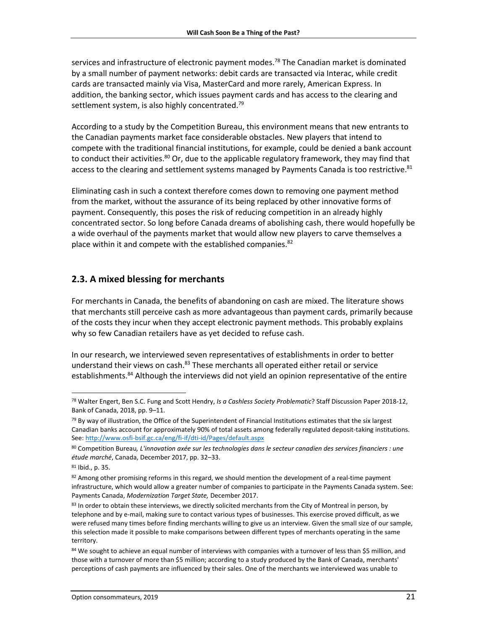services and infrastructure of electronic payment modes.<sup>78</sup> The Canadian market is dominated by a small number of payment networks: debit cards are transacted via Interac, while credit cards are transacted mainly via Visa, MasterCard and more rarely, American Express. In addition, the banking sector, which issues payment cards and has access to the clearing and settlement system, is also highly concentrated.<sup>79</sup>

According to a study by the Competition Bureau, this environment means that new entrants to the Canadian payments market face considerable obstacles. New players that intend to compete with the traditional financial institutions, for example, could be denied a bank account to conduct their activities.<sup>80</sup> Or, due to the applicable regulatory framework, they may find that access to the clearing and settlement systems managed by Payments Canada is too restrictive.<sup>81</sup>

Eliminating cash in such a context therefore comes down to removing one payment method from the market, without the assurance of its being replaced by other innovative forms of payment. Consequently, this poses the risk of reducing competition in an already highly concentrated sector. So long before Canada dreams of abolishing cash, there would hopefully be a wide overhaul of the payments market that would allow new players to carve themselves a place within it and compete with the established companies.<sup>82</sup>

### <span id="page-20-0"></span>**2.3. A mixed blessing for merchants**

For merchants in Canada, the benefits of abandoning on cash are mixed. The literature shows that merchants still perceive cash as more advantageous than payment cards, primarily because of the costs they incur when they accept electronic payment methods. This probably explains why so few Canadian retailers have as yet decided to refuse cash.

In our research, we interviewed seven representatives of establishments in order to better understand their views on cash.<sup>83</sup> These merchants all operated either retail or service establishments.<sup>84</sup> Although the interviews did not yield an opinion representative of the entire

<sup>78</sup> Walter Engert, Ben S.C. Fung and Scott Hendry, *Is a Cashless Society Problematic*? Staff Discussion Paper 2018-12, Bank of Canada, 2018, pp. 9–11.

 $79$  By way of illustration, the Office of the Superintendent of Financial Institutions estimates that the six largest Canadian banks account for approximately 90% of total assets among federally regulated deposit-taking institutions. See[: http://www.osfi-bsif.gc.ca/eng/fi-if/dti-id/Pages/default.aspx](http://www.osfi-bsif.gc.ca/eng/fi-if/dti-id/Pages/default.aspx)

<sup>80</sup> Competition Bureau*, L'innovation axée sur les technologies dans le secteur canadien des services financiers : une étude marché*, Canada, December 2017, pp. 32–33.

<sup>81</sup> Ibid., p. 35.

 $82$  Among other promising reforms in this regard, we should mention the development of a real-time payment infrastructure, which would allow a greater number of companies to participate in the Payments Canada system. See: Payments Canada, *Modernization Target State,* December 2017.

<sup>83</sup> In order to obtain these interviews, we directly solicited merchants from the City of Montreal in person, by telephone and by e-mail, making sure to contact various types of businesses. This exercise proved difficult, as we were refused many times before finding merchants willing to give us an interview. Given the small size of our sample, this selection made it possible to make comparisons between different types of merchants operating in the same territory.

<sup>84</sup> We sought to achieve an equal number of interviews with companies with a turnover of less than \$5 million, and those with a turnover of more than \$5 million; according to a study produced by the Bank of Canada, merchants' perceptions of cash payments are influenced by their sales. One of the merchants we interviewed was unable to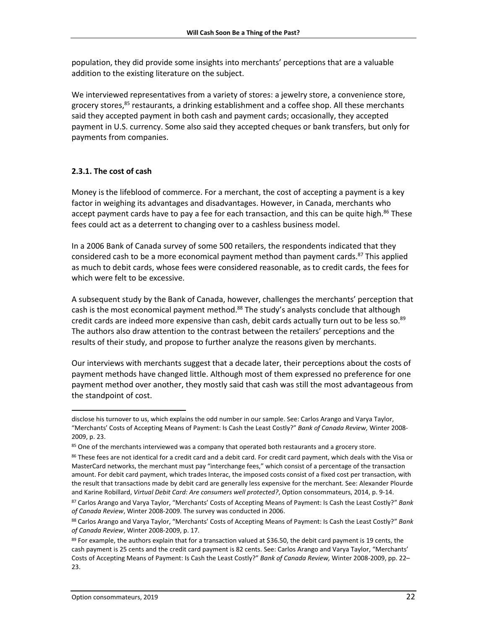population, they did provide some insights into merchants' perceptions that are a valuable addition to the existing literature on the subject.

We interviewed representatives from a variety of stores: a jewelry store, a convenience store, grocery stores,<sup>85</sup> restaurants, a drinking establishment and a coffee shop. All these merchants said they accepted payment in both cash and payment cards; occasionally, they accepted payment in U.S. currency. Some also said they accepted cheques or bank transfers, but only for payments from companies.

#### <span id="page-21-0"></span>**2.3.1. The cost of cash**

Money is the lifeblood of commerce. For a merchant, the cost of accepting a payment is a key factor in weighing its advantages and disadvantages. However, in Canada, merchants who accept payment cards have to pay a fee for each transaction, and this can be quite high.<sup>86</sup> These fees could act as a deterrent to changing over to a cashless business model.

In a 2006 Bank of Canada survey of some 500 retailers, the respondents indicated that they considered cash to be a more economical payment method than payment cards.<sup>87</sup> This applied as much to debit cards, whose fees were considered reasonable, as to credit cards, the fees for which were felt to be excessive.

A subsequent study by the Bank of Canada, however, challenges the merchants' perception that cash is the most economical payment method.<sup>88</sup> The study's analysts conclude that although credit cards are indeed more expensive than cash, debit cards actually turn out to be less so.<sup>89</sup> The authors also draw attention to the contrast between the retailers' perceptions and the results of their study, and propose to further analyze the reasons given by merchants.

Our interviews with merchants suggest that a decade later, their perceptions about the costs of payment methods have changed little. Although most of them expressed no preference for one payment method over another, they mostly said that cash was still the most advantageous from the standpoint of cost.

l disclose his turnover to us, which explains the odd number in our sample. See: Carlos Arango and Varya Taylor, "Merchants' Costs of Accepting Means of Payment: Is Cash the Least Costly?" *Bank of Canada Review,* Winter 2008- 2009, p. 23.

<sup>&</sup>lt;sup>85</sup> One of the merchants interviewed was a company that operated both restaurants and a grocery store.

<sup>86</sup> These fees are not identical for a credit card and a debit card. For credit card payment, which deals with the Visa or MasterCard networks, the merchant must pay "interchange fees," which consist of a percentage of the transaction amount. For debit card payment, which trades Interac, the imposed costs consist of a fixed cost per transaction, with the result that transactions made by debit card are generally less expensive for the merchant. See: Alexander Plourde and Karine Robillard, *Virtual Debit Card: Are consumers well protected?*, Option consommateurs, 2014, p. 9-14.

<sup>87</sup> Carlos Arango and Varya Taylor, "Merchants' Costs of Accepting Means of Payment: Is Cash the Least Costly?" *Bank of Canada Review*, Winter 2008-2009. The survey was conducted in 2006.

<sup>88</sup> Carlos Arango and Varya Taylor, "Merchants' Costs of Accepting Means of Payment: Is Cash the Least Costly?" *Bank of Canada Review*, Winter 2008-2009, p. 17.

 $89$  For example, the authors explain that for a transaction valued at \$36.50, the debit card payment is 19 cents, the cash payment is 25 cents and the credit card payment is 82 cents. See: Carlos Arango and Varya Taylor, "Merchants' Costs of Accepting Means of Payment: Is Cash the Least Costly?" *Bank of Canada Review,* Winter 2008-2009, pp. 22– 23.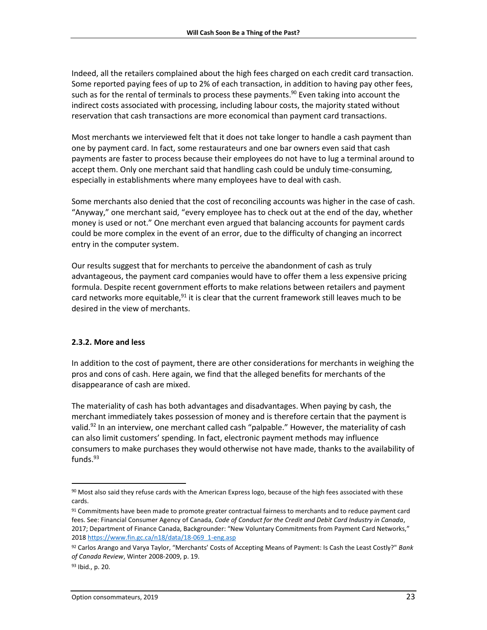Indeed, all the retailers complained about the high fees charged on each credit card transaction. Some reported paying fees of up to 2% of each transaction, in addition to having pay other fees, such as for the rental of terminals to process these payments. <sup>90</sup> Even taking into account the indirect costs associated with processing, including labour costs, the majority stated without reservation that cash transactions are more economical than payment card transactions.

Most merchants we interviewed felt that it does not take longer to handle a cash payment than one by payment card. In fact, some restaurateurs and one bar owners even said that cash payments are faster to process because their employees do not have to lug a terminal around to accept them. Only one merchant said that handling cash could be unduly time-consuming, especially in establishments where many employees have to deal with cash.

Some merchants also denied that the cost of reconciling accounts was higher in the case of cash. "Anyway," one merchant said, "every employee has to check out at the end of the day, whether money is used or not." One merchant even argued that balancing accounts for payment cards could be more complex in the event of an error, due to the difficulty of changing an incorrect entry in the computer system.

Our results suggest that for merchants to perceive the abandonment of cash as truly advantageous, the payment card companies would have to offer them a less expensive pricing formula. Despite recent government efforts to make relations between retailers and payment card networks more equitable,<sup>91</sup> it is clear that the current framework still leaves much to be desired in the view of merchants.

### <span id="page-22-0"></span>**2.3.2. More and less**

In addition to the cost of payment, there are other considerations for merchants in weighing the pros and cons of cash. Here again, we find that the alleged benefits for merchants of the disappearance of cash are mixed.

The materiality of cash has both advantages and disadvantages. When paying by cash, the merchant immediately takes possession of money and is therefore certain that the payment is valid.<sup>92</sup> In an interview, one merchant called cash "palpable." However, the materiality of cash can also limit customers' spending. In fact, electronic payment methods may influence consumers to make purchases they would otherwise not have made, thanks to the availability of funds. 93

 $\overline{a}$ 

 $90$  Most also said they refuse cards with the American Express logo, because of the high fees associated with these cards.

<sup>91</sup> Commitments have been made to promote greater contractual fairness to merchants and to reduce payment card fees. See: Financial Consumer Agency of Canada, *Code of Conduct for the Credit and Debit Card Industry in Canada*, 2017; Department of Finance Canada, Backgrounder: "New Voluntary Commitments from Payment Card Networks," 2018 [https://www.fin.gc.ca/n18/data/18-069\\_1-eng.asp](https://www.fin.gc.ca/n18/data/18-069_1-eng.asp)

<sup>92</sup> Carlos Arango and Varya Taylor, "Merchants' Costs of Accepting Means of Payment: Is Cash the Least Costly?" *Bank of Canada Review*, Winter 2008-2009, p. 19.

<sup>93</sup> Ibid., p. 20.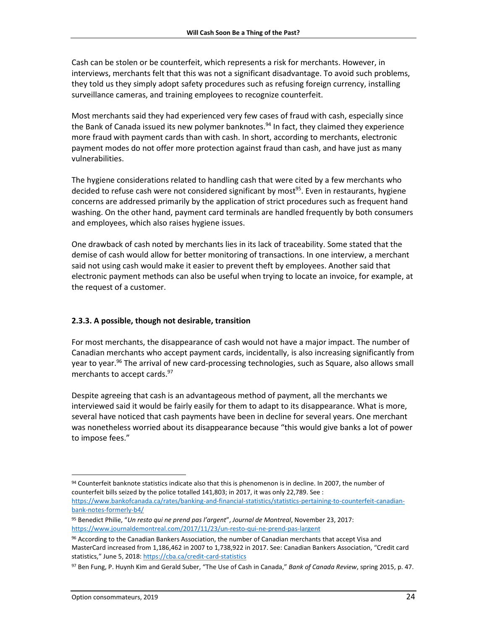Cash can be stolen or be counterfeit, which represents a risk for merchants. However, in interviews, merchants felt that this was not a significant disadvantage. To avoid such problems, they told us they simply adopt safety procedures such as refusing foreign currency, installing surveillance cameras, and training employees to recognize counterfeit.

Most merchants said they had experienced very few cases of fraud with cash, especially since the Bank of Canada issued its new polymer banknotes.<sup>94</sup> In fact, they claimed they experience more fraud with payment cards than with cash. In short, according to merchants, electronic payment modes do not offer more protection against fraud than cash, and have just as many vulnerabilities.

The hygiene considerations related to handling cash that were cited by a few merchants who decided to refuse cash were not considered significant by most<sup>95</sup>. Even in restaurants, hygiene concerns are addressed primarily by the application of strict procedures such as frequent hand washing. On the other hand, payment card terminals are handled frequently by both consumers and employees, which also raises hygiene issues.

One drawback of cash noted by merchants lies in its lack of traceability. Some stated that the demise of cash would allow for better monitoring of transactions. In one interview, a merchant said not using cash would make it easier to prevent theft by employees. Another said that electronic payment methods can also be useful when trying to locate an invoice, for example, at the request of a customer.

### <span id="page-23-0"></span>**2.3.3. A possible, though not desirable, transition**

For most merchants, the disappearance of cash would not have a major impact. The number of Canadian merchants who accept payment cards, incidentally, is also increasing significantly from year to year.<sup>96</sup> The arrival of new card-processing technologies, such as Square, also allows small merchants to accept cards. 97

Despite agreeing that cash is an advantageous method of payment, all the merchants we interviewed said it would be fairly easily for them to adapt to its disappearance. What is more, several have noticed that cash payments have been in decline for several years. One merchant was nonetheless worried about its disappearance because "this would give banks a lot of power to impose fees."

 $\overline{a}$ 

<sup>94</sup> Counterfeit banknote statistics indicate also that this is phenomenon is in decline. In 2007, the number of counterfeit bills seized by the police totalled 141,803; in 2017, it was only 22,789. See :

[https://www.bankofcanada.ca/rates/banking-and-financial-statistics/statistics-pertaining-to-counterfeit-canadian](https://www.bankofcanada.ca/rates/banking-and-financial-statistics/statistics-pertaining-to-counterfeit-canadian-bank-notes-formerly-b4/)[bank-notes-formerly-b4/](https://www.bankofcanada.ca/rates/banking-and-financial-statistics/statistics-pertaining-to-counterfeit-canadian-bank-notes-formerly-b4/)

<sup>95</sup> Benedict Philie, "*Un resto qui ne prend pas l'argent*", *Journal de Montreal*, November 23, 2017: <https://www.journaldemontreal.com/2017/11/23/un-resto-qui-ne-prend-pas-largent>

<sup>96</sup> According to the Canadian Bankers Association, the number of Canadian merchants that accept Visa and MasterCard increased from 1,186,462 in 2007 to 1,738,922 in 2017. See: Canadian Bankers Association, "Credit card statistics," June 5, 2018[: https://cba.ca/credit-card-statistics](https://cba.ca/credit-card-statistics)

<sup>97</sup> Ben Fung, P. Huynh Kim and Gerald Suber, "The Use of Cash in Canada," *Bank of Canada Review*, spring 2015, p. 47.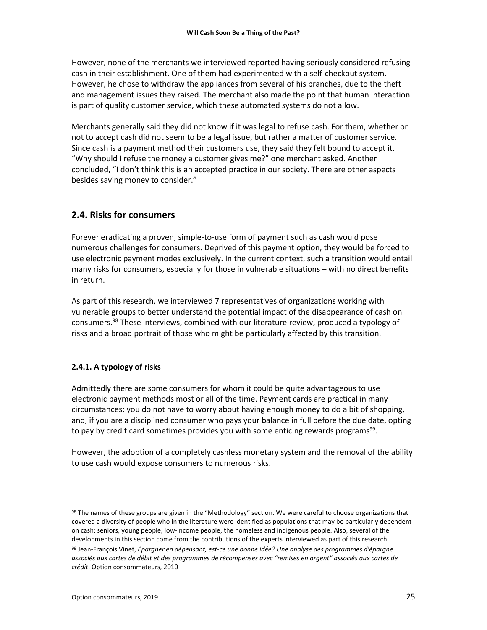However, none of the merchants we interviewed reported having seriously considered refusing cash in their establishment. One of them had experimented with a self-checkout system. However, he chose to withdraw the appliances from several of his branches, due to the theft and management issues they raised. The merchant also made the point that human interaction is part of quality customer service, which these automated systems do not allow.

Merchants generally said they did not know if it was legal to refuse cash. For them, whether or not to accept cash did not seem to be a legal issue, but rather a matter of customer service. Since cash is a payment method their customers use, they said they felt bound to accept it. "Why should I refuse the money a customer gives me?" one merchant asked. Another concluded, "I don't think this is an accepted practice in our society. There are other aspects besides saving money to consider."

### <span id="page-24-0"></span>**2.4. Risks for consumers**

Forever eradicating a proven, simple-to-use form of payment such as cash would pose numerous challenges for consumers. Deprived of this payment option, they would be forced to use electronic payment modes exclusively. In the current context, such a transition would entail many risks for consumers, especially for those in vulnerable situations – with no direct benefits in return.

As part of this research, we interviewed 7 representatives of organizations working with vulnerable groups to better understand the potential impact of the disappearance of cash on consumers.<sup>98</sup> These interviews, combined with our literature review, produced a typology of risks and a broad portrait of those who might be particularly affected by this transition.

### <span id="page-24-1"></span>**2.4.1. A typology of risks**

Admittedly there are some consumers for whom it could be quite advantageous to use electronic payment methods most or all of the time. Payment cards are practical in many circumstances; you do not have to worry about having enough money to do a bit of shopping, and, if you are a disciplined consumer who pays your balance in full before the due date, opting to pay by credit card sometimes provides you with some enticing rewards programs<sup>99</sup>.

However, the adoption of a completely cashless monetary system and the removal of the ability to use cash would expose consumers to numerous risks.

<sup>98</sup> The names of these groups are given in the "Methodology" section. We were careful to choose organizations that covered a diversity of people who in the literature were identified as populations that may be particularly dependent on cash: seniors, young people, low-income people, the homeless and indigenous people. Also, several of the developments in this section come from the contributions of the experts interviewed as part of this research.

<sup>99</sup> Jean-François Vinet, *Épargner en dépensant, est-ce une bonne idée? Une analyse des programmes d'épargne associés aux cartes de débit et des programmes de récompenses avec "remises en argent" associés aux cartes de crédit*, Option consommateurs, 2010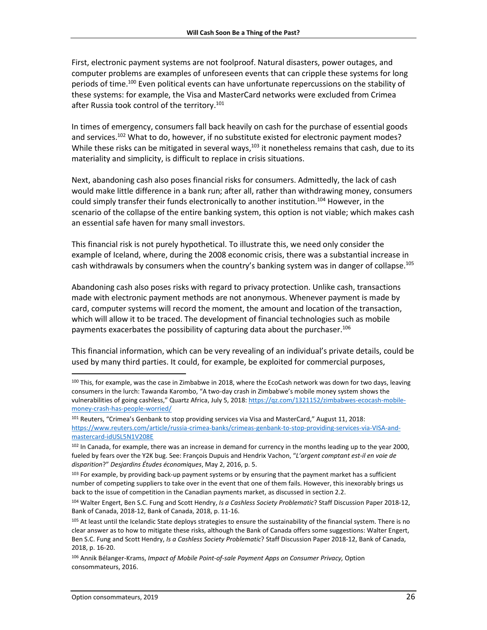First, electronic payment systems are not foolproof. Natural disasters, power outages, and computer problems are examples of unforeseen events that can cripple these systems for long periods of time.<sup>100</sup> Even political events can have unfortunate repercussions on the stability of these systems: for example, the Visa and MasterCard networks were excluded from Crimea after Russia took control of the territory. 101

In times of emergency, consumers fall back heavily on cash for the purchase of essential goods and services.<sup>102</sup> What to do, however, if no substitute existed for electronic payment modes? While these risks can be mitigated in several ways,<sup>103</sup> it nonetheless remains that cash, due to its materiality and simplicity, is difficult to replace in crisis situations.

Next, abandoning cash also poses financial risks for consumers. Admittedly, the lack of cash would make little difference in a bank run; after all, rather than withdrawing money, consumers could simply transfer their funds electronically to another institution.<sup>104</sup> However, in the scenario of the collapse of the entire banking system, this option is not viable; which makes cash an essential safe haven for many small investors.

This financial risk is not purely hypothetical. To illustrate this, we need only consider the example of Iceland, where, during the 2008 economic crisis, there was a substantial increase in cash withdrawals by consumers when the country's banking system was in danger of collapse.<sup>105</sup>

Abandoning cash also poses risks with regard to privacy protection. Unlike cash, transactions made with electronic payment methods are not anonymous. Whenever payment is made by card, computer systems will record the moment, the amount and location of the transaction, which will allow it to be traced. The development of financial technologies such as mobile payments exacerbates the possibility of capturing data about the purchaser.<sup>106</sup>

This financial information, which can be very revealing of an individual's private details, could be used by many third parties. It could, for example, be exploited for commercial purposes,

<sup>&</sup>lt;sup>100</sup> This, for example, was the case in Zimbabwe in 2018, where the EcoCash network was down for two days, leaving consumers in the lurch: Tawanda Karombo, "A two-day crash in Zimbabwe's mobile money system shows the vulnerabilities of going cashless," Quartz Africa, July 5, 2018: [https://qz.com/1321152/zimbabwes-ecocash-mobile](https://qz.com/1321152/zimbabwes-ecocash-mobile-money-crash-has-people-worried/)[money-crash-has-people-worried/](https://qz.com/1321152/zimbabwes-ecocash-mobile-money-crash-has-people-worried/)

<sup>&</sup>lt;sup>101</sup> Reuters, "Crimea's Genbank to stop providing services via Visa and MasterCard," August 11, 2018: [https://www.reuters.com/article/russia-crimea-banks/crimeas-genbank-to-stop-providing-services-via-VISA-and](https://www.reuters.com/article/russia-crimea-banks/crimeas-genbank-to-stop-providing-services-via-visa-and-mastercard-idUSL5N1V208E)[mastercard-idUSL5N1V208E](https://www.reuters.com/article/russia-crimea-banks/crimeas-genbank-to-stop-providing-services-via-visa-and-mastercard-idUSL5N1V208E)

<sup>&</sup>lt;sup>102</sup> In Canada, for example, there was an increase in demand for currency in the months leading up to the year 2000, fueled by fears over the Y2K bug. See: François Dupuis and Hendrix Vachon, "*L'argent comptant est-il en voie de disparition*?" *Desjardins Études économiques*, May 2, 2016, p. 5.

<sup>103</sup> For example, by providing back-up payment systems or by ensuring that the payment market has a sufficient number of competing suppliers to take over in the event that one of them fails. However, this inexorably brings us back to the issue of competition in the Canadian payments market, as discussed in section 2.2.

<sup>104</sup> Walter Engert, Ben S.C. Fung and Scott Hendry, *Is a Cashless Society Problematic*? Staff Discussion Paper 2018-12, Bank of Canada, 2018-12, Bank of Canada, 2018, p. 11-16.

<sup>105</sup> At least until the Icelandic State deploys strategies to ensure the sustainability of the financial system. There is no clear answer as to how to mitigate these risks, although the Bank of Canada offers some suggestions: Walter Engert, Ben S.C. Fung and Scott Hendry, *Is a Cashless Society Problematic*? Staff Discussion Paper 2018-12, Bank of Canada, 2018, p. 16-20.

<sup>106</sup> Annik Bélanger-Krams, *Impact of Mobile Point-of-sale Payment Apps on Consumer Privacy,* Option consommateurs, 2016.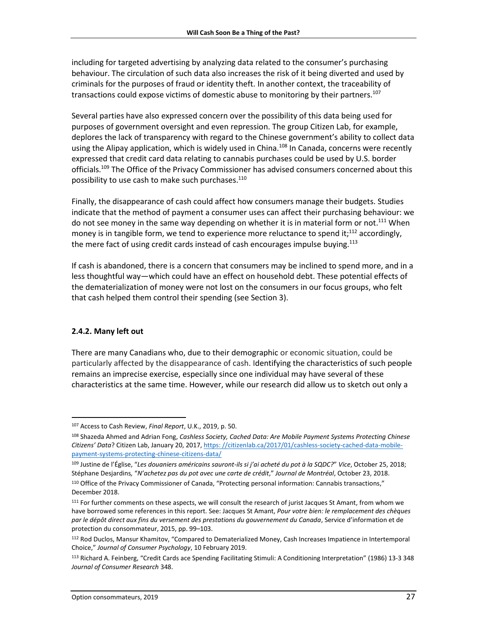including for targeted advertising by analyzing data related to the consumer's purchasing behaviour. The circulation of such data also increases the risk of it being diverted and used by criminals for the purposes of fraud or identity theft. In another context, the traceability of transactions could expose victims of domestic abuse to monitoring by their partners.<sup>107</sup>

Several parties have also expressed concern over the possibility of this data being used for purposes of government oversight and even repression. The group Citizen Lab, for example, deplores the lack of transparency with regard to the Chinese government's ability to collect data using the Alipay application, which is widely used in China.<sup>108</sup> In Canada, concerns were recently expressed that credit card data relating to cannabis purchases could be used by U.S. border officials.<sup>109</sup> The Office of the Privacy Commissioner has advised consumers concerned about this possibility to use cash to make such purchases. 110

Finally, the disappearance of cash could affect how consumers manage their budgets. Studies indicate that the method of payment a consumer uses can affect their purchasing behaviour: we do not see money in the same way depending on whether it is in material form or not.<sup>111</sup> When money is in tangible form, we tend to experience more reluctance to spend it;<sup>112</sup> accordingly, the mere fact of using credit cards instead of cash encourages impulse buying.<sup>113</sup>

If cash is abandoned, there is a concern that consumers may be inclined to spend more, and in a less thoughtful way—which could have an effect on household debt. These potential effects of the dematerialization of money were not lost on the consumers in our focus groups, who felt that cash helped them control their spending (see Section 3).

### <span id="page-26-0"></span>**2.4.2. Many left out**

l

There are many Canadians who, due to their demographic or economic situation, could be particularly affected by the disappearance of cash. Identifying the characteristics of such people remains an imprecise exercise, especially since one individual may have several of these characteristics at the same time. However, while our research did allow us to sketch out only a

<sup>107</sup> Access to Cash Review, *Final Report*, U.K., 2019, p. 50.

<sup>108</sup> Shazeda Ahmed and Adrian Fong, *Cashless Society, Cached Data: Are Mobile Payment Systems Protecting Chinese Citizens' Data*? Citizen Lab, January 20, 2017, [https: //citizenlab.ca/2017/01/cashless-society-cached-data-mobile](https://citizenlab.ca/2017/01/cashless-society-cached-data-mobile-payment-systems-protecting-chinese-citizens-data/)[payment-systems-protecting-chinese-citizens-data/](https://citizenlab.ca/2017/01/cashless-society-cached-data-mobile-payment-systems-protecting-chinese-citizens-data/)

<sup>109</sup> Justine de l'Église, "*Les douaniers américains sauront-ils si j'ai acheté du pot à la SQDC?*" *Vice*, October 25, 2018; Stéphane Desjardins*,* "*N'achetez pas du pot avec une carte de crédit*," *Journal de Montréal*, October 23, 2018. <sup>110</sup> Office of the Privacy Commissioner of Canada, "Protecting personal information: Cannabis transactions," December 2018.

<sup>&</sup>lt;sup>111</sup> For further comments on these aspects, we will consult the research of jurist Jacques St Amant, from whom we have borrowed some references in this report. See: Jacques St Amant, *Pour votre bien: le remplacement des chèques par le dépôt direct aux fins du versement des prestations du gouvernement du Canada*, Service d'information et de protection du consommateur, 2015, pp. 99–103.

<sup>112</sup> Rod Duclos, Mansur Khamitov, "Compared to Dematerialized Money, Cash Increases Impatience in Intertemporal Choice," *Journal of Consumer Psychology*, 10 February 2019.

<sup>113</sup> Richard A. Feinberg, "Credit Cards ace Spending Facilitating Stimuli: A Conditioning Interpretation" (1986) 13-3 348 *Journal of Consumer Research* 348.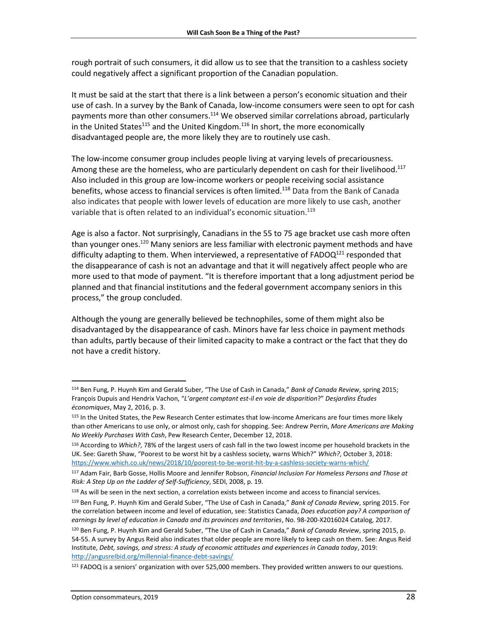rough portrait of such consumers, it did allow us to see that the transition to a cashless society could negatively affect a significant proportion of the Canadian population.

It must be said at the start that there is a link between a person's economic situation and their use of cash. In a survey by the Bank of Canada, low-income consumers were seen to opt for cash payments more than other consumers.<sup>114</sup> We observed similar correlations abroad, particularly in the United States<sup>115</sup> and the United Kingdom.<sup>116</sup> In short, the more economically disadvantaged people are, the more likely they are to routinely use cash.

The low-income consumer group includes people living at varying levels of precariousness. Among these are the homeless, who are particularly dependent on cash for their livelihood.<sup>117</sup> Also included in this group are low-income workers or people receiving social assistance benefits, whose access to financial services is often limited.<sup>118</sup> Data from the Bank of Canada also indicates that people with lower levels of education are more likely to use cash, another variable that is often related to an individual's economic situation.<sup>119</sup>

Age is also a factor. Not surprisingly, Canadians in the 55 to 75 age bracket use cash more often than younger ones.<sup>120</sup> Many seniors are less familiar with electronic payment methods and have difficulty adapting to them. When interviewed, a representative of  $FADOQ<sup>121</sup>$  responded that the disappearance of cash is not an advantage and that it will negatively affect people who are more used to that mode of payment. "It is therefore important that a long adjustment period be planned and that financial institutions and the federal government accompany seniors in this process," the group concluded.

Although the young are generally believed be technophiles, some of them might also be disadvantaged by the disappearance of cash. Minors have far less choice in payment methods than adults, partly because of their limited capacity to make a contract or the fact that they do not have a credit history.

<sup>114</sup> Ben Fung, P. Huynh Kim and Gerald Suber, "The Use of Cash in Canada," *Bank of Canada Review*, spring 2015; François Dupuis and Hendrix Vachon, "*L'argent comptant est-il en voie de disparition*?" *Desjardins Études économiques*, May 2, 2016, p. 3.

<sup>115</sup> In the United States, the Pew Research Center estimates that low-income Americans are four times more likely than other Americans to use only, or almost only, cash for shopping. See: Andrew Perrin, *More Americans are Making No Weekly Purchases With Cash*, Pew Research Center, December 12, 2018.

<sup>116</sup> According to *Which?*, 78% of the largest users of cash fall in the two lowest income per household brackets in the UK. See: Gareth Shaw, "Poorest to be worst hit by a cashless society, warns Which?" *Which?*, October 3, 2018: <https://www.which.co.uk/news/2018/10/poorest-to-be-worst-hit-by-a-cashless-society-warns-which/>

<sup>117</sup> Adam Fair, Barb Gosse, Hollis Moore and Jennifer Robson, *Financial Inclusion For Homeless Persons and Those at Risk: A Step Up on the Ladder of Self-Sufficiency*, SEDI, 2008, p. 19.

<sup>&</sup>lt;sup>118</sup> As will be seen in the next section, a correlation exists between income and access to financial services.

<sup>119</sup> Ben Fung, P. Huynh Kim and Gerald Suber, "The Use of Cash in Canada," *Bank of Canada Review*, spring 2015. For the correlation between income and level of education, see: Statistics Canada, *Does education pay? A comparison of earnings by level of education in Canada and its provinces and territories*, No. 98-200-X2016024 Catalog, 2017.

<sup>120</sup> Ben Fung, P. Huynh Kim and Gerald Suber, "The Use of Cash in Canada," *Bank of Canada Review*, spring 2015, p. 54-55. A survey by Angus Reid also indicates that older people are more likely to keep cash on them. See: Angus Reid Institute, *Debt, savings, and stress: A study of economic attitudes and experiences in Canada today*, 2019: [http://angusreIbid.org/millennial-finance-debt-savings/](http://angusreid.org/millennial-finance-debt-savings/)

<sup>121</sup> FADOQ is a seniors' organization with over 525,000 members. They provided written answers to our questions.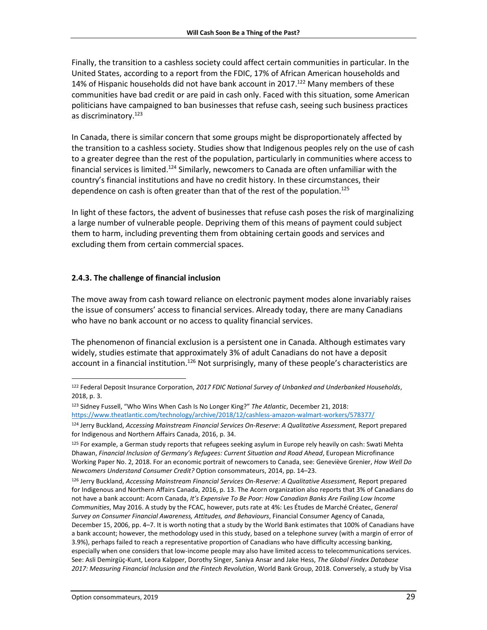Finally, the transition to a cashless society could affect certain communities in particular. In the United States, according to a report from the FDIC, 17% of African American households and 14% of Hispanic households did not have bank account in 2017.<sup>122</sup> Many members of these communities have bad credit or are paid in cash only. Faced with this situation, some American politicians have campaigned to ban businesses that refuse cash, seeing such business practices as discriminatory. 123

In Canada, there is similar concern that some groups might be disproportionately affected by the transition to a cashless society. Studies show that Indigenous peoples rely on the use of cash to a greater degree than the rest of the population, particularly in communities where access to financial services is limited.<sup>124</sup> Similarly, newcomers to Canada are often unfamiliar with the country's financial institutions and have no credit history. In these circumstances, their dependence on cash is often greater than that of the rest of the population.<sup>125</sup>

In light of these factors, the advent of businesses that refuse cash poses the risk of marginalizing a large number of vulnerable people. Depriving them of this means of payment could subject them to harm, including preventing them from obtaining certain goods and services and excluding them from certain commercial spaces.

#### <span id="page-28-0"></span>**2.4.3. The challenge of financial inclusion**

The move away from cash toward reliance on electronic payment modes alone invariably raises the issue of consumers' access to financial services. Already today, there are many Canadians who have no bank account or no access to quality financial services.

The phenomenon of financial exclusion is a persistent one in Canada. Although estimates vary widely, studies estimate that approximately 3% of adult Canadians do not have a deposit account in a financial institution.<sup>126</sup> Not surprisingly, many of these people's characteristics are

<sup>122</sup> Federal Deposit Insurance Corporation, *2017 FDIC National Survey of Unbanked and Underbanked Households*, 2018, p. 3.

<sup>123</sup> Sidney Fussell, "Who Wins When Cash Is No Longer King?" *The Atlantic*, December 21, 2018: <https://www.theatlantic.com/technology/archive/2018/12/cashless-amazon-walmart-workers/578377/>

<sup>124</sup> Jerry Buckland, *Accessing Mainstream Financial Services On-Reserve*: *A Qualitative Assessment,* Report prepared for Indigenous and Northern Affairs Canada, 2016, p. 34.

<sup>125</sup> For example, a German study reports that refugees seeking asylum in Europe rely heavily on cash: Swati Mehta Dhawan, *Financial Inclusion of Germany's Refugees: Current Situation and Road Ahead*, European Microfinance Working Paper No. 2, 2018. For an economic portrait of newcomers to Canada, see: Geneviève Grenier, *How Well Do Newcomers Understand Consumer Credit?* Option consommateurs, 2014, pp. 14–23.

<sup>126</sup> Jerry Buckland, *Accessing Mainstream Financial Services On-Reserve: A Qualitative Assessment,* Report prepared for Indigenous and Northern Affairs Canada, 2016, p. 13. The Acorn organization also reports that 3% of Canadians do not have a bank account: Acorn Canada, *It's Expensive To Be Poor: How Canadian Banks Are Failing Low Income Communities*, May 2016. A study by the FCAC, however, puts rate at 4%: Les Études de Marché Créatec, *General Survey on Consumer Financial Awareness, Attitudes, and Behaviours*, Financial Consumer Agency of Canada, December 15, 2006, pp. 4–7. It is worth noting that a study by the World Bank estimates that 100% of Canadians have a bank account; however, the methodology used in this study, based on a telephone survey (with a margin of error of 3.9%), perhaps failed to reach a representative proportion of Canadians who have difficulty accessing banking, especially when one considers that low-income people may also have limited access to telecommunications services. See: Asli Demirgüç-Kunt, Leora Kalpper, Dorothy Singer, Saniya Ansar and Jake Hess, *The Global Findex Database 2017: Measuring Financial Inclusion and the Fintech Revolution*, World Bank Group, 2018. Conversely, a study by Visa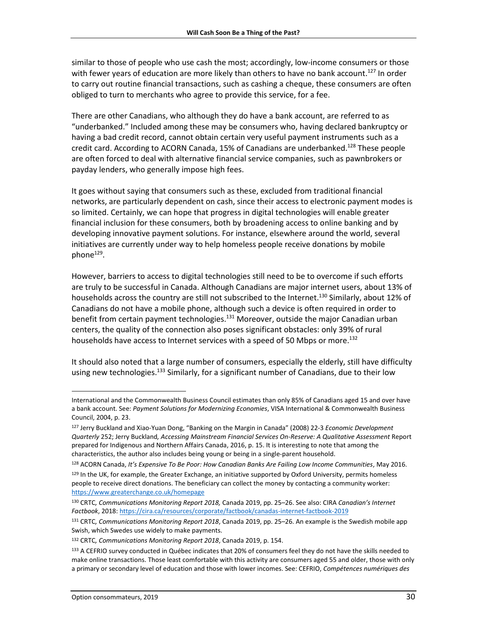similar to those of people who use cash the most; accordingly, low-income consumers or those with fewer years of education are more likely than others to have no bank account.<sup>127</sup> In order to carry out routine financial transactions, such as cashing a cheque, these consumers are often obliged to turn to merchants who agree to provide this service, for a fee.

There are other Canadians, who although they do have a bank account, are referred to as "underbanked." Included among these may be consumers who, having declared bankruptcy or having a bad credit record, cannot obtain certain very useful payment instruments such as a credit card. According to ACORN Canada, 15% of Canadians are underbanked.<sup>128</sup> These people are often forced to deal with alternative financial service companies, such as pawnbrokers or payday lenders, who generally impose high fees.

It goes without saying that consumers such as these, excluded from traditional financial networks, are particularly dependent on cash, since their access to electronic payment modes is so limited. Certainly, we can hope that progress in digital technologies will enable greater financial inclusion for these consumers, both by broadening access to online banking and by developing innovative payment solutions. For instance, elsewhere around the world, several initiatives are currently under way to help homeless people receive donations by mobile phone<sup>129</sup>.

However, barriers to access to digital technologies still need to be to overcome if such efforts are truly to be successful in Canada. Although Canadians are major internet users, about 13% of households across the country are still not subscribed to the Internet.<sup>130</sup> Similarly, about 12% of Canadians do not have a mobile phone, although such a device is often required in order to benefit from certain payment technologies.<sup>131</sup> Moreover, outside the major Canadian urban centers, the quality of the connection also poses significant obstacles: only 39% of rural households have access to Internet services with a speed of 50 Mbps or more.<sup>132</sup>

It should also noted that a large number of consumers, especially the elderly, still have difficulty using new technologies.<sup>133</sup> Similarly, for a significant number of Canadians, due to their low

l International and the Commonwealth Business Council estimates than only 85% of Canadians aged 15 and over have a bank account. See: *Payment Solutions for Modernizing Economies*, VISA International & Commonwealth Business Council, 2004, p. 23.

<sup>127</sup> Jerry Buckland and Xiao-Yuan Dong, "Banking on the Margin in Canada" (2008) 22-3 *Economic Development Quarterly* 252; Jerry Buckland*, Accessing Mainstream Financial Services On-Reserve: A Qualitative Assessment* Report prepared for Indigenous and Northern Affairs Canada, 2016, p. 15. It is interesting to note that among the characteristics, the author also includes being young or being in a single-parent household.

<sup>128</sup> ACORN Canada, *It's Expensive To Be Poor: How Canadian Banks Are Failing Low Income Communities*, May 2016.

<sup>&</sup>lt;sup>129</sup> In the UK, for example, the Greater Exchange, an initiative supported by Oxford University, permits homeless people to receive direct donations. The beneficiary can collect the money by contacting a community worker: <https://www.greaterchange.co.uk/homepage>

<sup>130</sup> CRTC*, Communications Monitoring Report 2018,* Canada 2019, pp. 25–26. See also: CIRA *Canadian's Internet Factbook*, 2018: <https://cira.ca/resources/corporate/factbook/canadas-internet-factbook-2019>

<sup>131</sup> CRTC*, Communications Monitoring Report 2018*, Canada 2019, pp. 25–26. An example is the Swedish mobile app Swish, which Swedes use widely to make payments.

<sup>132</sup> CRTC*, Communications Monitoring Report 2018*, Canada 2019, p. 154.

<sup>133</sup> A CEFRIO survey conducted in Québec indicates that 20% of consumers feel they do not have the skills needed to make online transactions. Those least comfortable with this activity are consumers aged 55 and older, those with only a primary or secondary level of education and those with lower incomes. See: CEFRIO, *Compétences numériques des*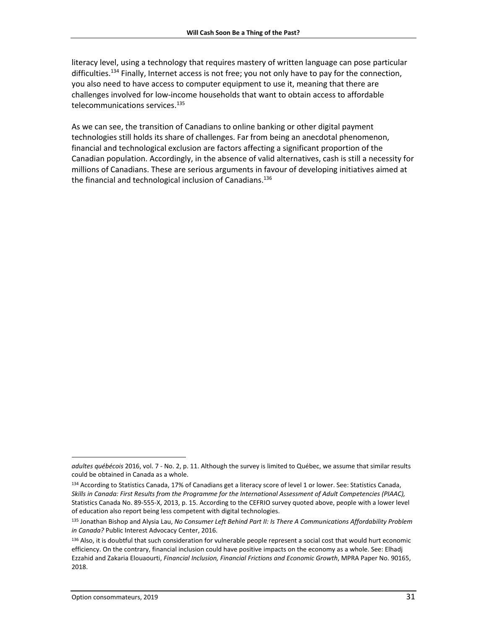literacy level, using a technology that requires mastery of written language can pose particular difficulties.<sup>134</sup> Finally, Internet access is not free; you not only have to pay for the connection, you also need to have access to computer equipment to use it, meaning that there are challenges involved for low-income households that want to obtain access to affordable telecommunications services. 135

As we can see, the transition of Canadians to online banking or other digital payment technologies still holds its share of challenges. Far from being an anecdotal phenomenon, financial and technological exclusion are factors affecting a significant proportion of the Canadian population. Accordingly, in the absence of valid alternatives, cash is still a necessity for millions of Canadians. These are serious arguments in favour of developing initiatives aimed at the financial and technological inclusion of Canadians. 136

l

*adultes québécois* 2016, vol. 7 - No. 2, p. 11. Although the survey is limited to Québec, we assume that similar results could be obtained in Canada as a whole.

<sup>134</sup> According to Statistics Canada, 17% of Canadians get a literacy score of level 1 or lower. See: Statistics Canada, *Skills in Canada: First Results from the Programme for the International Assessment of Adult Competencies (PIAAC),* Statistics Canada No. 89-555-X, 2013, p. 15. According to the CEFRIO survey quoted above, people with a lower level of education also report being less competent with digital technologies.

<sup>135</sup> Jonathan Bishop and Alysia Lau, *No Consumer Left Behind Part II: Is There A Communications Affordability Problem in Canada?* Public Interest Advocacy Center, 2016.

<sup>136</sup> Also, it is doubtful that such consideration for vulnerable people represent a social cost that would hurt economic efficiency. On the contrary, financial inclusion could have positive impacts on the economy as a whole. See: Elhadj Ezzahid and Zakaria Elouaourti, *Financial Inclusion, Financial Frictions and Economic Growth*, MPRA Paper No. 90165, 2018.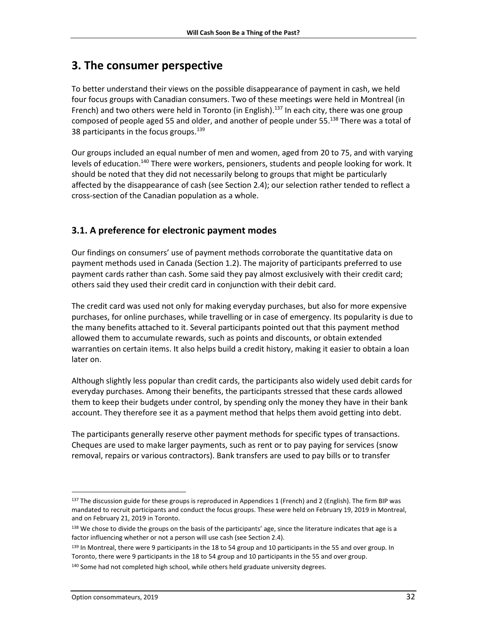## <span id="page-31-0"></span>**3. The consumer perspective**

To better understand their views on the possible disappearance of payment in cash, we held four focus groups with Canadian consumers. Two of these meetings were held in Montreal (in French) and two others were held in Toronto (in English).<sup>137</sup> In each city, there was one group composed of people aged 55 and older, and another of people under 55.<sup>138</sup> There was a total of 38 participants in the focus groups.<sup>139</sup>

Our groups included an equal number of men and women, aged from 20 to 75, and with varying levels of education.<sup>140</sup> There were workers, pensioners, students and people looking for work. It should be noted that they did not necessarily belong to groups that might be particularly affected by the disappearance of cash (see Section 2.4); our selection rather tended to reflect a cross-section of the Canadian population as a whole.

## <span id="page-31-1"></span>**3.1. A preference for electronic payment modes**

Our findings on consumers' use of payment methods corroborate the quantitative data on payment methods used in Canada (Section 1.2). The majority of participants preferred to use payment cards rather than cash. Some said they pay almost exclusively with their credit card; others said they used their credit card in conjunction with their debit card.

The credit card was used not only for making everyday purchases, but also for more expensive purchases, for online purchases, while travelling or in case of emergency. Its popularity is due to the many benefits attached to it. Several participants pointed out that this payment method allowed them to accumulate rewards, such as points and discounts, or obtain extended warranties on certain items. It also helps build a credit history, making it easier to obtain a loan later on.

Although slightly less popular than credit cards, the participants also widely used debit cards for everyday purchases. Among their benefits, the participants stressed that these cards allowed them to keep their budgets under control, by spending only the money they have in their bank account. They therefore see it as a payment method that helps them avoid getting into debt.

The participants generally reserve other payment methods for specific types of transactions. Cheques are used to make larger payments, such as rent or to pay paying for services (snow removal, repairs or various contractors). Bank transfers are used to pay bills or to transfer

<sup>137</sup> The discussion guide for these groups is reproduced in Appendices 1 (French) and 2 (English). The firm BIP was mandated to recruit participants and conduct the focus groups. These were held on February 19, 2019 in Montreal, and on February 21, 2019 in Toronto.

<sup>138</sup> We chose to divide the groups on the basis of the participants' age, since the literature indicates that age is a factor influencing whether or not a person will use cash (see Section 2.4).

<sup>139</sup> In Montreal, there were 9 participants in the 18 to 54 group and 10 participants in the 55 and over group. In Toronto, there were 9 participants in the 18 to 54 group and 10 participants in the 55 and over group.

<sup>&</sup>lt;sup>140</sup> Some had not completed high school, while others held graduate university degrees.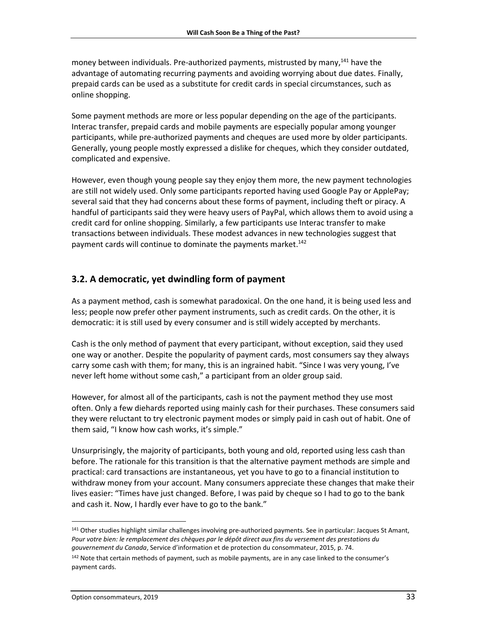money between individuals. Pre-authorized payments, mistrusted by many,<sup>141</sup> have the advantage of automating recurring payments and avoiding worrying about due dates. Finally, prepaid cards can be used as a substitute for credit cards in special circumstances, such as online shopping.

Some payment methods are more or less popular depending on the age of the participants. Interac transfer, prepaid cards and mobile payments are especially popular among younger participants, while pre-authorized payments and cheques are used more by older participants. Generally, young people mostly expressed a dislike for cheques, which they consider outdated, complicated and expensive.

However, even though young people say they enjoy them more, the new payment technologies are still not widely used. Only some participants reported having used Google Pay or ApplePay; several said that they had concerns about these forms of payment, including theft or piracy. A handful of participants said they were heavy users of PayPal, which allows them to avoid using a credit card for online shopping. Similarly, a few participants use Interac transfer to make transactions between individuals. These modest advances in new technologies suggest that payment cards will continue to dominate the payments market.<sup>142</sup>

## <span id="page-32-0"></span>**3.2. A democratic, yet dwindling form of payment**

As a payment method, cash is somewhat paradoxical. On the one hand, it is being used less and less; people now prefer other payment instruments, such as credit cards. On the other, it is democratic: it is still used by every consumer and is still widely accepted by merchants.

Cash is the only method of payment that every participant, without exception, said they used one way or another. Despite the popularity of payment cards, most consumers say they always carry some cash with them; for many, this is an ingrained habit. "Since I was very young, I've never left home without some cash," a participant from an older group said.

However, for almost all of the participants, cash is not the payment method they use most often. Only a few diehards reported using mainly cash for their purchases. These consumers said they were reluctant to try electronic payment modes or simply paid in cash out of habit. One of them said, "I know how cash works, it's simple."

Unsurprisingly, the majority of participants, both young and old, reported using less cash than before. The rationale for this transition is that the alternative payment methods are simple and practical: card transactions are instantaneous, yet you have to go to a financial institution to withdraw money from your account. Many consumers appreciate these changes that make their lives easier: "Times have just changed. Before, I was paid by cheque so I had to go to the bank and cash it. Now, I hardly ever have to go to the bank."

 $\overline{a}$ 

<sup>141</sup> Other studies highlight similar challenges involving pre-authorized payments. See in particular: Jacques St Amant, *Pour votre bien: le remplacement des chèques par le dépôt direct aux fins du versement des prestations du gouvernement du Canada*, Service d'information et de protection du consommateur, 2015, p. 74.

<sup>&</sup>lt;sup>142</sup> Note that certain methods of payment, such as mobile payments, are in any case linked to the consumer's payment cards.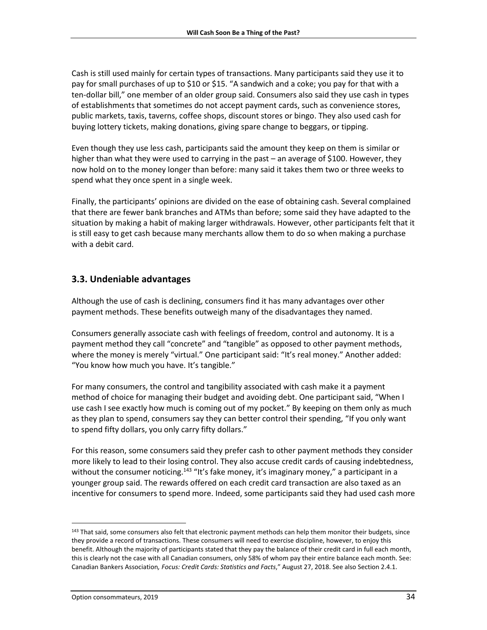Cash is still used mainly for certain types of transactions. Many participants said they use it to pay for small purchases of up to \$10 or \$15. "A sandwich and a coke; you pay for that with a ten-dollar bill," one member of an older group said. Consumers also said they use cash in types of establishments that sometimes do not accept payment cards, such as convenience stores, public markets, taxis, taverns, coffee shops, discount stores or bingo. They also used cash for buying lottery tickets, making donations, giving spare change to beggars, or tipping.

Even though they use less cash, participants said the amount they keep on them is similar or higher than what they were used to carrying in the past – an average of \$100. However, they now hold on to the money longer than before: many said it takes them two or three weeks to spend what they once spent in a single week.

Finally, the participants' opinions are divided on the ease of obtaining cash. Several complained that there are fewer bank branches and ATMs than before; some said they have adapted to the situation by making a habit of making larger withdrawals. However, other participants felt that it is still easy to get cash because many merchants allow them to do so when making a purchase with a debit card.

### <span id="page-33-0"></span>**3.3. Undeniable advantages**

Although the use of cash is declining, consumers find it has many advantages over other payment methods. These benefits outweigh many of the disadvantages they named.

Consumers generally associate cash with feelings of freedom, control and autonomy. It is a payment method they call "concrete" and "tangible" as opposed to other payment methods, where the money is merely "virtual." One participant said: "It's real money." Another added: "You know how much you have. It's tangible."

For many consumers, the control and tangibility associated with cash make it a payment method of choice for managing their budget and avoiding debt. One participant said, "When I use cash I see exactly how much is coming out of my pocket." By keeping on them only as much as they plan to spend, consumers say they can better control their spending, "If you only want to spend fifty dollars, you only carry fifty dollars."

For this reason, some consumers said they prefer cash to other payment methods they consider more likely to lead to their losing control. They also accuse credit cards of causing indebtedness, without the consumer noticing.<sup>143</sup> "It's fake money, it's imaginary money," a participant in a younger group said. The rewards offered on each credit card transaction are also taxed as an incentive for consumers to spend more. Indeed, some participants said they had used cash more

<sup>143</sup> That said, some consumers also felt that electronic payment methods can help them monitor their budgets, since they provide a record of transactions. These consumers will need to exercise discipline, however, to enjoy this benefit. Although the majority of participants stated that they pay the balance of their credit card in full each month, this is clearly not the case with all Canadian consumers, only 58% of whom pay their entire balance each month. See: Canadian Bankers Association*, Focus: Credit Cards: Statistics and Facts*," August 27, 2018. See also Section 2.4.1.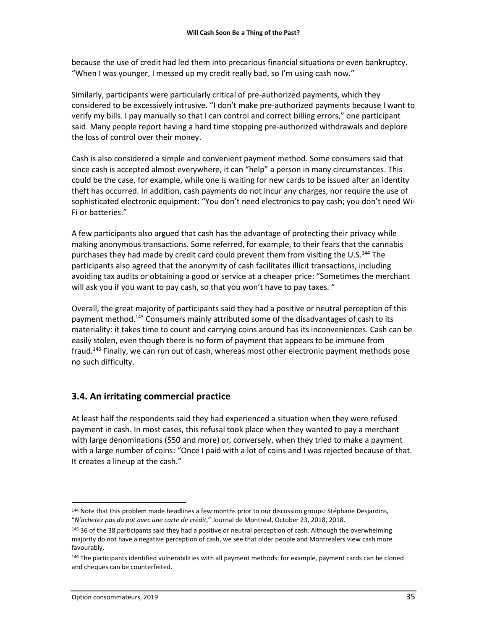because the use of credit had led them into precarious financial situations or even bankruptcy. "When I was younger, I messed up my credit really bad, so I'm using cash now."

Similarly, participants were particularly critical of pre-authorized payments, which they considered to be excessively intrusive. "I don't make pre-authorized payments because I want to verify my bills. I pay manually so that I can control and correct billing errors," one participant said. Many people report having a hard time stopping pre-authorized withdrawals and deplore the loss of control over their money.

Cash is also considered a simple and convenient payment method. Some consumers said that since cash is accepted almost everywhere, it can "help" a person in many circumstances. This could be the case, for example, while one is waiting for new cards to be issued after an identity theft has occurred. In addition, cash payments do not incur any charges, nor require the use of sophisticated electronic equipment: "You don't need electronics to pay cash; you don't need Wi-Fi or batteries."

A few participants also argued that cash has the advantage of protecting their privacy while making anonymous transactions. Some referred, for example, to their fears that the cannabis purchases they had made by credit card could prevent them from visiting the U.S.<sup>144</sup> The participants also agreed that the anonymity of cash facilitates illicit transactions, including avoiding tax audits or obtaining a good or service at a cheaper price: "Sometimes the merchant will ask you if you want to pay cash, so that you won't have to pay taxes. "

Overall, the great majority of participants said they had a positive or neutral perception of this payment method.<sup>145</sup> Consumers mainly attributed some of the disadvantages of cash to its materiality: it takes time to count and carrying coins around has its inconveniences. Cash can be easily stolen, even though there is no form of payment that appears to be immune from fraud.<sup>146</sup> Finally, we can run out of cash, whereas most other electronic payment methods pose no such difficulty.

## <span id="page-34-0"></span>**3.4. An irritating commercial practice**

At least half the respondents said they had experienced a situation when they were refused payment in cash. In most cases, this refusal took place when they wanted to pay a merchant with large denominations (\$50 and more) or, conversely, when they tried to make a payment with a large number of coins: "Once I paid with a lot of coins and I was rejected because of that. It creates a lineup at the cash."

 $\overline{a}$ 

<sup>144</sup> Note that this problem made headlines a few months prior to our discussion groups: Stéphane Desjardins, "*N'achetez pas du pot avec une carte de crédit*," Journal de Montréal, October 23, 2018, 2018.

<sup>&</sup>lt;sup>145</sup> 36 of the 38 participants said they had a positive or neutral perception of cash. Although the overwhelming majority do not have a negative perception of cash, we see that older people and Montrealers view cash more favourably.

<sup>&</sup>lt;sup>146</sup> The participants identified vulnerabilities with all payment methods: for example, payment cards can be cloned and cheques can be counterfeited.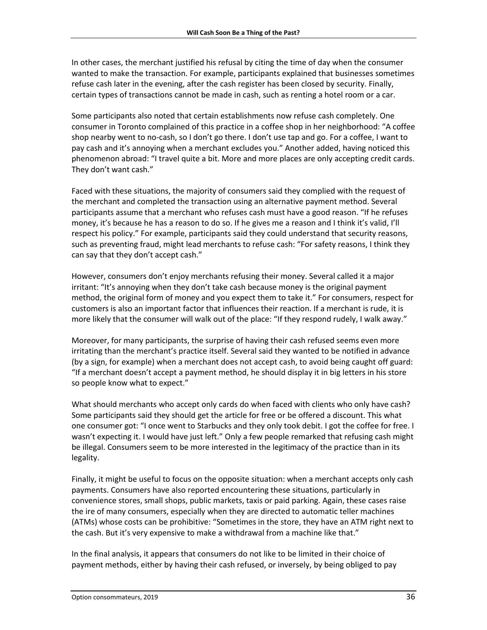In other cases, the merchant justified his refusal by citing the time of day when the consumer wanted to make the transaction. For example, participants explained that businesses sometimes refuse cash later in the evening, after the cash register has been closed by security. Finally, certain types of transactions cannot be made in cash, such as renting a hotel room or a car.

Some participants also noted that certain establishments now refuse cash completely. One consumer in Toronto complained of this practice in a coffee shop in her neighborhood: "A coffee shop nearby went to no-cash, so I don't go there. I don't use tap and go. For a coffee, I want to pay cash and it's annoying when a merchant excludes you." Another added, having noticed this phenomenon abroad: "I travel quite a bit. More and more places are only accepting credit cards. They don't want cash."

Faced with these situations, the majority of consumers said they complied with the request of the merchant and completed the transaction using an alternative payment method. Several participants assume that a merchant who refuses cash must have a good reason. "If he refuses money, it's because he has a reason to do so. If he gives me a reason and I think it's valid, I'll respect his policy." For example, participants said they could understand that security reasons, such as preventing fraud, might lead merchants to refuse cash: "For safety reasons, I think they can say that they don't accept cash."

However, consumers don't enjoy merchants refusing their money. Several called it a major irritant: "It's annoying when they don't take cash because money is the original payment method, the original form of money and you expect them to take it." For consumers, respect for customers is also an important factor that influences their reaction. If a merchant is rude, it is more likely that the consumer will walk out of the place: "If they respond rudely, I walk away."

Moreover, for many participants, the surprise of having their cash refused seems even more irritating than the merchant's practice itself. Several said they wanted to be notified in advance (by a sign, for example) when a merchant does not accept cash, to avoid being caught off guard: "If a merchant doesn't accept a payment method, he should display it in big letters in his store so people know what to expect."

What should merchants who accept only cards do when faced with clients who only have cash? Some participants said they should get the article for free or be offered a discount. This what one consumer got: "I once went to Starbucks and they only took debit. I got the coffee for free. I wasn't expecting it. I would have just left." Only a few people remarked that refusing cash might be illegal. Consumers seem to be more interested in the legitimacy of the practice than in its legality.

Finally, it might be useful to focus on the opposite situation: when a merchant accepts only cash payments. Consumers have also reported encountering these situations, particularly in convenience stores, small shops, public markets, taxis or paid parking. Again, these cases raise the ire of many consumers, especially when they are directed to automatic teller machines (ATMs) whose costs can be prohibitive: "Sometimes in the store, they have an ATM right next to the cash. But it's very expensive to make a withdrawal from a machine like that."

In the final analysis, it appears that consumers do not like to be limited in their choice of payment methods, either by having their cash refused, or inversely, by being obliged to pay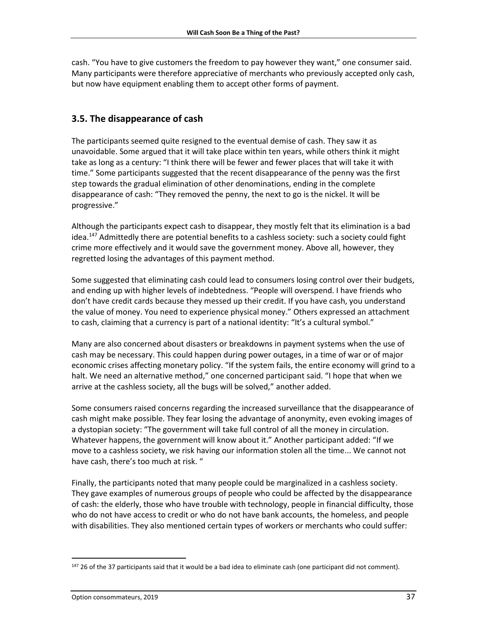cash. "You have to give customers the freedom to pay however they want," one consumer said. Many participants were therefore appreciative of merchants who previously accepted only cash, but now have equipment enabling them to accept other forms of payment.

### <span id="page-36-0"></span>**3.5. The disappearance of cash**

The participants seemed quite resigned to the eventual demise of cash. They saw it as unavoidable. Some argued that it will take place within ten years, while others think it might take as long as a century: "I think there will be fewer and fewer places that will take it with time." Some participants suggested that the recent disappearance of the penny was the first step towards the gradual elimination of other denominations, ending in the complete disappearance of cash: "They removed the penny, the next to go is the nickel. It will be progressive."

Although the participants expect cash to disappear, they mostly felt that its elimination is a bad idea.<sup>147</sup> Admittedly there are potential benefits to a cashless society: such a society could fight crime more effectively and it would save the government money. Above all, however, they regretted losing the advantages of this payment method.

Some suggested that eliminating cash could lead to consumers losing control over their budgets, and ending up with higher levels of indebtedness. "People will overspend. I have friends who don't have credit cards because they messed up their credit. If you have cash, you understand the value of money. You need to experience physical money." Others expressed an attachment to cash, claiming that a currency is part of a national identity: "It's a cultural symbol."

Many are also concerned about disasters or breakdowns in payment systems when the use of cash may be necessary. This could happen during power outages, in a time of war or of major economic crises affecting monetary policy. "If the system fails, the entire economy will grind to a halt. We need an alternative method," one concerned participant said. "I hope that when we arrive at the cashless society, all the bugs will be solved," another added.

Some consumers raised concerns regarding the increased surveillance that the disappearance of cash might make possible. They fear losing the advantage of anonymity, even evoking images of a dystopian society: "The government will take full control of all the money in circulation. Whatever happens, the government will know about it." Another participant added: "If we move to a cashless society, we risk having our information stolen all the time... We cannot not have cash, there's too much at risk. "

Finally, the participants noted that many people could be marginalized in a cashless society. They gave examples of numerous groups of people who could be affected by the disappearance of cash: the elderly, those who have trouble with technology, people in financial difficulty, those who do not have access to credit or who do not have bank accounts, the homeless, and people with disabilities. They also mentioned certain types of workers or merchants who could suffer:

<sup>&</sup>lt;sup>147</sup> 26 of the 37 participants said that it would be a bad idea to eliminate cash (one participant did not comment).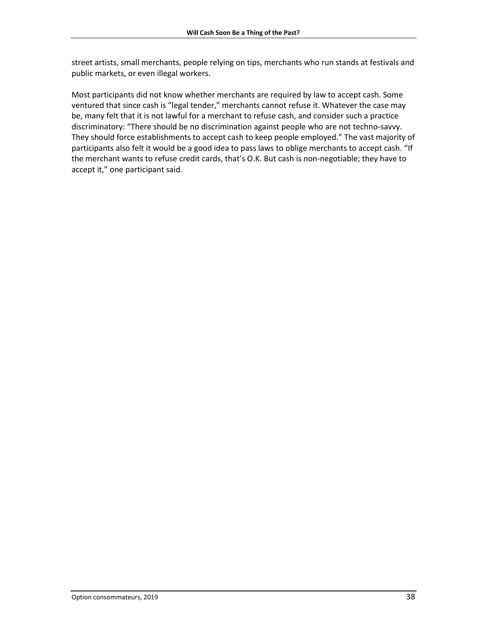street artists, small merchants, people relying on tips, merchants who run stands at festivals and public markets, or even illegal workers.

Most participants did not know whether merchants are required by law to accept cash. Some ventured that since cash is "legal tender," merchants cannot refuse it. Whatever the case may be, many felt that it is not lawful for a merchant to refuse cash, and consider such a practice discriminatory: "There should be no discrimination against people who are not techno-savvy. They should force establishments to accept cash to keep people employed." The vast majority of participants also felt it would be a good idea to pass laws to oblige merchants to accept cash. "If the merchant wants to refuse credit cards, that's O.K. But cash is non-negotiable; they have to accept it," one participant said.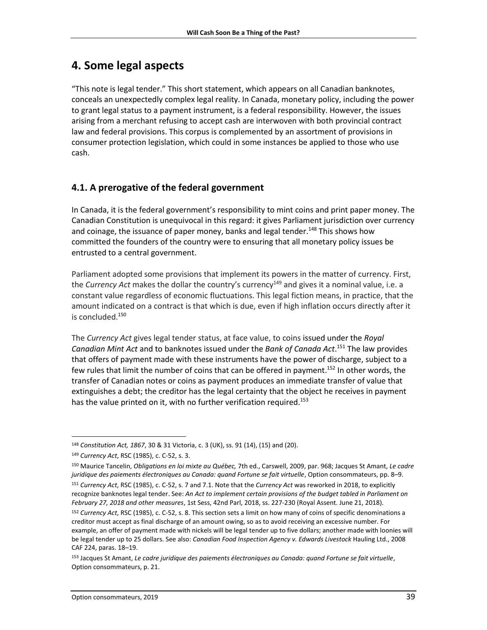## <span id="page-38-0"></span>**4. Some legal aspects**

"This note is legal tender." This short statement, which appears on all Canadian banknotes, conceals an unexpectedly complex legal reality. In Canada, monetary policy, including the power to grant legal status to a payment instrument, is a federal responsibility. However, the issues arising from a merchant refusing to accept cash are interwoven with both provincial contract law and federal provisions. This corpus is complemented by an assortment of provisions in consumer protection legislation, which could in some instances be applied to those who use cash.

## <span id="page-38-1"></span>**4.1. A prerogative of the federal government**

In Canada, it is the federal government's responsibility to mint coins and print paper money. The Canadian Constitution is unequivocal in this regard: it gives Parliament jurisdiction over currency and coinage, the issuance of paper money, banks and legal tender.<sup>148</sup> This shows how committed the founders of the country were to ensuring that all monetary policy issues be entrusted to a central government.

Parliament adopted some provisions that implement its powers in the matter of currency. First, the *Currency Act* makes the dollar the country's currency<sup>149</sup> and gives it a nominal value, i.e. a constant value regardless of economic fluctuations. This legal fiction means, in practice, that the amount indicated on a contract is that which is due, even if high inflation occurs directly after it is concluded. 150

The *Currency Act* gives legal tender status, at face value, to coins issued under the *Royal Canadian Mint Act* and to banknotes issued under the *Bank of Canada Act*. <sup>151</sup> The law provides that offers of payment made with these instruments have the power of discharge, subject to a few rules that limit the number of coins that can be offered in payment. <sup>152</sup> In other words, the transfer of Canadian notes or coins as payment produces an immediate transfer of value that extinguishes a debt; the creditor has the legal certainty that the object he receives in payment has the value printed on it, with no further verification required.<sup>153</sup>

 $\overline{\phantom{a}}$ <sup>148</sup> *Constitution Act, 1867*, 30 & 31 Victoria, c. 3 (UK), ss. 91 (14), (15) and (20).

<sup>149</sup> *Currency Act*, RSC (1985), c. C-52, s. 3.

<sup>150</sup> Maurice Tancelin, *Obligations en loi mixte au Québec,* 7th ed., Carswell, 2009, par. 968; Jacques St Amant, *Le cadre juridique des paiements électroniques au Canada: quand Fortune se fait virtuelle*, Option consommateurs, pp. 8–9. <sup>151</sup> *Currency Act*, RSC (1985), c. C-52, s. 7 and 7.1. Note that the *Currency Act* was reworked in 2018, to explicitly recognize banknotes legal tender. See: *An Act to implement certain provisions of the budget tabled in Parliament on February 27, 2018 and other measures*, 1st Sess, 42nd Parl, 2018, ss. 227-230 (Royal Assent. June 21, 2018).

<sup>152</sup> *Currency Act*, RSC (1985), c. C-52, s. 8. This section sets a limit on how many of coins of specific denominations a creditor must accept as final discharge of an amount owing, so as to avoid receiving an excessive number. For example, an offer of payment made with nickels will be legal tender up to five dollars; another made with loonies will be legal tender up to 25 dollars. See also: *Canadian Food Inspection Agency v. Edwards Livestock* Hauling Ltd., 2008 CAF 224, paras. 18–19.

<sup>153</sup> Jacques St Amant, *Le cadre juridique des paiements électroniques au Canada: quand Fortune se fait virtuelle*, Option consommateurs, p. 21.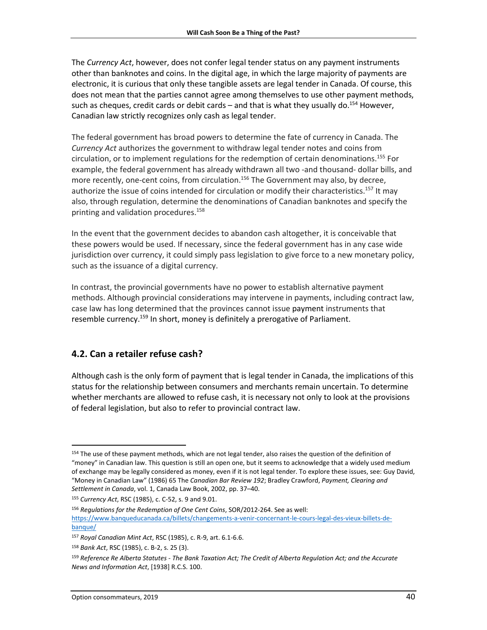The *Currency Act*, however, does not confer legal tender status on any payment instruments other than banknotes and coins. In the digital age, in which the large majority of payments are electronic, it is curious that only these tangible assets are legal tender in Canada. Of course, this does not mean that the parties cannot agree among themselves to use other payment methods, such as cheques, credit cards or debit cards – and that is what they usually do.<sup>154</sup> However, Canadian law strictly recognizes only cash as legal tender.

The federal government has broad powers to determine the fate of currency in Canada. The *Currency Act* authorizes the government to withdraw legal tender notes and coins from circulation, or to implement regulations for the redemption of certain denominations. <sup>155</sup> For example, the federal government has already withdrawn all two -and thousand- dollar bills, and more recently, one-cent coins, from circulation.<sup>156</sup> The Government may also, by decree, authorize the issue of coins intended for circulation or modify their characteristics.<sup>157</sup> It may also, through regulation, determine the denominations of Canadian banknotes and specify the printing and validation procedures. 158

In the event that the government decides to abandon cash altogether, it is conceivable that these powers would be used. If necessary, since the federal government has in any case wide jurisdiction over currency, it could simply pass legislation to give force to a new monetary policy, such as the issuance of a digital currency.

In contrast, the provincial governments have no power to establish alternative payment methods. Although provincial considerations may intervene in payments, including contract law, case law has long determined that the provinces cannot issue payment instruments that resemble currency.<sup>159</sup> In short, money is definitely a prerogative of Parliament.

## <span id="page-39-0"></span>**4.2. Can a retailer refuse cash?**

Although cash is the only form of payment that is legal tender in Canada, the implications of this status for the relationship between consumers and merchants remain uncertain. To determine whether merchants are allowed to refuse cash, it is necessary not only to look at the provisions of federal legislation, but also to refer to provincial contract law.

l

<sup>&</sup>lt;sup>154</sup> The use of these payment methods, which are not legal tender, also raises the question of the definition of "money" in Canadian law. This question is still an open one, but it seems to acknowledge that a widely used medium of exchange may be legally considered as money, even if it is not legal tender. To explore these issues, see: Guy David, "Money in Canadian Law" (1986) 65 The *Canadian Bar Review 192*; Bradley Crawford, *Payment, Clearing and Settlement in Canada*, vol. 1, Canada Law Book, 2002, pp. 37–40.

<sup>155</sup> *Currency Act*, RSC (1985), c. C-52, s. 9 and 9.01.

<sup>156</sup> *Regulations for the Redemption of One Cent Coins*, SOR/2012-264. See as well: [https://www.banqueducanada.ca/billets/changements-a-venir-concernant-le-cours-legal-des-vieux-billets-de](https://www.banqueducanada.ca/billets/changements-a-venir-concernant-le-cours-legal-des-vieux-billets-de-banque/)[banque/](https://www.banqueducanada.ca/billets/changements-a-venir-concernant-le-cours-legal-des-vieux-billets-de-banque/)

<sup>157</sup> *Royal Canadian Mint Act*, RSC (1985), c. R-9, art. 6.1-6.6.

<sup>158</sup> *Bank Act*, RSC (1985), c. B-2, s. 25 (3).

<sup>159</sup> *Reference Re Alberta Statutes - The Bank Taxation Act; The Credit of Alberta Regulation Act; and the Accurate News and Information Act*, [1938] R.C.S. 100.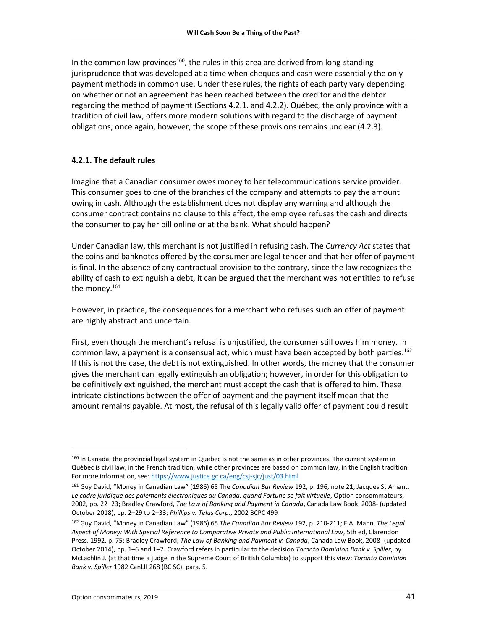In the common law provinces<sup>160</sup>, the rules in this area are derived from long-standing jurisprudence that was developed at a time when cheques and cash were essentially the only payment methods in common use. Under these rules, the rights of each party vary depending on whether or not an agreement has been reached between the creditor and the debtor regarding the method of payment (Sections 4.2.1. and 4.2.2). Québec, the only province with a tradition of civil law, offers more modern solutions with regard to the discharge of payment obligations; once again, however, the scope of these provisions remains unclear (4.2.3).

### <span id="page-40-0"></span>**4.2.1. The default rules**

Imagine that a Canadian consumer owes money to her telecommunications service provider. This consumer goes to one of the branches of the company and attempts to pay the amount owing in cash. Although the establishment does not display any warning and although the consumer contract contains no clause to this effect, the employee refuses the cash and directs the consumer to pay her bill online or at the bank. What should happen?

Under Canadian law, this merchant is not justified in refusing cash. The *Currency Act* states that the coins and banknotes offered by the consumer are legal tender and that her offer of payment is final. In the absence of any contractual provision to the contrary, since the law recognizes the ability of cash to extinguish a debt, it can be argued that the merchant was not entitled to refuse the money. 161

However, in practice, the consequences for a merchant who refuses such an offer of payment are highly abstract and uncertain.

First, even though the merchant's refusal is unjustified, the consumer still owes him money. In common law, a payment is a consensual act, which must have been accepted by both parties.<sup>162</sup> If this is not the case, the debt is not extinguished. In other words, the money that the consumer gives the merchant can legally extinguish an obligation; however, in order for this obligation to be definitively extinguished, the merchant must accept the cash that is offered to him. These intricate distinctions between the offer of payment and the payment itself mean that the amount remains payable. At most, the refusal of this legally valid offer of payment could result

l

<sup>160</sup> In Canada, the provincial legal system in Québec is not the same as in other provinces. The current system in Québec is civil law, in the French tradition, while other provinces are based on common law, in the English tradition. For more information, see[: https://www.justice.gc.ca/eng/csj-sjc/just/03.html](https://www.justice.gc.ca/eng/csj-sjc/just/03.html)

<sup>161</sup> Guy David, "Money in Canadian Law" (1986) 65 The *Canadian Bar Review* 192, p. 196, note 21; Jacques St Amant, Le cadre juridique des paiements électroniques au Canada: quand Fortune se fait virtuelle, Option consommateurs, 2002, pp. 22–23; Bradley Crawford, *The Law of Banking and Payment in Canada*, Canada Law Book, 2008- (updated October 2018), pp. 2–29 to 2–33; *Phillips v. Telus Corp*., 2002 BCPC 499

<sup>162</sup> Guy David, "Money in Canadian Law" (1986) 65 *The Canadian Bar Review* 192, p. 210-211; F.A. Mann, *The Legal Aspect of Money: With Special Reference to Comparative Private and Public International Law*, 5th ed, Clarendon Press, 1992, p. 75; Bradley Crawford, *The Law of Banking and Payment in Canada*, Canada Law Book, 2008- (updated October 2014), pp. 1–6 and 1–7. Crawford refers in particular to the decision *Toronto Dominion Bank v. Spiller*, by McLachlin J. (at that time a judge in the Supreme Court of British Columbia) to support this view: *Toronto Dominion Bank v. Spiller* 1982 CanLII 268 (BC SC), para. 5.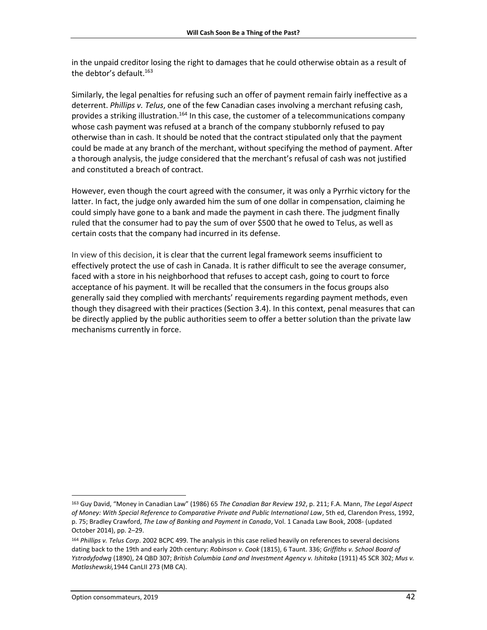in the unpaid creditor losing the right to damages that he could otherwise obtain as a result of the debtor's default. 163

Similarly, the legal penalties for refusing such an offer of payment remain fairly ineffective as a deterrent. *Phillips v. Telus*, one of the few Canadian cases involving a merchant refusing cash, provides a striking illustration.<sup>164</sup> In this case, the customer of a telecommunications company whose cash payment was refused at a branch of the company stubbornly refused to pay otherwise than in cash. It should be noted that the contract stipulated only that the payment could be made at any branch of the merchant, without specifying the method of payment. After a thorough analysis, the judge considered that the merchant's refusal of cash was not justified and constituted a breach of contract.

However, even though the court agreed with the consumer, it was only a Pyrrhic victory for the latter. In fact, the judge only awarded him the sum of one dollar in compensation, claiming he could simply have gone to a bank and made the payment in cash there. The judgment finally ruled that the consumer had to pay the sum of over \$500 that he owed to Telus, as well as certain costs that the company had incurred in its defense.

In view of this decision, it is clear that the current legal framework seems insufficient to effectively protect the use of cash in Canada. It is rather difficult to see the average consumer, faced with a store in his neighborhood that refuses to accept cash, going to court to force acceptance of his payment. It will be recalled that the consumers in the focus groups also generally said they complied with merchants' requirements regarding payment methods, even though they disagreed with their practices (Section 3.4). In this context, penal measures that can be directly applied by the public authorities seem to offer a better solution than the private law mechanisms currently in force.

 $\overline{a}$ 

<sup>163</sup> Guy David, "Money in Canadian Law" (1986) 65 *The Canadian Bar Review 192*, p. 211; F.A. Mann, *The Legal Aspect of Money: With Special Reference to Comparative Private and Public International Law*, 5th ed, Clarendon Press, 1992, p. 75; Bradley Crawford, *The Law of Banking and Payment in Canada*, Vol. 1 Canada Law Book, 2008- (updated October 2014), pp. 2–29.

<sup>164</sup> *Phillips v. Telus Corp*. 2002 BCPC 499. The analysis in this case relied heavily on references to several decisions dating back to the 19th and early 20th century: *Robinson v. Cook* (1815), 6 Taunt. 336; *Griffiths v. School Board of Ystradyfodwg* (1890), 24 QBD 307; *British Columbia Land and Investment Agency v. Ishitaka* (1911) 45 SCR 302; *Mus v. Matlashewski,*1944 CanLII 273 (MB CA).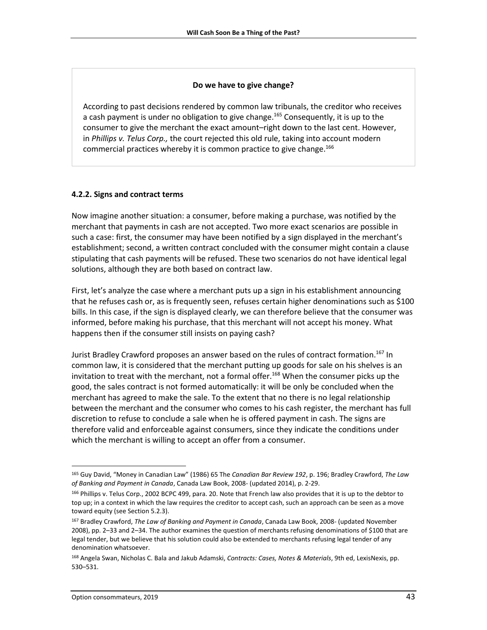#### **Do we have to give change?**

According to past decisions rendered by common law tribunals, the creditor who receives a cash payment is under no obligation to give change.<sup>165</sup> Consequently, it is up to the consumer to give the merchant the exact amount–right down to the last cent. However, in *Phillips v. Telus Corp.,* the court rejected this old rule, taking into account modern commercial practices whereby it is common practice to give change.<sup>166</sup>

### <span id="page-42-0"></span>**4.2.2. Signs and contract terms**

Now imagine another situation: a consumer, before making a purchase, was notified by the merchant that payments in cash are not accepted. Two more exact scenarios are possible in such a case: first, the consumer may have been notified by a sign displayed in the merchant's establishment; second, a written contract concluded with the consumer might contain a clause stipulating that cash payments will be refused. These two scenarios do not have identical legal solutions, although they are both based on contract law.

First, let's analyze the case where a merchant puts up a sign in his establishment announcing that he refuses cash or, as is frequently seen, refuses certain higher denominations such as \$100 bills. In this case, if the sign is displayed clearly, we can therefore believe that the consumer was informed, before making his purchase, that this merchant will not accept his money. What happens then if the consumer still insists on paying cash?

Jurist Bradley Crawford proposes an answer based on the rules of contract formation. <sup>167</sup> In common law, it is considered that the merchant putting up goods for sale on his shelves is an invitation to treat with the merchant, not a formal offer. <sup>168</sup> When the consumer picks up the good, the sales contract is not formed automatically: it will be only be concluded when the merchant has agreed to make the sale. To the extent that no there is no legal relationship between the merchant and the consumer who comes to his cash register, the merchant has full discretion to refuse to conclude a sale when he is offered payment in cash. The signs are therefore valid and enforceable against consumers, since they indicate the conditions under which the merchant is willing to accept an offer from a consumer.

<sup>165</sup> Guy David, "Money in Canadian Law" (1986) 65 The *Canadian Bar Review 192*, p. 196; Bradley Crawford, *The Law of Banking and Payment in Canada*, Canada Law Book, 2008- (updated 2014), p. 2-29.

<sup>166</sup> Phillips v. Telus Corp., 2002 BCPC 499, para. 20. Note that French law also provides that it is up to the debtor to top up; in a context in which the law requires the creditor to accept cash, such an approach can be seen as a move toward equity (see Section 5.2.3).

<sup>167</sup> Bradley Crawford, *The Law of Banking and Payment in Canada*, Canada Law Book, 2008- (updated November 2008), pp. 2–33 and 2–34. The author examines the question of merchants refusing denominations of \$100 that are legal tender, but we believe that his solution could also be extended to merchants refusing legal tender of any denomination whatsoever.

<sup>168</sup> Angela Swan, Nicholas C. Bala and Jakub Adamski, *Contracts: Cases, Notes & Materials*, 9th ed, LexisNexis, pp. 530–531.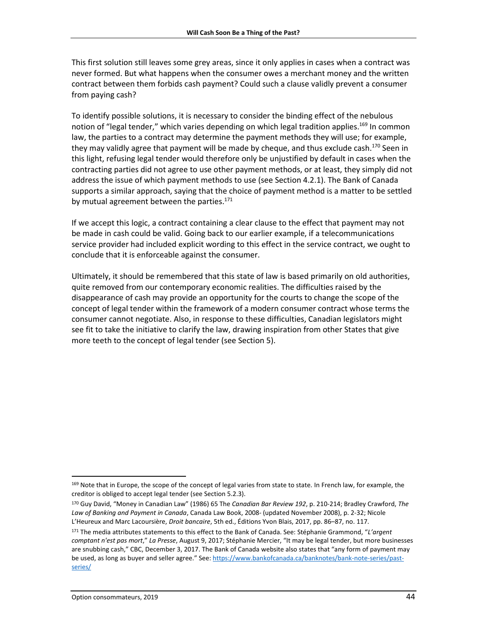This first solution still leaves some grey areas, since it only applies in cases when a contract was never formed. But what happens when the consumer owes a merchant money and the written contract between them forbids cash payment? Could such a clause validly prevent a consumer from paying cash?

To identify possible solutions, it is necessary to consider the binding effect of the nebulous notion of "legal tender," which varies depending on which legal tradition applies.<sup>169</sup> In common law, the parties to a contract may determine the payment methods they will use; for example, they may validly agree that payment will be made by cheque, and thus exclude cash.<sup>170</sup> Seen in this light, refusing legal tender would therefore only be unjustified by default in cases when the contracting parties did not agree to use other payment methods, or at least, they simply did not address the issue of which payment methods to use (see Section 4.2.1). The Bank of Canada supports a similar approach, saying that the choice of payment method is a matter to be settled by mutual agreement between the parties.<sup>171</sup>

If we accept this logic, a contract containing a clear clause to the effect that payment may not be made in cash could be valid. Going back to our earlier example, if a telecommunications service provider had included explicit wording to this effect in the service contract, we ought to conclude that it is enforceable against the consumer.

Ultimately, it should be remembered that this state of law is based primarily on old authorities, quite removed from our contemporary economic realities. The difficulties raised by the disappearance of cash may provide an opportunity for the courts to change the scope of the concept of legal tender within the framework of a modern consumer contract whose terms the consumer cannot negotiate. Also, in response to these difficulties, Canadian legislators might see fit to take the initiative to clarify the law, drawing inspiration from other States that give more teeth to the concept of legal tender (see Section 5).

<sup>&</sup>lt;sup>169</sup> Note that in Europe, the scope of the concept of legal varies from state to state. In French law, for example, the creditor is obliged to accept legal tender (see Section 5.2.3).

<sup>170</sup> Guy David, "Money in Canadian Law" (1986) 65 The *Canadian Bar Review 192*, p. 210-214; Bradley Crawford, *The Law of Banking and Payment in Canada*, Canada Law Book, 2008- (updated November 2008), p. 2-32; Nicole L'Heureux and Marc Lacoursière, *Droit bancaire*, 5th ed., Éditions Yvon Blais, 2017, pp. 86–87, no. 117.

<sup>171</sup> The media attributes statements to this effect to the Bank of Canada. See: Stéphanie Grammond, "*L'argent comptant n'est pas mort*," *La Presse*, August 9, 2017; Stéphanie Mercier, "It may be legal tender, but more businesses are snubbing cash," CBC, December 3, 2017. The Bank of Canada website also states that "any form of payment may be used, as long as buyer and seller agree." See[: https://www.bankofcanada.ca/banknotes/bank-note-series/past](https://www.bankofcanada.ca/banknotes/bank-note-series/past-series/)[series/](https://www.bankofcanada.ca/banknotes/bank-note-series/past-series/)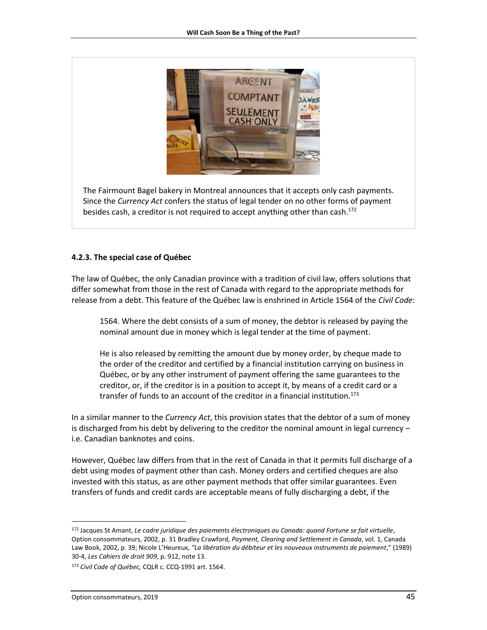

The Fairmount Bagel bakery in Montreal announces that it accepts only cash payments. Since the *Currency Act* confers the status of legal tender on no other forms of payment besides cash, a creditor is not required to accept anything other than cash. 172

#### <span id="page-44-0"></span>**4.2.3. The special case of Québec**

The law of Québec, the only Canadian province with a tradition of civil law, offers solutions that differ somewhat from those in the rest of Canada with regard to the appropriate methods for release from a debt. This feature of the Québec law is enshrined in Article 1564 of the *Civil Code*:

1564. Where the debt consists of a sum of money, the debtor is released by paying the nominal amount due in money which is legal tender at the time of payment.

He is also released by remitting the amount due by money order, by cheque made to the order of the creditor and certified by a financial institution carrying on business in Québec, or by any other instrument of payment offering the same guarantees to the creditor, or, if the creditor is in a position to accept it, by means of a credit card or a transfer of funds to an account of the creditor in a financial institution. 173

In a similar manner to the *Currency Act*, this provision states that the debtor of a sum of money is discharged from his debt by delivering to the creditor the nominal amount in legal currency – i.e. Canadian banknotes and coins.

However, Québec law differs from that in the rest of Canada in that it permits full discharge of a debt using modes of payment other than cash. Money orders and certified cheques are also invested with this status, as are other payment methods that offer similar guarantees. Even transfers of funds and credit cards are acceptable means of fully discharging a debt, if the

 $\overline{a}$ 

<sup>172</sup> Jacques St Amant, *Le cadre juridique des paiements électroniques au Canada: quand Fortune se fait virtuelle*, Option consommateurs, 2002, p. 31 Bradley Crawford, *Payment, Clearing and Settlement in Canada*, vol. 1, Canada Law Book, 2002, p. 39; Nicole L'Heureux, *"La libération du débiteur et les nouveaux instruments de paiement*," (1989) 30-4, *Les Cahiers de droit 909*, p. 912, note 13.

<sup>173</sup> *Civil Code of Québec,* CQLR c. CCQ-1991 art. 1564.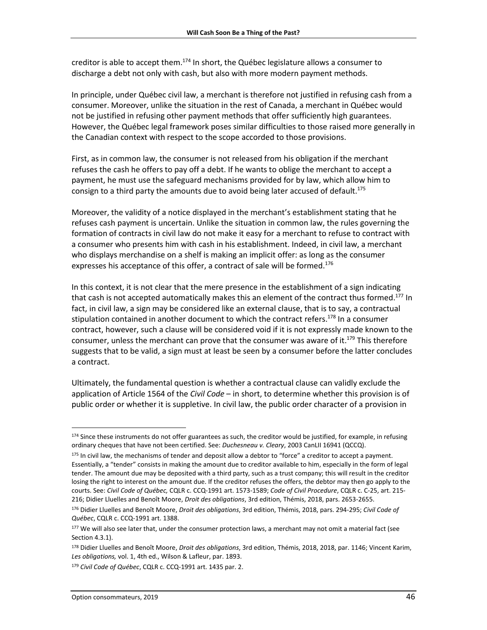creditor is able to accept them.<sup>174</sup> In short, the Québec legislature allows a consumer to discharge a debt not only with cash, but also with more modern payment methods.

In principle, under Québec civil law, a merchant is therefore not justified in refusing cash from a consumer. Moreover, unlike the situation in the rest of Canada, a merchant in Québec would not be justified in refusing other payment methods that offer sufficiently high guarantees. However, the Québec legal framework poses similar difficulties to those raised more generally in the Canadian context with respect to the scope accorded to those provisions.

First, as in common law, the consumer is not released from his obligation if the merchant refuses the cash he offers to pay off a debt. If he wants to oblige the merchant to accept a payment, he must use the safeguard mechanisms provided for by law, which allow him to consign to a third party the amounts due to avoid being later accused of default. 175

Moreover, the validity of a notice displayed in the merchant's establishment stating that he refuses cash payment is uncertain. Unlike the situation in common law, the rules governing the formation of contracts in civil law do not make it easy for a merchant to refuse to contract with a consumer who presents him with cash in his establishment. Indeed, in civil law, a merchant who displays merchandise on a shelf is making an implicit offer: as long as the consumer expresses his acceptance of this offer, a contract of sale will be formed.<sup>176</sup>

In this context, it is not clear that the mere presence in the establishment of a sign indicating that cash is not accepted automatically makes this an element of the contract thus formed.<sup>177</sup> In fact, in civil law, a sign may be considered like an external clause, that is to say, a contractual stipulation contained in another document to which the contract refers. <sup>178</sup> In a consumer contract, however, such a clause will be considered void if it is not expressly made known to the consumer, unless the merchant can prove that the consumer was aware of it.<sup>179</sup> This therefore suggests that to be valid, a sign must at least be seen by a consumer before the latter concludes a contract.

Ultimately, the fundamental question is whether a contractual clause can validly exclude the application of Article 1564 of the *Civil Code* – in short, to determine whether this provision is of public order or whether it is suppletive. In civil law, the public order character of a provision in

 $174$  Since these instruments do not offer guarantees as such, the creditor would be justified, for example, in refusing ordinary cheques that have not been certified. See: *Duchesneau v. Cleary*, 2003 CanLII 16941 (QCCQ).

<sup>175</sup> In civil law, the mechanisms of tender and deposit allow a debtor to "force" a creditor to accept a payment. Essentially, a "tender" consists in making the amount due to creditor available to him, especially in the form of legal tender. The amount due may be deposited with a third party, such as a trust company; this will result in the creditor losing the right to interest on the amount due. If the creditor refuses the offers, the debtor may then go apply to the courts. See: *Civil Code of Québec,* CQLR c. CCQ-1991 art. 1573-1589; *Code of Civil Procedure*, CQLR c. C-25, art. 215- 216; Didier Lluelles and Benoît Moore, *Droit des obligations*, 3rd edition, Thémis, 2018, pars. 2653-2655.

<sup>176</sup> Didier Lluelles and Benoît Moore, *Droit des obligations*, 3rd edition, Thémis, 2018, pars. 294-295; *Civil Code of Québec*, CQLR c. CCQ-1991 art. 1388.

<sup>177</sup> We will also see later that, under the consumer protection laws, a merchant may not omit a material fact (see Section 4.3.1).

<sup>178</sup> Didier Lluelles and Benoît Moore, *Droit des obligations*, 3rd edition, Thémis, 2018, 2018, par. 1146; Vincent Karim, *Les obligations,* vol. 1, 4th ed., Wilson & Lafleur, par. 1893.

<sup>179</sup> *Civil Code of Québec*, CQLR c. CCQ-1991 art. 1435 par. 2.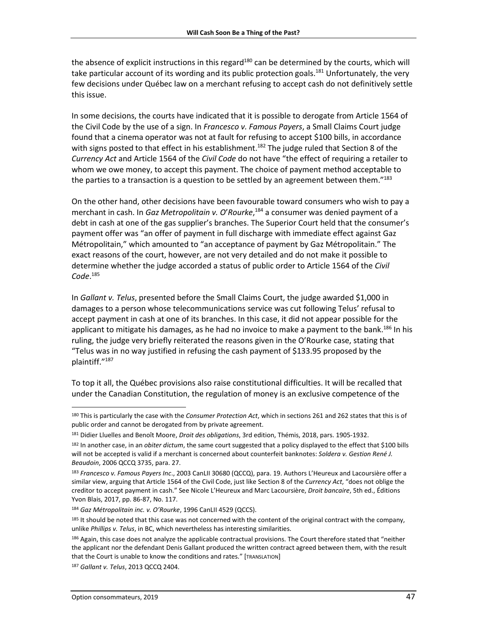the absence of explicit instructions in this regard<sup>180</sup> can be determined by the courts, which will take particular account of its wording and its public protection goals.<sup>181</sup> Unfortunately, the very few decisions under Québec law on a merchant refusing to accept cash do not definitively settle this issue.

In some decisions, the courts have indicated that it is possible to derogate from Article 1564 of the Civil Code by the use of a sign. In *Francesco v. Famous Payers*, a Small Claims Court judge found that a cinema operator was not at fault for refusing to accept \$100 bills, in accordance with signs posted to that effect in his establishment.<sup>182</sup> The judge ruled that Section 8 of the *Currency Act* and Article 1564 of the *Civil Code* do not have "the effect of requiring a retailer to whom we owe money, to accept this payment. The choice of payment method acceptable to the parties to a transaction is a question to be settled by an agreement between them."183

On the other hand, other decisions have been favourable toward consumers who wish to pay a merchant in cash. In *Gaz Metropolitain v. O*'*Rourke*, <sup>184</sup> a consumer was denied payment of a debt in cash at one of the gas supplier's branches. The Superior Court held that the consumer's payment offer was "an offer of payment in full discharge with immediate effect against Gaz Métropolitain," which amounted to "an acceptance of payment by Gaz Métropolitain." The exact reasons of the court, however, are not very detailed and do not make it possible to determine whether the judge accorded a status of public order to Article 1564 of the *Civil Code*. 185

In *Gallant v. Telus*, presented before the Small Claims Court, the judge awarded \$1,000 in damages to a person whose telecommunications service was cut following Telus' refusal to accept payment in cash at one of its branches. In this case, it did not appear possible for the applicant to mitigate his damages, as he had no invoice to make a payment to the bank.<sup>186</sup> In his ruling, the judge very briefly reiterated the reasons given in the O'Rourke case, stating that "Telus was in no way justified in refusing the cash payment of \$133.95 proposed by the plaintiff."<sup>187</sup>

To top it all, the Québec provisions also raise constitutional difficulties. It will be recalled that under the Canadian Constitution, the regulation of money is an exclusive competence of the

l

<sup>180</sup> This is particularly the case with the *Consumer Protection Act*, which in sections 261 and 262 states that this is of public order and cannot be derogated from by private agreement.

<sup>181</sup> Didier Lluelles and Benoît Moore, *Droit des obligations*, 3rd edition, Thémis, 2018, pars. 1905-1932.

<sup>182</sup> In another case, in an *obiter dictum*, the same court suggested that a policy displayed to the effect that \$100 bills will not be accepted is valid if a merchant is concerned about counterfeit banknotes: *Soldera v. Gestion René J. Beaudoin*, 2006 QCCQ 3735, para. 27.

<sup>183</sup> *Francesco v. Famous Payers Inc*., 2003 CanLII 30680 (QCCQ), para. 19. Authors L'Heureux and Lacoursière offer a similar view, arguing that Article 1564 of the Civil Code, just like Section 8 of the *Currency Act*, "does not oblige the creditor to accept payment in cash." See Nicole L'Heureux and Marc Lacoursière, *Droit bancaire*, 5th ed., Éditions Yvon Blais, 2017, pp. 86-87, No. 117.

<sup>184</sup> *Gaz Métropolitain inc. v. O'Rourke*, 1996 CanLII 4529 (QCCS).

<sup>185</sup> It should be noted that this case was not concerned with the content of the original contract with the company, unlike *Phillips v. Telus*, in BC, which nevertheless has interesting similarities.

<sup>186</sup> Again, this case does not analyze the applicable contractual provisions. The Court therefore stated that "neither the applicant nor the defendant Denis Gallant produced the written contract agreed between them, with the result that the Court is unable to know the conditions and rates." [TRANSLATION]

<sup>187</sup> *Gallant v. Telus*, 2013 QCCQ 2404.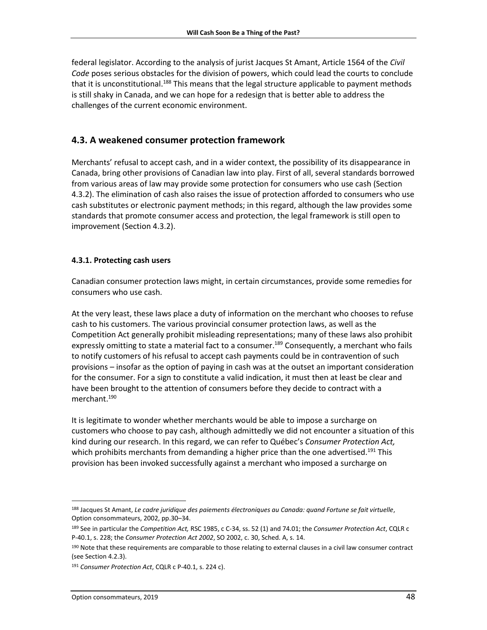federal legislator. According to the analysis of jurist Jacques St Amant, Article 1564 of the *Civil Code* poses serious obstacles for the division of powers, which could lead the courts to conclude that it is unconstitutional.<sup>188</sup> This means that the legal structure applicable to payment methods is still shaky in Canada, and we can hope for a redesign that is better able to address the challenges of the current economic environment.

### <span id="page-47-0"></span>**4.3. A weakened consumer protection framework**

Merchants' refusal to accept cash, and in a wider context, the possibility of its disappearance in Canada, bring other provisions of Canadian law into play. First of all, several standards borrowed from various areas of law may provide some protection for consumers who use cash (Section 4.3.2). The elimination of cash also raises the issue of protection afforded to consumers who use cash substitutes or electronic payment methods; in this regard, although the law provides some standards that promote consumer access and protection, the legal framework is still open to improvement (Section 4.3.2).

### <span id="page-47-1"></span>**4.3.1. Protecting cash users**

Canadian consumer protection laws might, in certain circumstances, provide some remedies for consumers who use cash.

At the very least, these laws place a duty of information on the merchant who chooses to refuse cash to his customers. The various provincial consumer protection laws, as well as the Competition Act generally prohibit misleading representations; many of these laws also prohibit expressly omitting to state a material fact to a consumer.<sup>189</sup> Consequently, a merchant who fails to notify customers of his refusal to accept cash payments could be in contravention of such provisions – insofar as the option of paying in cash was at the outset an important consideration for the consumer. For a sign to constitute a valid indication, it must then at least be clear and have been brought to the attention of consumers before they decide to contract with a merchant. 190

It is legitimate to wonder whether merchants would be able to impose a surcharge on customers who choose to pay cash, although admittedly we did not encounter a situation of this kind during our research. In this regard, we can refer to Québec's *Consumer Protection Act,* which prohibits merchants from demanding a higher price than the one advertised.<sup>191</sup> This provision has been invoked successfully against a merchant who imposed a surcharge on

 $\overline{a}$ 

<sup>188</sup> Jacques St Amant, *Le cadre juridique des paiements électroniques au Canada: quand Fortune se fait virtuelle*, Option consommateurs, 2002, pp.30–34.

<sup>189</sup> See in particular the *Competition Act,* RSC 1985, c C-34, ss. 52 (1) and 74.01; the *Consumer Protection Act*, CQLR c P-40.1, s. 228; the *Consumer Protection Act 2002*, SO 2002, c. 30, Sched. A, s. 14.

<sup>190</sup> Note that these requirements are comparable to those relating to external clauses in a civil law consumer contract (see Section 4.2.3).

<sup>191</sup> *Consumer Protection Act*, CQLR c P-40.1, s. 224 c).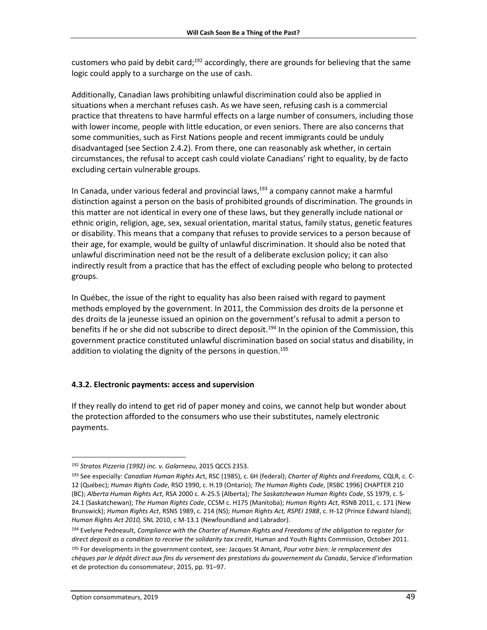customers who paid by debit card;<sup>192</sup> accordingly, there are grounds for believing that the same logic could apply to a surcharge on the use of cash.

Additionally, Canadian laws prohibiting unlawful discrimination could also be applied in situations when a merchant refuses cash. As we have seen, refusing cash is a commercial practice that threatens to have harmful effects on a large number of consumers, including those with lower income, people with little education, or even seniors. There are also concerns that some communities, such as First Nations people and recent immigrants could be unduly disadvantaged (see Section 2.4.2). From there, one can reasonably ask whether, in certain circumstances, the refusal to accept cash could violate Canadians' right to equality, by de facto excluding certain vulnerable groups.

In Canada, under various federal and provincial laws,<sup>193</sup> a company cannot make a harmful distinction against a person on the basis of prohibited grounds of discrimination. The grounds in this matter are not identical in every one of these laws, but they generally include national or ethnic origin, religion, age, sex, sexual orientation, marital status, family status, genetic features or disability. This means that a company that refuses to provide services to a person because of their age, for example, would be guilty of unlawful discrimination. It should also be noted that unlawful discrimination need not be the result of a deliberate exclusion policy; it can also indirectly result from a practice that has the effect of excluding people who belong to protected groups.

In Québec, the issue of the right to equality has also been raised with regard to payment methods employed by the government. In 2011, the Commission des droits de la personne et des droits de la jeunesse issued an opinion on the government's refusal to admit a person to benefits if he or she did not subscribe to direct deposit.<sup>194</sup> In the opinion of the Commission, this government practice constituted unlawful discrimination based on social status and disability, in addition to violating the dignity of the persons in question.<sup>195</sup>

### <span id="page-48-0"></span>**4.3.2. Electronic payments: access and supervision**

If they really do intend to get rid of paper money and coins, we cannot help but wonder about the protection afforded to the consumers who use their substitutes, namely electronic payments.

l

<sup>192</sup> *Stratos Pizzeria (1992) inc. v. Galarneau*, 2015 QCCS 2353.

<sup>193</sup> See especially: *Canadian Human Rights Ac*t, RSC (1985), c. 6H (federal); *Charter of Rights and Freedoms,* CQLR, c. C-12 (Québec); *Human Rights Code*, RSO 1990, c. H.19 (Ontario); *The Human Rights Code*, [RSBC 1996] CHAPTER 210 (BC); *Alberta Human Rights Act*, RSA 2000 c. A-25.5 (Alberta); *The Saskatchewan Human Rights Code*, SS 1979, c. S-24.1 (Saskatchewan); *The Human Rights Code*, CCSM c. H175 (Manitoba); *Human Rights Act*, RSNB 2011, c. 171 (New Brunswick); *Human Rights Act*, RSNS 1989, c. 214 (NS); *Human Rights Act, RSPEI 1988*, c. H-12 (Prince Edward Island); *Human Rights Act 2010,* SNL 2010, c M-13.1 (Newfoundland and Labrador).

<sup>194</sup> Evelyne Pedneault, *Compliance with the Charter of Human Rights and Freedoms of the obligation to register for*  direct deposit as a condition to receive the solidarity tax credit, Human and Youth Rights Commission, October 2011.

<sup>195</sup> For developments in the government context, see: Jacques St Amant, *Pour votre bien: le remplacement des chèques par le dépôt direct aux fins du versement des prestations du gouvernement du Canada*, Service d'information et de protection du consommateur, 2015, pp. 91–97.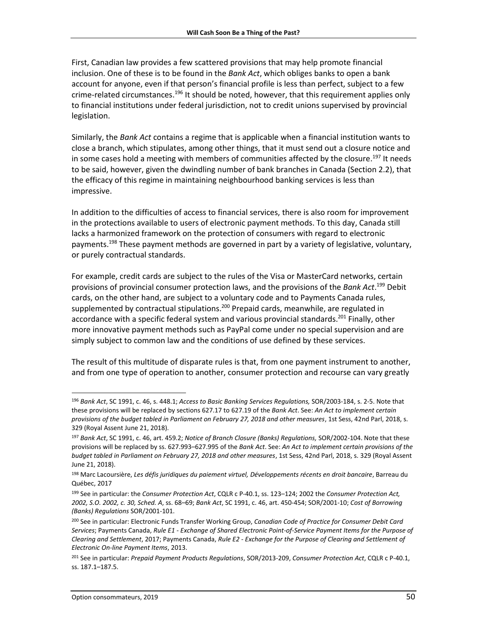First, Canadian law provides a few scattered provisions that may help promote financial inclusion. One of these is to be found in the *Bank Act*, which obliges banks to open a bank account for anyone, even if that person's financial profile is less than perfect, subject to a few crime-related circumstances.<sup>196</sup> It should be noted, however, that this requirement applies only to financial institutions under federal jurisdiction, not to credit unions supervised by provincial legislation.

Similarly, the *Bank Act* contains a regime that is applicable when a financial institution wants to close a branch, which stipulates, among other things, that it must send out a closure notice and in some cases hold a meeting with members of communities affected by the closure.<sup>197</sup> It needs to be said, however, given the dwindling number of bank branches in Canada (Section 2.2), that the efficacy of this regime in maintaining neighbourhood banking services is less than impressive.

In addition to the difficulties of access to financial services, there is also room for improvement in the protections available to users of electronic payment methods. To this day, Canada still lacks a harmonized framework on the protection of consumers with regard to electronic payments.<sup>198</sup> These payment methods are governed in part by a variety of legislative, voluntary, or purely contractual standards.

For example, credit cards are subject to the rules of the Visa or MasterCard networks, certain provisions of provincial consumer protection laws, and the provisions of the *Bank Act*. <sup>199</sup> Debit cards, on the other hand, are subject to a voluntary code and to Payments Canada rules, supplemented by contractual stipulations.<sup>200</sup> Prepaid cards, meanwhile, are regulated in accordance with a specific federal system and various provincial standards. <sup>201</sup> Finally, other more innovative payment methods such as PayPal come under no special supervision and are simply subject to common law and the conditions of use defined by these services.

The result of this multitude of disparate rules is that, from one payment instrument to another, and from one type of operation to another, consumer protection and recourse can vary greatly

<sup>196</sup> *Bank Act*, SC 1991, c. 46, s. 448.1; *Access to Basic Banking Services Regulations,* SOR/2003-184, s. 2-5. Note that these provisions will be replaced by sections 627.17 to 627.19 of the *Bank Act*. See: *An Act to implement certain provisions of the budget tabled in Parliament on February 27, 2018 and other measures*, 1st Sess, 42nd Parl, 2018, s. 329 (Royal Assent June 21, 2018).

<sup>197</sup> *Bank Act*, SC 1991, c. 46, art. 459.2; *Notice of Branch Closure (Banks) Regulations,* SOR/2002-104. Note that these provisions will be replaced by ss. 627.993–627.995 of the *Bank Act*. See: *An Act to implement certain provisions of the budget tabled in Parliament on February 27, 2018 and other measures*, 1st Sess, 42nd Parl, 2018, s. 329 (Royal Assent June 21, 2018).

<sup>198</sup> Marc Lacoursière, *Les défis juridiques du paiement virtuel, Développements récents en droit bancaire*, Barreau du Québec, 2017

<sup>199</sup> See in particular: the *Consumer Protection Act*, CQLR c P-40.1, ss. 123–124; 2002 the *Consumer Protection Act, 2002, S.O. 2002, c. 30, Sched. A*, ss. 68–69; *Bank Act*, SC 1991, c. 46, art. 450-454; SOR/2001-10; *Cost of Borrowing (Banks) Regulations* SOR/2001-101.

<sup>200</sup> See in particular: Electronic Funds Transfer Working Group, *Canadian Code of Practice for Consumer Debit Card Services*; Payments Canada, *Rule E1 - Exchange of Shared Electronic Point-of-Service Payment Items for the Purpose of Clearing and Settlement*, 2017; Payments Canada, *Rule E2 - Exchange for the Purpose of Clearing and Settlement of Electronic On-line Payment Items*, 2013.

<sup>201</sup> See in particular: *Prepaid Payment Products Regulations*, SOR/2013-209, *Consumer Protection Act*, CQLR c P-40.1, ss. 187.1–187.5.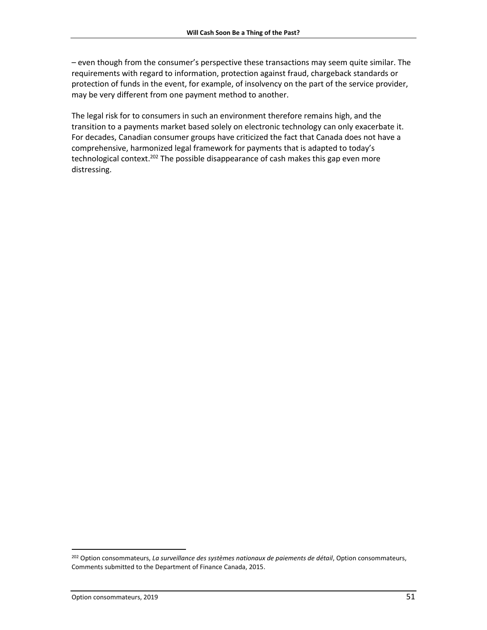– even though from the consumer's perspective these transactions may seem quite similar. The requirements with regard to information, protection against fraud, chargeback standards or protection of funds in the event, for example, of insolvency on the part of the service provider, may be very different from one payment method to another.

The legal risk for to consumers in such an environment therefore remains high, and the transition to a payments market based solely on electronic technology can only exacerbate it. For decades, Canadian consumer groups have criticized the fact that Canada does not have a comprehensive, harmonized legal framework for payments that is adapted to today's technological context.<sup>202</sup> The possible disappearance of cash makes this gap even more distressing.

l

<sup>202</sup> Option consommateurs, *La surveillance des systèmes nationaux de paiements de détail*, Option consommateurs, Comments submitted to the Department of Finance Canada, 2015.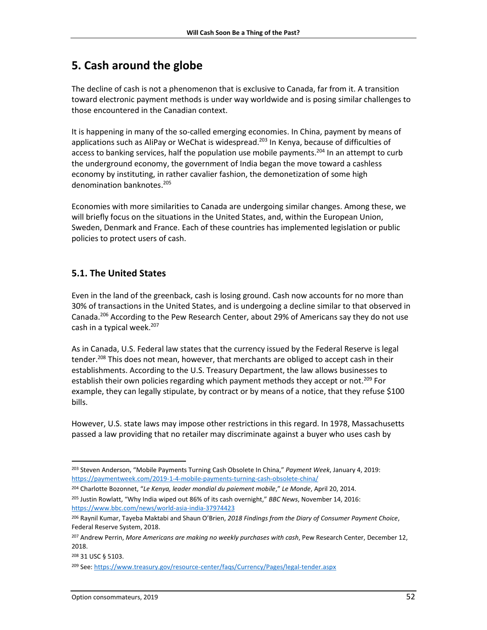## <span id="page-51-0"></span>**5. Cash around the globe**

The decline of cash is not a phenomenon that is exclusive to Canada, far from it. A transition toward electronic payment methods is under way worldwide and is posing similar challenges to those encountered in the Canadian context.

It is happening in many of the so-called emerging economies. In China, payment by means of applications such as AliPay or WeChat is widespread. <sup>203</sup> In Kenya, because of difficulties of access to banking services, half the population use mobile payments.<sup>204</sup> In an attempt to curb the underground economy, the government of India began the move toward a cashless economy by instituting, in rather cavalier fashion, the demonetization of some high denomination banknotes. 205

Economies with more similarities to Canada are undergoing similar changes. Among these, we will briefly focus on the situations in the United States, and, within the European Union, Sweden, Denmark and France. Each of these countries has implemented legislation or public policies to protect users of cash.

## <span id="page-51-1"></span>**5.1. The United States**

Even in the land of the greenback, cash is losing ground. Cash now accounts for no more than 30% of transactions in the United States, and is undergoing a decline similar to that observed in Canada.<sup>206</sup> According to the Pew Research Center, about 29% of Americans say they do not use cash in a typical week. 207

As in Canada, U.S. Federal law states that the currency issued by the Federal Reserve is legal tender.<sup>208</sup> This does not mean, however, that merchants are obliged to accept cash in their establishments. According to the U.S. Treasury Department, the law allows businesses to establish their own policies regarding which payment methods they accept or not.<sup>209</sup> For example, they can legally stipulate, by contract or by means of a notice, that they refuse \$100 bills.

However, U.S. state laws may impose other restrictions in this regard. In 1978, Massachusetts passed a law providing that no retailer may discriminate against a buyer who uses cash by

<sup>203</sup> Steven Anderson, "Mobile Payments Turning Cash Obsolete In China," *Payment Week*, January 4, 2019: <https://paymentweek.com/2019-1-4-mobile-payments-turning-cash-obsolete-china/>

<sup>204</sup> Charlotte Bozonnet, "*Le Kenya, leader mondial du paiement mobile*," *Le Monde*, April 20, 2014.

<sup>205</sup> Justin Rowlatt, "Why India wiped out 86% of its cash overnight," *BBC News*, November 14, 2016: <https://www.bbc.com/news/world-asia-india-37974423>

<sup>206</sup> Raynil Kumar, Tayeba Maktabi and Shaun O'Brien, *2018 Findings from the Diary of Consumer Payment Choice*, Federal Reserve System, 2018.

<sup>207</sup> Andrew Perrin, *More Americans are making no weekly purchases with cash*, Pew Research Center, December 12, 2018.

<sup>208</sup> 31 USC § 5103.

<sup>209</sup> See[: https://www.treasury.gov/resource-center/faqs/Currency/Pages/legal-tender.aspx](https://www.treasury.gov/resource-center/faqs/Currency/Pages/legal-tender.aspx)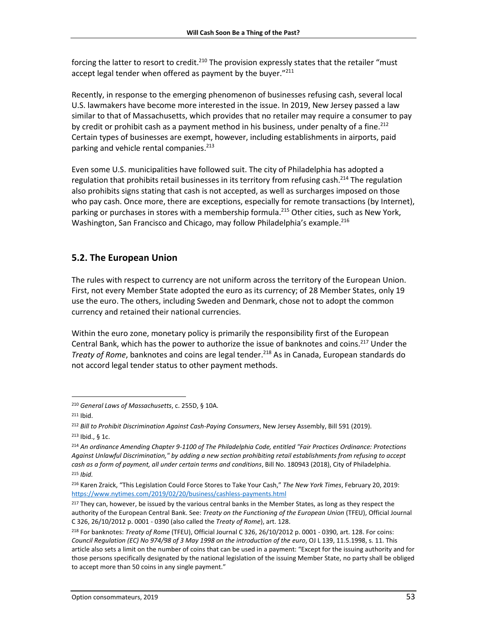forcing the latter to resort to credit.<sup>210</sup> The provision expressly states that the retailer "must accept legal tender when offered as payment by the buyer."211

Recently, in response to the emerging phenomenon of businesses refusing cash, several local U.S. lawmakers have become more interested in the issue. In 2019, New Jersey passed a law similar to that of Massachusetts, which provides that no retailer may require a consumer to pay by credit or prohibit cash as a payment method in his business, under penalty of a fine.<sup>212</sup> Certain types of businesses are exempt, however, including establishments in airports, paid parking and vehicle rental companies. 213

Even some U.S. municipalities have followed suit. The city of Philadelphia has adopted a regulation that prohibits retail businesses in its territory from refusing cash.<sup>214</sup> The regulation also prohibits signs stating that cash is not accepted, as well as surcharges imposed on those who pay cash. Once more, there are exceptions, especially for remote transactions (by Internet), parking or purchases in stores with a membership formula. <sup>215</sup> Other cities, such as New York, Washington, San Francisco and Chicago, may follow Philadelphia's example.<sup>216</sup>

## <span id="page-52-0"></span>**5.2. The European Union**

The rules with respect to currency are not uniform across the territory of the European Union. First, not every Member State adopted the euro as its currency; of 28 Member States, only 19 use the euro. The others, including Sweden and Denmark, chose not to adopt the common currency and retained their national currencies.

Within the euro zone, monetary policy is primarily the responsibility first of the European Central Bank, which has the power to authorize the issue of banknotes and coins.<sup>217</sup> Under the *Treaty of Rome*, banknotes and coins are legal tender. <sup>218</sup> As in Canada, European standards do not accord legal tender status to other payment methods.

<sup>210</sup> *General Laws of Massachusetts*, c. 255D, § 10A.

 $211$  Ibid.

<sup>212</sup> *Bill to Prohibit Discrimination Against Cash-Paying Consumers*, New Jersey Assembly, Bill 591 (2019).

<sup>213</sup> Ibid., § 1c.

<sup>214</sup> *An ordinance Amending Chapter 9-1100 of The Philadelphia Code, entitled "Fair Practices Ordinance: Protections Against Unlawful Discrimination," by adding a new section prohibiting retail establishments from refusing to accept cash as a form of payment, all under certain terms and conditions*, Bill No. 180943 (2018), City of Philadelphia. <sup>215</sup> *Ibid.*

<sup>216</sup> Karen Zraick, "This Legislation Could Force Stores to Take Your Cash," *The New York Times*, February 20, 2019: <https://www.nytimes.com/2019/02/20/business/cashless-payments.html>

 $217$  They can, however, be issued by the various central banks in the Member States, as long as they respect the authority of the European Central Bank. See: *Treaty on the Functioning of the European Union* (TFEU), Official Journal C 326, 26/10/2012 p. 0001 - 0390 (also called the *Treaty of Rome*), art. 128.

<sup>218</sup> For banknotes: *Treaty of Rome* (TFEU), Official Journal C 326, 26/10/2012 p. 0001 - 0390, art. 128. For coins: *Council Regulation (EC) No 974/98 of 3 May 1998 on the introduction of the euro*, OJ L 139, 11.5.1998, s. 11. This article also sets a limit on the number of coins that can be used in a payment: "Except for the issuing authority and for those persons specifically designated by the national legislation of the issuing Member State, no party shall be obliged to accept more than 50 coins in any single payment."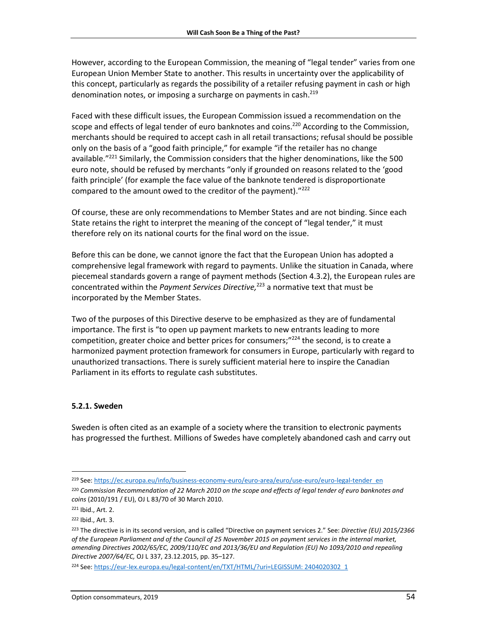However, according to the European Commission, the meaning of "legal tender" varies from one European Union Member State to another. This results in uncertainty over the applicability of this concept, particularly as regards the possibility of a retailer refusing payment in cash or high denomination notes, or imposing a surcharge on payments in cash.<sup>219</sup>

Faced with these difficult issues, the European Commission issued a recommendation on the scope and effects of legal tender of euro banknotes and coins.<sup>220</sup> According to the Commission, merchants should be required to accept cash in all retail transactions; refusal should be possible only on the basis of a "good faith principle," for example "if the retailer has no change available."<sup>221</sup> Similarly, the Commission considers that the higher denominations, like the 500 euro note, should be refused by merchants "only if grounded on reasons related to the 'good faith principle' (for example the face value of the banknote tendered is disproportionate compared to the amount owed to the creditor of the payment)."<sup>222</sup>

Of course, these are only recommendations to Member States and are not binding. Since each State retains the right to interpret the meaning of the concept of "legal tender," it must therefore rely on its national courts for the final word on the issue.

Before this can be done, we cannot ignore the fact that the European Union has adopted a comprehensive legal framework with regard to payments. Unlike the situation in Canada, where piecemeal standards govern a range of payment methods (Section 4.3.2), the European rules are concentrated within the *Payment Services Directive,* <sup>223</sup> a normative text that must be incorporated by the Member States.

Two of the purposes of this Directive deserve to be emphasized as they are of fundamental importance. The first is "to open up payment markets to new entrants leading to more competition, greater choice and better prices for consumers; $''^{224}$  the second, is to create a harmonized payment protection framework for consumers in Europe, particularly with regard to unauthorized transactions. There is surely sufficient material here to inspire the Canadian Parliament in its efforts to regulate cash substitutes.

### <span id="page-53-0"></span>**5.2.1. Sweden**

Sweden is often cited as an example of a society where the transition to electronic payments has progressed the furthest. Millions of Swedes have completely abandoned cash and carry out

 $\overline{\phantom{a}}$ 219 See[: https://ec.europa.eu/info/business-economy-euro/euro-area/euro/use-euro/euro-legal-tender\\_en](https://ec.europa.eu/info/business-economy-euro/euro-area/euro/use-euro/euro-legal-tender_en)

<sup>220</sup> *Commission Recommendation of 22 March 2010 on the scope and effects of legal tender of euro banknotes and coins* (2010/191 / EU), OJ L 83/70 of 30 March 2010.

<sup>221</sup> Ibid., Art. 2.

<sup>222</sup> Ibid., Art. 3.

<sup>223</sup> The directive is in its second version, and is called "Directive on payment services 2." See: *Directive (EU) 2015/2366 of the European Parliament and of the Council of 25 November 2015 on payment services in the internal market, amending Directives 2002/65/EC, 2009/110/EC and 2013/36/EU and Regulation (EU) No 1093/2010 and repealing Directive 2007/64/EC,* OJ L 337, 23.12.2015, pp. 35–127.

<sup>224</sup> See[: https://eur-lex.europa.eu/legal-content/en/TXT/HTML/?uri=LEGISSUM: 2404020302\\_1](https://eur-lex.europa.eu/legal-content/en/TXT/HTML/?uri=LEGISSUM:2404020302_1)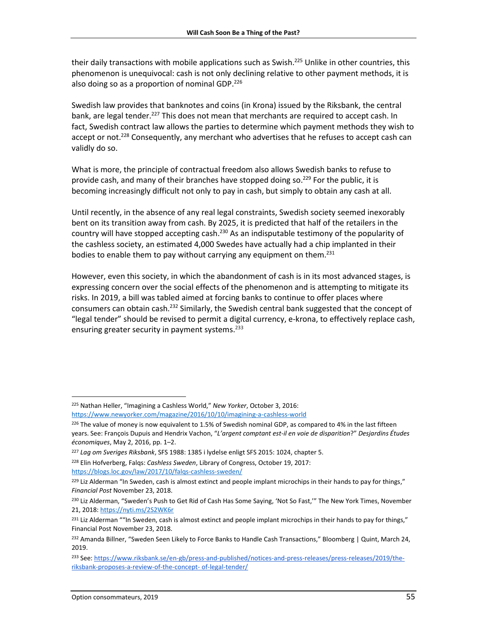their daily transactions with mobile applications such as Swish.<sup>225</sup> Unlike in other countries, this phenomenon is unequivocal: cash is not only declining relative to other payment methods, it is also doing so as a proportion of nominal GDP.<sup>226</sup>

Swedish law provides that banknotes and coins (in Krona) issued by the Riksbank, the central bank, are legal tender.<sup>227</sup> This does not mean that merchants are required to accept cash. In fact, Swedish contract law allows the parties to determine which payment methods they wish to accept or not.<sup>228</sup> Consequently, any merchant who advertises that he refuses to accept cash can validly do so.

What is more, the principle of contractual freedom also allows Swedish banks to refuse to provide cash, and many of their branches have stopped doing so.<sup>229</sup> For the public, it is becoming increasingly difficult not only to pay in cash, but simply to obtain any cash at all.

Until recently, in the absence of any real legal constraints, Swedish society seemed inexorably bent on its transition away from cash. By 2025, it is predicted that half of the retailers in the country will have stopped accepting cash.<sup>230</sup> As an indisputable testimony of the popularity of the cashless society, an estimated 4,000 Swedes have actually had a chip implanted in their bodies to enable them to pay without carrying any equipment on them.<sup>231</sup>

However, even this society, in which the abandonment of cash is in its most advanced stages, is expressing concern over the social effects of the phenomenon and is attempting to mitigate its risks. In 2019, a bill was tabled aimed at forcing banks to continue to offer places where consumers can obtain cash.<sup>232</sup> Similarly, the Swedish central bank suggested that the concept of "legal tender" should be revised to permit a digital currency, e-krona, to effectively replace cash, ensuring greater security in payment systems.<sup>233</sup>

 $\overline{\phantom{a}}$ <sup>225</sup> Nathan Heller, "Imagining a Cashless World," *New Yorker*, October 3, 2016: <https://www.newyorker.com/magazine/2016/10/10/imagining-a-cashless-world>

 $226$  The value of money is now equivalent to 1.5% of Swedish nominal GDP, as compared to 4% in the last fifteen years. See: François Dupuis and Hendrix Vachon, "*L'argent comptant est-il en voie de disparition*?" *Desjardins Études économiques*, May 2, 2016, pp. 1–2.

<sup>227</sup> *Lag om Sveriges Riksbank*, SFS 1988: 1385 i lydelse enligt SFS 2015: 1024, chapter 5.

<sup>228</sup> Elin Hofverberg, Falqs: *Cashless Sweden*, Library of Congress, October 19, 2017: <https://blogs.loc.gov/law/2017/10/falqs-cashless-sweden/>

<sup>&</sup>lt;sup>229</sup> Liz Alderman "In Sweden, cash is almost extinct and people implant microchips in their hands to pay for things," *Financial Post* November 23, 2018.

<sup>230</sup> Liz Alderman, "Sweden's Push to Get Rid of Cash Has Some Saying, 'Not So Fast,'" The New York Times, November 21, 2018[: https://nyti.ms/2S2WK6r](https://nyti.ms/2S2WK6r)

<sup>&</sup>lt;sup>231</sup> Liz Alderman ""In Sweden, cash is almost extinct and people implant microchips in their hands to pay for things," Financial Post November 23, 2018.

<sup>&</sup>lt;sup>232</sup> Amanda Billner, "Sweden Seen Likely to Force Banks to Handle Cash Transactions," Bloomberg | Quint, March 24, 2019.

<sup>233</sup> See[: https://www.riksbank.se/en-gb/press-and-published/notices-and-press-releases/press-releases/2019/the](https://www.riksbank.se/en-gb/press-and-published/notices-and-press-releases/press-releases/2019/the-riksbank-proposes-a-review-of-the-concept-of-legal-tender/)[riksbank-proposes-a-review-of-the-concept-](https://www.riksbank.se/en-gb/press-and-published/notices-and-press-releases/press-releases/2019/the-riksbank-proposes-a-review-of-the-concept-of-legal-tender/) of-legal-tender/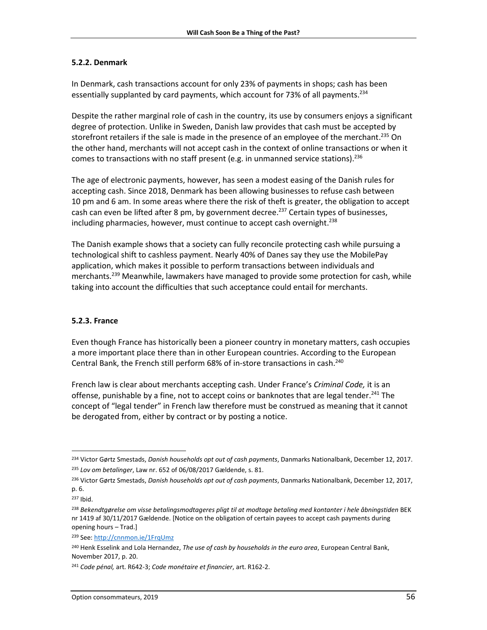#### <span id="page-55-0"></span>**5.2.2. Denmark**

In Denmark, cash transactions account for only 23% of payments in shops; cash has been essentially supplanted by card payments, which account for 73% of all payments.<sup>234</sup>

Despite the rather marginal role of cash in the country, its use by consumers enjoys a significant degree of protection. Unlike in Sweden, Danish law provides that cash must be accepted by storefront retailers if the sale is made in the presence of an employee of the merchant.<sup>235</sup> On the other hand, merchants will not accept cash in the context of online transactions or when it comes to transactions with no staff present (e.g. in unmanned service stations).<sup>236</sup>

The age of electronic payments, however, has seen a modest easing of the Danish rules for accepting cash. Since 2018, Denmark has been allowing businesses to refuse cash between 10 pm and 6 am. In some areas where there the risk of theft is greater, the obligation to accept cash can even be lifted after 8 pm, by government decree.<sup>237</sup> Certain types of businesses, including pharmacies, however, must continue to accept cash overnight.<sup>238</sup>

The Danish example shows that a society can fully reconcile protecting cash while pursuing a technological shift to cashless payment. Nearly 40% of Danes say they use the MobilePay application, which makes it possible to perform transactions between individuals and merchants. <sup>239</sup> Meanwhile, lawmakers have managed to provide some protection for cash, while taking into account the difficulties that such acceptance could entail for merchants.

### <span id="page-55-1"></span>**5.2.3. France**

Even though France has historically been a pioneer country in monetary matters, cash occupies a more important place there than in other European countries. According to the European Central Bank, the French still perform 68% of in-store transactions in cash. 240

French law is clear about merchants accepting cash. Under France's *Criminal Code,* it is an offense, punishable by a fine, not to accept coins or banknotes that are legal tender.<sup>241</sup> The concept of "legal tender" in French law therefore must be construed as meaning that it cannot be derogated from, either by contract or by posting a notice.

<sup>234</sup> Victor Gørtz Smestads, *Danish households opt out of cash payments*, Danmarks Nationalbank, December 12, 2017. <sup>235</sup> *Lov om betalinger*, Law nr. 652 of 06/08/2017 Gældende, s. 81.

<sup>236</sup> Victor Gørtz Smestads, *Danish households opt out of cash payments*, Danmarks Nationalbank, December 12, 2017, p. 6.

<sup>237</sup> Ibid.

<sup>238</sup> *Bekendtgørelse om visse betalingsmodtageres pligt til at modtage betaling med kontanter i hele åbningstiden* BEK nr 1419 af 30/11/2017 Gældende. [Notice on the obligation of certain payees to accept cash payments during opening hours – Trad.]

<sup>239</sup> See[: http://cnnmon.ie/1FrqUmz](http://cnnmon.ie/1FrqUmz)

<sup>240</sup> Henk Esselink and Lola Hernandez, *The use of cash by households in the euro area*, European Central Bank, November 2017, p. 20.

<sup>241</sup> *Code pénal,* art. R642-3; *Code monétaire et financier*, art. R162-2.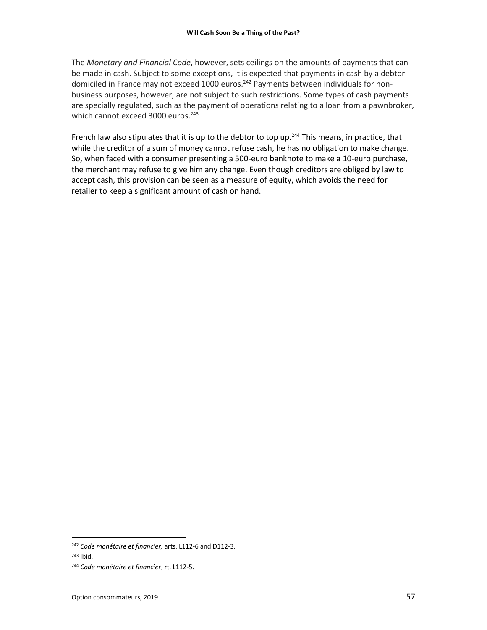The *Monetary and Financial Code*, however, sets ceilings on the amounts of payments that can be made in cash. Subject to some exceptions, it is expected that payments in cash by a debtor domiciled in France may not exceed 1000 euros.<sup>242</sup> Payments between individuals for nonbusiness purposes, however, are not subject to such restrictions. Some types of cash payments are specially regulated, such as the payment of operations relating to a loan from a pawnbroker, which cannot exceed 3000 euros. 243

French law also stipulates that it is up to the debtor to top up.<sup>244</sup> This means, in practice, that while the creditor of a sum of money cannot refuse cash, he has no obligation to make change. So, when faced with a consumer presenting a 500-euro banknote to make a 10-euro purchase, the merchant may refuse to give him any change. Even though creditors are obliged by law to accept cash, this provision can be seen as a measure of equity, which avoids the need for retailer to keep a significant amount of cash on hand.

<sup>243</sup> Ibid.

l

<sup>242</sup> *Code monétaire et financier,* arts. L112-6 and D112-3.

<sup>244</sup> *Code monétaire et financier*, rt. L112-5.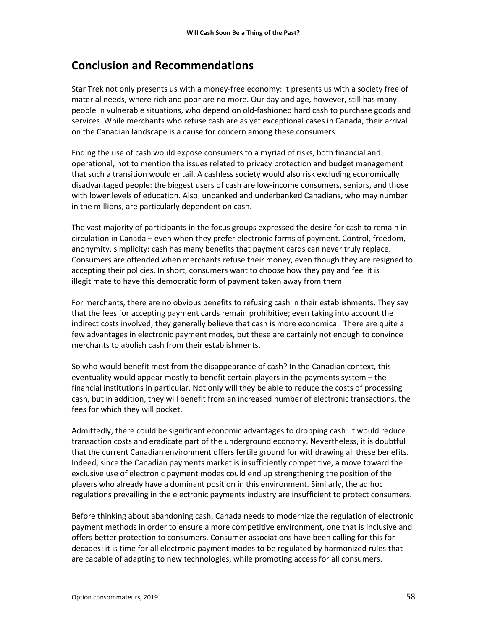## <span id="page-57-0"></span>**Conclusion and Recommendations**

Star Trek not only presents us with a money-free economy: it presents us with a society free of material needs, where rich and poor are no more. Our day and age, however, still has many people in vulnerable situations, who depend on old-fashioned hard cash to purchase goods and services. While merchants who refuse cash are as yet exceptional cases in Canada, their arrival on the Canadian landscape is a cause for concern among these consumers.

Ending the use of cash would expose consumers to a myriad of risks, both financial and operational, not to mention the issues related to privacy protection and budget management that such a transition would entail. A cashless society would also risk excluding economically disadvantaged people: the biggest users of cash are low-income consumers, seniors, and those with lower levels of education. Also, unbanked and underbanked Canadians, who may number in the millions, are particularly dependent on cash.

The vast majority of participants in the focus groups expressed the desire for cash to remain in circulation in Canada – even when they prefer electronic forms of payment. Control, freedom, anonymity, simplicity: cash has many benefits that payment cards can never truly replace. Consumers are offended when merchants refuse their money, even though they are resigned to accepting their policies. In short, consumers want to choose how they pay and feel it is illegitimate to have this democratic form of payment taken away from them

For merchants, there are no obvious benefits to refusing cash in their establishments. They say that the fees for accepting payment cards remain prohibitive; even taking into account the indirect costs involved, they generally believe that cash is more economical. There are quite a few advantages in electronic payment modes, but these are certainly not enough to convince merchants to abolish cash from their establishments.

So who would benefit most from the disappearance of cash? In the Canadian context, this eventuality would appear mostly to benefit certain players in the payments system – the financial institutions in particular. Not only will they be able to reduce the costs of processing cash, but in addition, they will benefit from an increased number of electronic transactions, the fees for which they will pocket.

Admittedly, there could be significant economic advantages to dropping cash: it would reduce transaction costs and eradicate part of the underground economy. Nevertheless, it is doubtful that the current Canadian environment offers fertile ground for withdrawing all these benefits. Indeed, since the Canadian payments market is insufficiently competitive, a move toward the exclusive use of electronic payment modes could end up strengthening the position of the players who already have a dominant position in this environment. Similarly, the ad hoc regulations prevailing in the electronic payments industry are insufficient to protect consumers.

Before thinking about abandoning cash, Canada needs to modernize the regulation of electronic payment methods in order to ensure a more competitive environment, one that is inclusive and offers better protection to consumers. Consumer associations have been calling for this for decades: it is time for all electronic payment modes to be regulated by harmonized rules that are capable of adapting to new technologies, while promoting access for all consumers.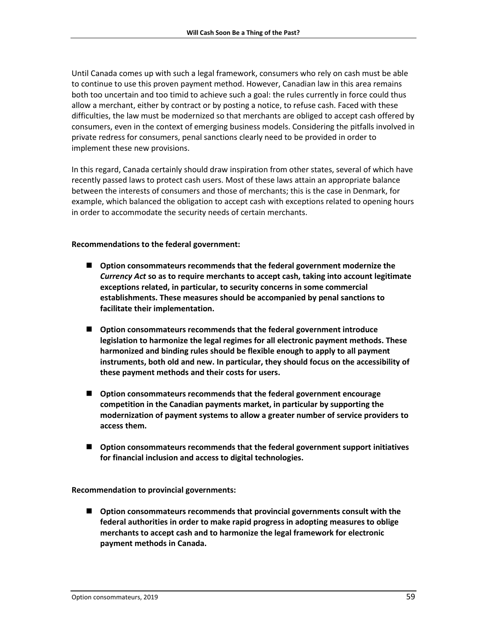Until Canada comes up with such a legal framework, consumers who rely on cash must be able to continue to use this proven payment method. However, Canadian law in this area remains both too uncertain and too timid to achieve such a goal: the rules currently in force could thus allow a merchant, either by contract or by posting a notice, to refuse cash. Faced with these difficulties, the law must be modernized so that merchants are obliged to accept cash offered by consumers, even in the context of emerging business models. Considering the pitfalls involved in private redress for consumers, penal sanctions clearly need to be provided in order to implement these new provisions.

In this regard, Canada certainly should draw inspiration from other states, several of which have recently passed laws to protect cash users. Most of these laws attain an appropriate balance between the interests of consumers and those of merchants; this is the case in Denmark, for example, which balanced the obligation to accept cash with exceptions related to opening hours in order to accommodate the security needs of certain merchants.

#### **Recommendations to the federal government:**

- **Option consommateurs recommends that the federal government modernize the**  *Currency Act* **so as to require merchants to accept cash, taking into account legitimate exceptions related, in particular, to security concerns in some commercial establishments. These measures should be accompanied by penal sanctions to facilitate their implementation.**
- **Option consommateurs recommends that the federal government introduce legislation to harmonize the legal regimes for all electronic payment methods. These harmonized and binding rules should be flexible enough to apply to all payment instruments, both old and new. In particular, they should focus on the accessibility of these payment methods and their costs for users.**
- **Option consommateurs recommends that the federal government encourage competition in the Canadian payments market, in particular by supporting the modernization of payment systems to allow a greater number of service providers to access them.**
- **Option consommateurs recommends that the federal government support initiatives for financial inclusion and access to digital technologies.**

**Recommendation to provincial governments:**

 **Option consommateurs recommends that provincial governments consult with the federal authorities in order to make rapid progress in adopting measures to oblige merchants to accept cash and to harmonize the legal framework for electronic payment methods in Canada.**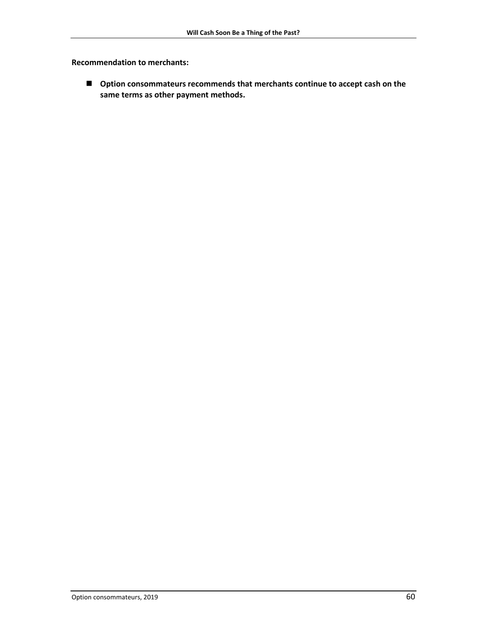**Recommendation to merchants:**

 **Option consommateurs recommends that merchants continue to accept cash on the same terms as other payment methods.**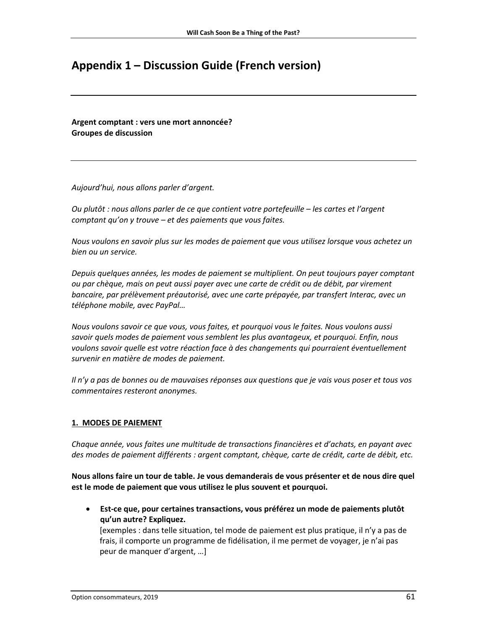## <span id="page-60-0"></span>**Appendix 1 – Discussion Guide (French version)**

**Argent comptant : vers une mort annoncée? Groupes de discussion**

*Aujourd'hui, nous allons parler d'argent.* 

*Ou plutôt : nous allons parler de ce que contient votre portefeuille – les cartes et l'argent comptant qu'on y trouve – et des paiements que vous faites.*

*Nous voulons en savoir plus sur les modes de paiement que vous utilisez lorsque vous achetez un bien ou un service.*

*Depuis quelques années, les modes de paiement se multiplient. On peut toujours payer comptant ou par chèque, mais on peut aussi payer avec une carte de crédit ou de débit, par virement bancaire, par prélèvement préautorisé, avec une carte prépayée, par transfert Interac, avec un téléphone mobile, avec PayPal…* 

*Nous voulons savoir ce que vous, vous faites, et pourquoi vous le faites. Nous voulons aussi savoir quels modes de paiement vous semblent les plus avantageux, et pourquoi. Enfin, nous voulons savoir quelle est votre réaction face à des changements qui pourraient éventuellement survenir en matière de modes de paiement.*

*Il n'y a pas de bonnes ou de mauvaises réponses aux questions que je vais vous poser et tous vos commentaires resteront anonymes.*

### **1. MODES DE PAIEMENT**

*Chaque année, vous faites une multitude de transactions financières et d'achats, en payant avec des modes de paiement différents : argent comptant, chèque, carte de crédit, carte de débit, etc.*

**Nous allons faire un tour de table. Je vous demanderais de vous présenter et de nous dire quel est le mode de paiement que vous utilisez le plus souvent et pourquoi.**

 **Est-ce que, pour certaines transactions, vous préférez un mode de paiements plutôt qu'un autre? Expliquez.** 

[exemples : dans telle situation, tel mode de paiement est plus pratique, il n'y a pas de frais, il comporte un programme de fidélisation, il me permet de voyager, je n'ai pas peur de manquer d'argent, …]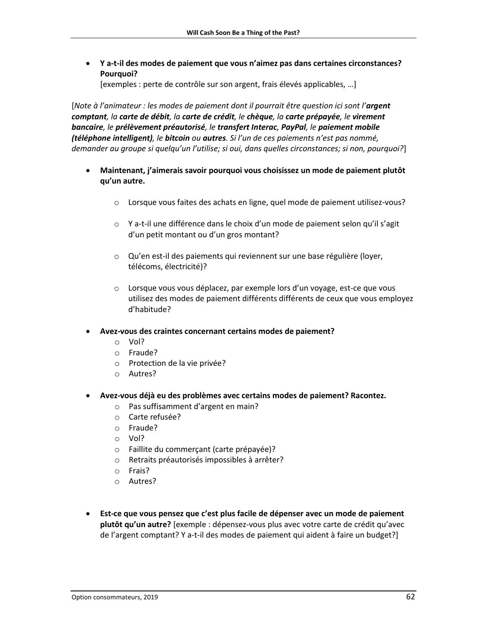**Y a-t-il des modes de paiement que vous n'aimez pas dans certaines circonstances? Pourquoi?**

[exemples : perte de contrôle sur son argent, frais élevés applicables, …]

[*Note à l'animateur : les modes de paiement dont il pourrait être question ici sont l'argent comptant, la carte de débit, la carte de crédit, le chèque, la carte prépayée, le virement bancaire, le prélèvement préautorisé, le transfert Interac, PayPal, le paiement mobile (téléphone intelligent), le bitcoin ou autres. Si l'un de ces paiements n'est pas nommé, demander au groupe si quelqu'un l'utilise; si oui, dans quelles circonstances; si non, pourquoi?*]

- **Maintenant, j'aimerais savoir pourquoi vous choisissez un mode de paiement plutôt qu'un autre.** 
	- o Lorsque vous faites des achats en ligne, quel mode de paiement utilisez-vous?
	- o Y a-t-il une différence dans le choix d'un mode de paiement selon qu'il s'agit d'un petit montant ou d'un gros montant?
	- o Qu'en est-il des paiements qui reviennent sur une base régulière (loyer, télécoms, électricité)?
	- o Lorsque vous vous déplacez, par exemple lors d'un voyage, est-ce que vous utilisez des modes de paiement différents différents de ceux que vous employez d'habitude?
- **Avez-vous des craintes concernant certains modes de paiement?**
	- o Vol?
	- o Fraude?
	- o Protection de la vie privée?
	- o Autres?
- **Avez-vous déjà eu des problèmes avec certains modes de paiement? Racontez.**
	- o Pas suffisamment d'argent en main?
	- o Carte refusée?
	- o Fraude?
	- o Vol?
	- o Faillite du commerçant (carte prépayée)?
	- o Retraits préautorisés impossibles à arrêter?
	- o Frais?
	- o Autres?
- **Est-ce que vous pensez que c'est plus facile de dépenser avec un mode de paiement plutôt qu'un autre?** [exemple : dépensez-vous plus avec votre carte de crédit qu'avec de l'argent comptant? Y a-t-il des modes de paiement qui aident à faire un budget?]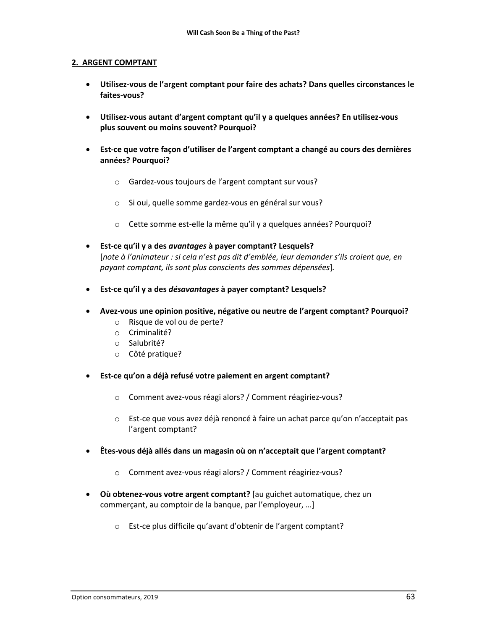#### **2. ARGENT COMPTANT**

- **Utilisez-vous de l'argent comptant pour faire des achats? Dans quelles circonstances le faites-vous?**
- **Utilisez-vous autant d'argent comptant qu'il y a quelques années? En utilisez-vous plus souvent ou moins souvent? Pourquoi?**
- **Est-ce que votre façon d'utiliser de l'argent comptant a changé au cours des dernières années? Pourquoi?**
	- o Gardez-vous toujours de l'argent comptant sur vous?
	- o Si oui, quelle somme gardez-vous en général sur vous?
	- o Cette somme est-elle la même qu'il y a quelques années? Pourquoi?
- **Est-ce qu'il y a des** *avantages* **à payer comptant? Lesquels?**  [*note à l'animateur : si cela n'est pas dit d'emblée, leur demander s'ils croient que, en payant comptant, ils sont plus conscients des sommes dépensées*]*.*
- **Est-ce qu'il y a des** *désavantages* **à payer comptant? Lesquels?**
- **Avez-vous une opinion positive, négative ou neutre de l'argent comptant? Pourquoi?**
	- o Risque de vol ou de perte?
	- o Criminalité?
	- o Salubrité?
	- o Côté pratique?
- **Est-ce qu'on a déjà refusé votre paiement en argent comptant?**
	- o Comment avez-vous réagi alors? / Comment réagiriez-vous?
	- o Est-ce que vous avez déjà renoncé à faire un achat parce qu'on n'acceptait pas l'argent comptant?
- **Êtes-vous déjà allés dans un magasin où on n'acceptait que l'argent comptant?**
	- o Comment avez-vous réagi alors? / Comment réagiriez-vous?
- **Où obtenez-vous votre argent comptant?** [au guichet automatique, chez un commerçant, au comptoir de la banque, par l'employeur, …]
	- o Est-ce plus difficile qu'avant d'obtenir de l'argent comptant?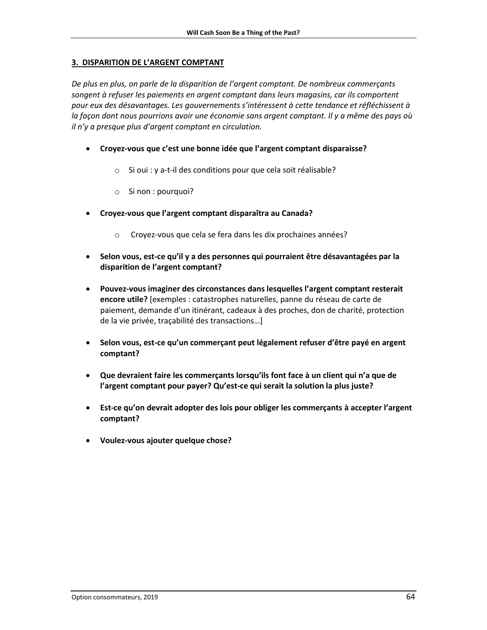#### **3. DISPARITION DE L'ARGENT COMPTANT**

*De plus en plus, on parle de la disparition de l'argent comptant. De nombreux commerçants songent à refuser les paiements en argent comptant dans leurs magasins, car ils comportent pour eux des désavantages. Les gouvernements s'intéressent à cette tendance et réfléchissent à la façon dont nous pourrions avoir une économie sans argent comptant. Il y a même des pays où il n'y a presque plus d'argent comptant en circulation.*

- **Croyez-vous que c'est une bonne idée que l'argent comptant disparaisse?**
	- o Si oui : y a-t-il des conditions pour que cela soit réalisable?
	- o Si non : pourquoi?
- **Croyez-vous que l'argent comptant disparaîtra au Canada?**
	- o Croyez-vous que cela se fera dans les dix prochaines années?
- **Selon vous, est-ce qu'il y a des personnes qui pourraient être désavantagées par la disparition de l'argent comptant?**
- **Pouvez-vous imaginer des circonstances dans lesquelles l'argent comptant resterait encore utile?** [exemples : catastrophes naturelles, panne du réseau de carte de paiement, demande d'un itinérant, cadeaux à des proches, don de charité, protection de la vie privée, traçabilité des transactions…]
- **Selon vous, est-ce qu'un commerçant peut légalement refuser d'être payé en argent comptant?**
- **Que devraient faire les commerçants lorsqu'ils font face à un client qui n'a que de l'argent comptant pour payer? Qu'est-ce qui serait la solution la plus juste?**
- **Est-ce qu'on devrait adopter des lois pour obliger les commerçants à accepter l'argent comptant?**
- **Voulez-vous ajouter quelque chose?**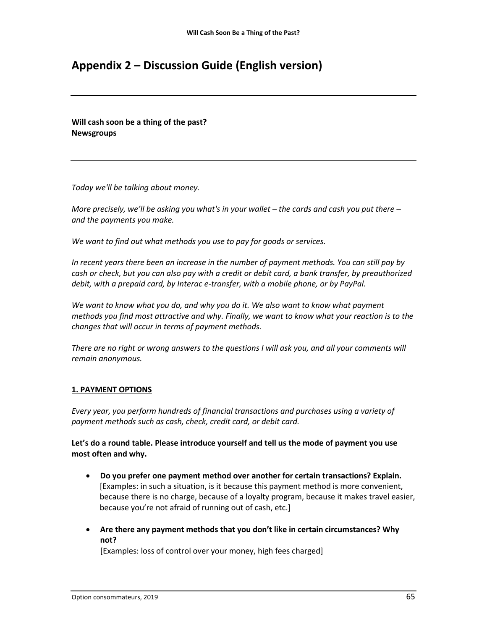## <span id="page-64-0"></span>**Appendix 2 – Discussion Guide (English version)**

**Will cash soon be a thing of the past? Newsgroups**

*Today we'll be talking about money.*

*More precisely, we'll be asking you what's in your wallet – the cards and cash you put there – and the payments you make.*

*We want to find out what methods you use to pay for goods or services.*

*In recent years there been an increase in the number of payment methods. You can still pay by cash or check, but you can also pay with a credit or debit card, a bank transfer, by preauthorized debit, with a prepaid card, by Interac e-transfer, with a mobile phone, or by PayPal.*

*We want to know what you do, and why you do it. We also want to know what payment methods you find most attractive and why. Finally, we want to know what your reaction is to the changes that will occur in terms of payment methods.*

*There are no right or wrong answers to the questions I will ask you, and all your comments will remain anonymous.*

### **1. PAYMENT OPTIONS**

*Every year, you perform hundreds of financial transactions and purchases using a variety of payment methods such as cash, check, credit card, or debit card.*

**Let's do a round table. Please introduce yourself and tell us the mode of payment you use most often and why.**

- **Do you prefer one payment method over another for certain transactions? Explain.** [Examples: in such a situation, is it because this payment method is more convenient, because there is no charge, because of a loyalty program, because it makes travel easier, because you're not afraid of running out of cash, etc.]
- **Are there any payment methods that you don't like in certain circumstances? Why not?**

[Examples: loss of control over your money, high fees charged]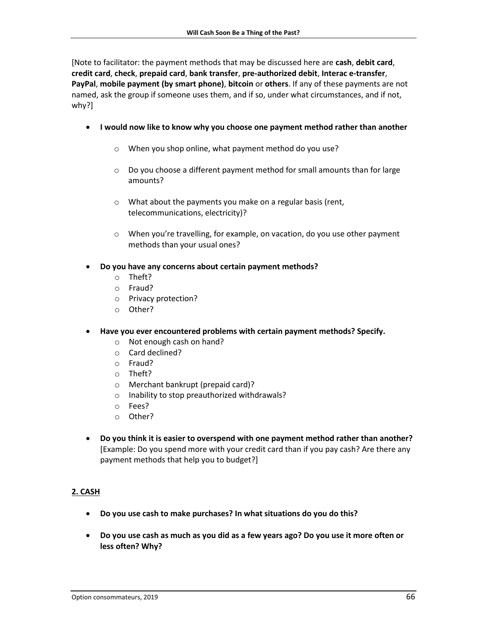[Note to facilitator: the payment methods that may be discussed here are **cash**, **debit card**, **credit card**, **check**, **prepaid card**, **bank transfer**, **pre-authorized debit**, **Interac e-transfer**, **PayPal**, **mobile payment (by smart phone)**, **bitcoin** or **others**. If any of these payments are not named, ask the group if someone uses them, and if so, under what circumstances, and if not, why?]

- **I would now like to know why you choose one payment method rather than another** 
	- o When you shop online, what payment method do you use?
	- o Do you choose a different payment method for small amounts than for large amounts?
	- o What about the payments you make on a regular basis (rent, telecommunications, electricity)?
	- o When you're travelling, for example, on vacation, do you use other payment methods than your usual ones?
- **Do you have any concerns about certain payment methods?**
	- o Theft?
	- o Fraud?
	- o Privacy protection?
	- o Other?
- **Have you ever encountered problems with certain payment methods? Specify.**
	- o Not enough cash on hand?
	- o Card declined?
	- o Fraud?
	- o Theft?
	- o Merchant bankrupt (prepaid card)?
	- o Inability to stop preauthorized withdrawals?
	- o Fees?
	- o Other?
- **Do you think it is easier to overspend with one payment method rather than another?**  [Example: Do you spend more with your credit card than if you pay cash? Are there any payment methods that help you to budget?]

### **2. CASH**

- **Do you use cash to make purchases? In what situations do you do this?**
- **Do you use cash as much as you did as a few years ago? Do you use it more often or less often? Why?**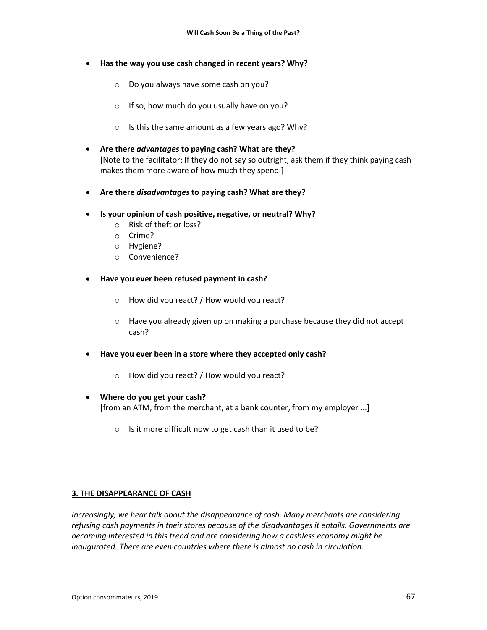- **Has the way you use cash changed in recent years? Why?**
	- o Do you always have some cash on you?
	- $\circ$  If so, how much do you usually have on you?
	- o Is this the same amount as a few years ago? Why?
- **Are there** *advantages* **to paying cash? What are they?** [Note to the facilitator: If they do not say so outright, ask them if they think paying cash makes them more aware of how much they spend.]
- **Are there** *disadvantages* **to paying cash? What are they?**
- **Is your opinion of cash positive, negative, or neutral? Why?**
	- o Risk of theft or loss?
	- o Crime?
	- o Hygiene?
	- o Convenience?
- **Have you ever been refused payment in cash?**
	- o How did you react? / How would you react?
	- $\circ$  Have you already given up on making a purchase because they did not accept cash?
- **Have you ever been in a store where they accepted only cash?**
	- o How did you react? / How would you react?
- **Where do you get your cash?**  [from an ATM, from the merchant, at a bank counter, from my employer ...]
	- o Is it more difficult now to get cash than it used to be?

#### **3. THE DISAPPEARANCE OF CASH**

*Increasingly, we hear talk about the disappearance of cash. Many merchants are considering refusing cash payments in their stores because of the disadvantages it entails. Governments are becoming interested in this trend and are considering how a cashless economy might be inaugurated. There are even countries where there is almost no cash in circulation.*